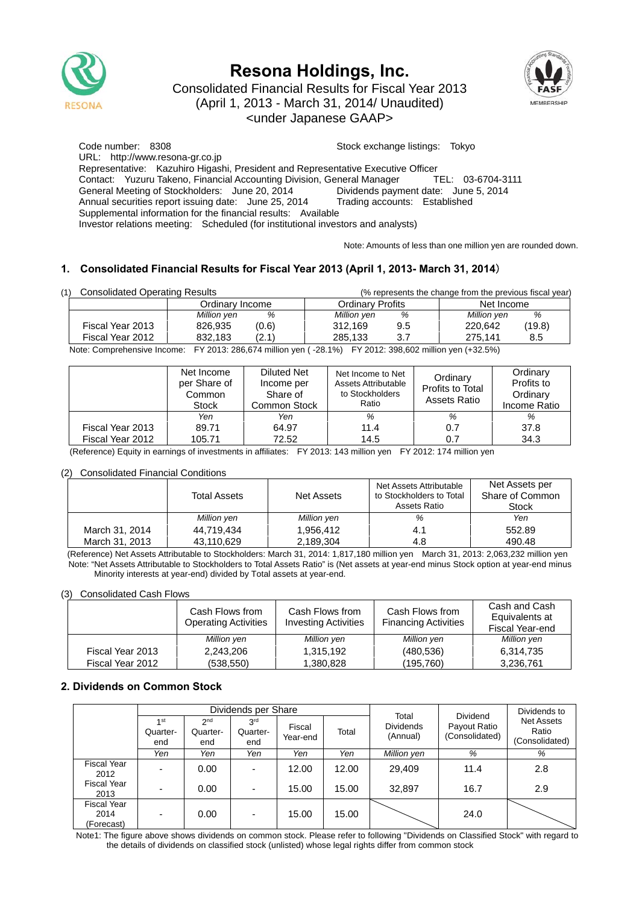

# **Resona Holdings, Inc.**



Consolidated Financial Results for Fiscal Year 2013 (April 1, 2013 - March 31, 2014/ Unaudited) <under Japanese GAAP>

Code number: 8308 Stock exchange listings: Tokyo URL: http://www.resona-gr.co.jp Representative: Kazuhiro Higashi, President and Representative Executive Officer Contact: Yuzuru Takeno, Financial Accounting Division, General Manager TEL: 03-6704-3111 General Meeting of Stockholders: June 20, 2014 Dividends payment date: June 5, 2014 Annual securities report issuing date: June 25, 2014 Trading accounts: Established Supplemental information for the financial results: Available Investor relations meeting: Scheduled (for institutional investors and analysts)

Note: Amounts of less than one million yen are rounded down.

## **1. Consolidated Financial Results for Fiscal Year 2013 (April 1, 2013- March 31, 2014**)

| <b>Consolidated Operating Results</b> |                  | (% represents the change from the previous fiscal year) |                                    |  |  |
|---------------------------------------|------------------|---------------------------------------------------------|------------------------------------|--|--|
|                                       | Ordinarv Income  | Ordinary Profits                                        | Net Income                         |  |  |
|                                       | Million yen<br>% | Million yen<br>%                                        | %<br>Million yen                   |  |  |
| Fiscal Year 2013                      | (0.6)<br>826.935 | 312.169<br>9.5                                          | (19.8)<br>220.642                  |  |  |
| Fiscal Year 2012                      | (2.1)<br>832.183 | 285.133<br>3.7                                          | 275.141<br>8.5                     |  |  |
| $\cdots$                              |                  |                                                         | $\sim$ $\sim$ $\sim$ $\sim$ $\sim$ |  |  |

Note: Comprehensive Income: FY 2013: 286,674 million yen ( -28.1%) FY 2012: 398,602 million yen (+32.5%)

|                  | Net Income<br>per Share of<br>Common<br><b>Stock</b> | Diluted Net<br>Income per<br>Share of<br>Common Stock | Net Income to Net<br>Assets Attributable<br>to Stockholders<br>Ratio | Ordinary<br>Profits to Total<br>Assets Ratio | Ordinary<br>Profits to<br>Ordinary<br>Income Ratio |
|------------------|------------------------------------------------------|-------------------------------------------------------|----------------------------------------------------------------------|----------------------------------------------|----------------------------------------------------|
|                  | Yen                                                  | Yen                                                   | %                                                                    | %                                            | %                                                  |
| Fiscal Year 2013 | 89.71                                                | 64.97                                                 | 11.4                                                                 | 0.7                                          | 37.8                                               |
| Fiscal Year 2012 | 105.71                                               | 72.52                                                 | 14.5                                                                 | 0.7                                          | 34.3                                               |

(Reference) Equity in earnings of investments in affiliates: FY 2013: 143 million yen FY 2012: 174 million yen

### (2) Consolidated Financial Conditions

|                | <b>Total Assets</b> | Net Assets  | Net Assets Attributable<br>to Stockholders to Total<br>Assets Ratio | Net Assets per<br>Share of Common<br>Stock |
|----------------|---------------------|-------------|---------------------------------------------------------------------|--------------------------------------------|
|                | Million yen         | Million yen | %                                                                   | Yen                                        |
| March 31, 2014 | 44.719.434          | 1.956.412   | 4.1                                                                 | 552.89                                     |
| March 31, 2013 | 43,110,629          | 2.189.304   | 4.8                                                                 | 490.48                                     |

(Reference) Net Assets Attributable to Stockholders: March 31, 2014: 1,817,180 million yen March 31, 2013: 2,063,232 million yen Note: "Net Assets Attributable to Stockholders to Total Assets Ratio" is (Net assets at year-end minus Stock option at year-end minus Minority interests at year-end) divided by Total assets at year-end.

#### (3) Consolidated Cash Flows

|                  | Cash Flows from<br><b>Operating Activities</b> | Cash Flows from<br><b>Investing Activities</b> | Cash Flows from<br><b>Financing Activities</b> | Cash and Cash<br>Equivalents at<br>Fiscal Year-end |
|------------------|------------------------------------------------|------------------------------------------------|------------------------------------------------|----------------------------------------------------|
|                  | Million yen                                    | Million yen                                    | Million yen                                    | Million yen                                        |
| Fiscal Year 2013 | 2.243.206                                      | 1,315,192                                      | (480, 536)                                     | 6,314,735                                          |
| Fiscal Year 2012 | (538,550)                                      | 1,380,828                                      | (195, 760)                                     | 3,236,761                                          |

## **2. Dividends on Common Stock**

|                                          | Dividends per Share     |                                    |                                    |                    |       |                                       | <b>Dividend</b>                | Dividends to                                 |
|------------------------------------------|-------------------------|------------------------------------|------------------------------------|--------------------|-------|---------------------------------------|--------------------------------|----------------------------------------------|
|                                          | 1 st<br>Quarter-<br>end | 2 <sub>nd</sub><br>Quarter-<br>end | 3 <sup>rd</sup><br>Quarter-<br>end | Fiscal<br>Year-end | Total | Total<br><b>Dividends</b><br>(Annual) | Payout Ratio<br>(Consolidated) | <b>Net Assets</b><br>Ratio<br>(Consolidated) |
|                                          | Yen                     | Yen                                | Yen                                | Yen                | Yen   | Million yen                           | %                              | %                                            |
| <b>Fiscal Year</b><br>2012               |                         | 0.00                               | $\overline{\phantom{0}}$           | 12.00              | 12.00 | 29,409                                | 11.4                           | 2.8                                          |
| <b>Fiscal Year</b><br>2013               |                         | 0.00                               | $\overline{\phantom{0}}$           | 15.00              | 15.00 | 32,897                                | 16.7                           | 2.9                                          |
| <b>Fiscal Year</b><br>2014<br>(Forecast) | -                       | 0.00                               | $\overline{\phantom{0}}$           | 15.00              | 15.00 |                                       | 24.0                           |                                              |

Note1: The figure above shows dividends on common stock. Please refer to following "Dividends on Classified Stock" with regard to the details of dividends on classified stock (unlisted) whose legal rights differ from common stock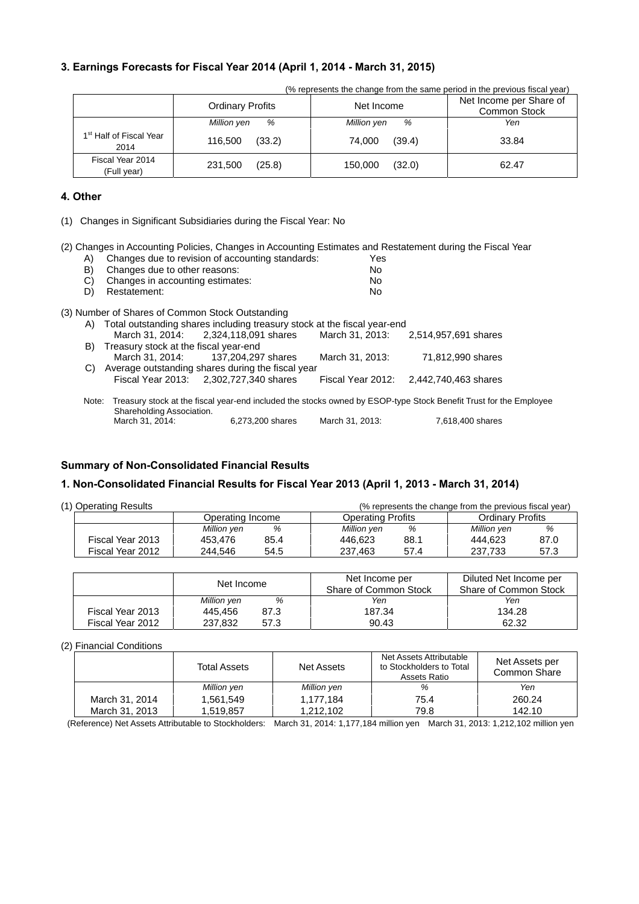## **3. Earnings Forecasts for Fiscal Year 2014 (April 1, 2014 - March 31, 2015)**

| (% represents the change from the same period in the previous fiscal year) |                         |                   |                                                |  |  |  |  |
|----------------------------------------------------------------------------|-------------------------|-------------------|------------------------------------------------|--|--|--|--|
|                                                                            | <b>Ordinary Profits</b> | Net Income        | Net Income per Share of<br><b>Common Stock</b> |  |  |  |  |
|                                                                            | %<br>Million yen        | %<br>Million yen  | Yen                                            |  |  |  |  |
| 1 <sup>st</sup> Half of Fiscal Year<br>2014                                | (33.2)<br>116,500       | (39.4)<br>74.000  | 33.84                                          |  |  |  |  |
| Fiscal Year 2014<br>(Full year)                                            | (25.8)<br>231,500       | (32.0)<br>150,000 | 62.47                                          |  |  |  |  |

### **4. Other**

(1) Changes in Significant Subsidiaries during the Fiscal Year: No

(2) Changes in Accounting Policies, Changes in Accounting Estimates and Restatement during the Fiscal Year<br>(A) Changes due to revision of accounting standards: A) Changes due to revision of accounting standards:

| $\mathsf{H}$ | Cridinges due to revision or accounting standards.                                                                | 1 GS            |                                        |  |
|--------------|-------------------------------------------------------------------------------------------------------------------|-----------------|----------------------------------------|--|
| B)           | Changes due to other reasons:                                                                                     | No.             |                                        |  |
| C)           | Changes in accounting estimates:                                                                                  | No.             |                                        |  |
| D)           | Restatement:                                                                                                      | No.             |                                        |  |
|              | (3) Number of Shares of Common Stock Outstanding                                                                  |                 |                                        |  |
|              | A) Total outstanding shares including treasury stock at the fiscal year-end                                       |                 |                                        |  |
|              | March 31, 2014: 2,324, 118, 091 shares                                                                            |                 | March 31, 2013: 2,514,957,691 shares   |  |
| B)           | Treasury stock at the fiscal year-end                                                                             |                 |                                        |  |
|              | March 31, 2014: 137, 204, 297 shares                                                                              | March 31, 2013: | 71,812,990 shares                      |  |
| C)           | Average outstanding shares during the fiscal year                                                                 |                 |                                        |  |
|              | Fiscal Year 2013: 2.302.727.340 shares                                                                            |                 | Fiscal Year 2012: 2.442.740.463 shares |  |
| Note:        | Treasury stock at the fiscal year-end included the stocks owned by ESOP-type Stock Benefit Trust for the Employee |                 |                                        |  |
|              | Shareholding Association.                                                                                         |                 |                                        |  |
|              | March 31, 2014:<br>6,273,200 shares                                                                               | March 31, 2013: | 7,618,400 shares                       |  |

## **Summary of Non-Consolidated Financial Results**

## **1. Non-Consolidated Financial Results for Fiscal Year 2013 (April 1, 2013 - March 31, 2014)**

| (1) Operating Results | (% represents the change from the previous fiscal year) |      |                          |      |                         |      |
|-----------------------|---------------------------------------------------------|------|--------------------------|------|-------------------------|------|
| Operating Income      |                                                         |      | <b>Operating Profits</b> |      | <b>Ordinary Profits</b> |      |
|                       | Million yen                                             | %    | Million yen              | %    | Million yen             |      |
| Fiscal Year 2013      | 453.476                                                 | 85.4 | 446.623                  | 88.1 | 444.623                 | 87.0 |
| Fiscal Year 2012      | 244.546                                                 | 54.5 | 237.463                  | 57.4 | 237.733                 | 57.3 |

|                  | Net Income  |      | Net Income per<br>Share of Common Stock | Diluted Net Income per<br>Share of Common Stock |  |
|------------------|-------------|------|-----------------------------------------|-------------------------------------------------|--|
|                  | Million yen | %    | Yen                                     | Yen                                             |  |
| Fiscal Year 2013 | 445.456     | 87.3 | 187.34                                  | 134.28                                          |  |
| Fiscal Year 2012 | 237.832     | 57.3 | 90.43                                   | 62.32                                           |  |

#### (2) Financial Conditions

|                | <b>Total Assets</b> | Net Assets  | Net Assets Attributable<br>to Stockholders to Total<br>Assets Ratio | Net Assets per<br>Common Share |  |
|----------------|---------------------|-------------|---------------------------------------------------------------------|--------------------------------|--|
|                | Million yen         | Million yen | %                                                                   | Yen                            |  |
| March 31, 2014 | 1.561.549           | 1.177.184   | 75.4                                                                | 260.24                         |  |
| March 31, 2013 | 1.519.857           | 1.212.102   | 79.8                                                                | 142.10                         |  |

(Reference) Net Assets Attributable to Stockholders: March 31, 2014: 1,177,184 million yen March 31, 2013: 1,212,102 million yen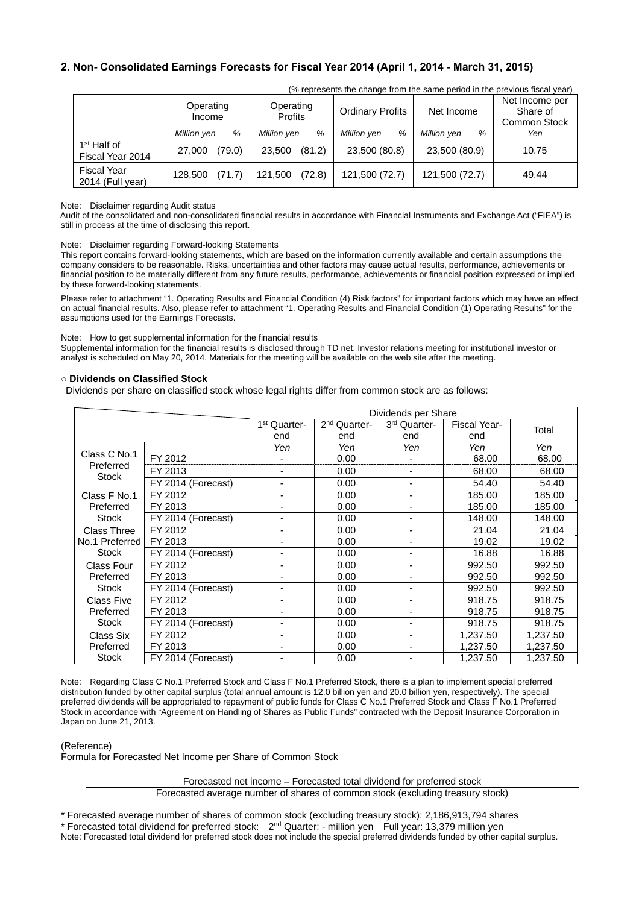## **2. Non- Consolidated Earnings Forecasts for Fiscal Year 2014 (April 1, 2014 - March 31, 2015)**

|                                             | Operating<br>Income | Operating<br><b>Profits</b> | <b>Ordinary Profits</b> | Net Income       | Net Income per<br>Share of<br><b>Common Stock</b> |  |  |
|---------------------------------------------|---------------------|-----------------------------|-------------------------|------------------|---------------------------------------------------|--|--|
|                                             | %<br>Million yen    | %<br>Million yen            | Million yen<br>%        | Million yen<br>% | Yen                                               |  |  |
| 1 <sup>st</sup> Half of<br>Fiscal Year 2014 | (79.0)<br>27,000    | (81.2)<br>23.500            | 23,500 (80.8)           | 23,500 (80.9)    | 10.75                                             |  |  |
| <b>Fiscal Year</b><br>2014 (Full year)      | (71.7)<br>128,500   | (72.8)<br>121,500           | 121,500 (72.7)          | 121,500 (72.7)   | 49.44                                             |  |  |

(% represents the change from the same period in the previous fiscal year)

#### Note: Disclaimer regarding Audit status

Audit of the consolidated and non-consolidated financial results in accordance with Financial Instruments and Exchange Act ("FIEA") is still in process at the time of disclosing this report.

Note: Disclaimer regarding Forward-looking Statements

This report contains forward-looking statements, which are based on the information currently available and certain assumptions the company considers to be reasonable. Risks, uncertainties and other factors may cause actual results, performance, achievements or financial position to be materially different from any future results, performance, achievements or financial position expressed or implied by these forward-looking statements.

Please refer to attachment "1. Operating Results and Financial Condition (4) Risk factors" for important factors which may have an effect on actual financial results. Also, please refer to attachment "1. Operating Results and Financial Condition (1) Operating Results" for the assumptions used for the Earnings Forecasts.

#### Note: How to get supplemental information for the financial results

Supplemental information for the financial results is disclosed through TD net. Investor relations meeting for institutional investor or analyst is scheduled on May 20, 2014. Materials for the meeting will be available on the web site after the meeting.

#### **○ Dividends on Classified Stock**

Dividends per share on classified stock whose legal rights differ from common stock are as follows:

|                    |                    | Dividends per Share      |                          |                          |                     |          |  |
|--------------------|--------------------|--------------------------|--------------------------|--------------------------|---------------------|----------|--|
|                    |                    | 1 <sup>st</sup> Quarter- | 2 <sup>nd</sup> Quarter- | 3rd Quarter-             | <b>Fiscal Year-</b> | Total    |  |
|                    |                    | end                      | end                      | end                      | end                 |          |  |
|                    |                    | Yen                      | Yen                      | Yen                      | Yen                 | Yen      |  |
| Class C No.1       | FY 2012            |                          | 0.00                     | $\overline{\phantom{0}}$ | 68.00               | 68.00    |  |
| Preferred<br>Stock | FY 2013            | $\blacksquare$           | 0.00                     | $\overline{\phantom{0}}$ | 68.00               | 68.00    |  |
|                    | FY 2014 (Forecast) | $\blacksquare$           | 0.00                     | $\blacksquare$           | 54.40               | 54.40    |  |
| Class F No.1       | FY 2012            |                          | 0.00                     |                          | 185.00              | 185.00   |  |
| Preferred          | FY 2013            | -                        | 0.00                     | $\overline{a}$           | 185.00              | 185.00   |  |
| <b>Stock</b>       | FY 2014 (Forecast) | $\blacksquare$           | 0.00                     | $\blacksquare$           | 148.00              | 148.00   |  |
| <b>Class Three</b> | FY 2012            |                          | 0.00                     |                          | 21.04               | 21.04    |  |
| No.1 Preferred     | FY 2013            | ۰                        | 0.00                     | $\overline{a}$           | 19.02               | 19.02    |  |
| <b>Stock</b>       | FY 2014 (Forecast) | -                        | 0.00                     | ٠                        | 16.88               | 16.88    |  |
| <b>Class Four</b>  | FY 2012            |                          | 0.00                     | -                        | 992.50              | 992.50   |  |
| Preferred          | FY 2013            | $\blacksquare$           | 0.00                     | ٠                        | 992.50              | 992.50   |  |
| <b>Stock</b>       | FY 2014 (Forecast) | $\blacksquare$           | 0.00                     | $\blacksquare$           | 992.50              | 992.50   |  |
| <b>Class Five</b>  | FY 2012            |                          | 0.00                     | $\overline{a}$           | 918.75              | 918.75   |  |
| Preferred          | FY 2013            |                          | 0.00                     | ٠                        | 918.75              | 918.75   |  |
| <b>Stock</b>       | FY 2014 (Forecast) | $\blacksquare$           | 0.00                     | ٠                        | 918.75              | 918.75   |  |
| Class Six          | FY 2012            | -                        | 0.00                     | ٠                        | 1,237.50            | 1,237.50 |  |
| Preferred          | FY 2013            | $\blacksquare$           | 0.00                     | ٠                        | 1,237.50            | 1,237.50 |  |
| <b>Stock</b>       | FY 2014 (Forecast) |                          | 0.00                     |                          | 1.237.50            | 1,237.50 |  |

Note: Regarding Class C No.1 Preferred Stock and Class F No.1 Preferred Stock, there is a plan to implement special preferred distribution funded by other capital surplus (total annual amount is 12.0 billion yen and 20.0 billion yen, respectively). The special preferred dividends will be appropriated to repayment of public funds for Class C No.1 Preferred Stock and Class F No.1 Preferred Stock in accordance with "Agreement on Handling of Shares as Public Funds" contracted with the Deposit Insurance Corporation in Japan on June 21, 2013.

(Reference)

Formula for Forecasted Net Income per Share of Common Stock

Forecasted net income – Forecasted total dividend for preferred stock

Forecasted average number of shares of common stock (excluding treasury stock)

\* Forecasted average number of shares of common stock (excluding treasury stock): 2,186,913,794 shares

\* Forecasted total dividend for preferred stock: 2nd Quarter: - million yen Full year: 13,379 million yen Note: Forecasted total dividend for preferred stock does not include the special preferred dividends funded by other capital surplus.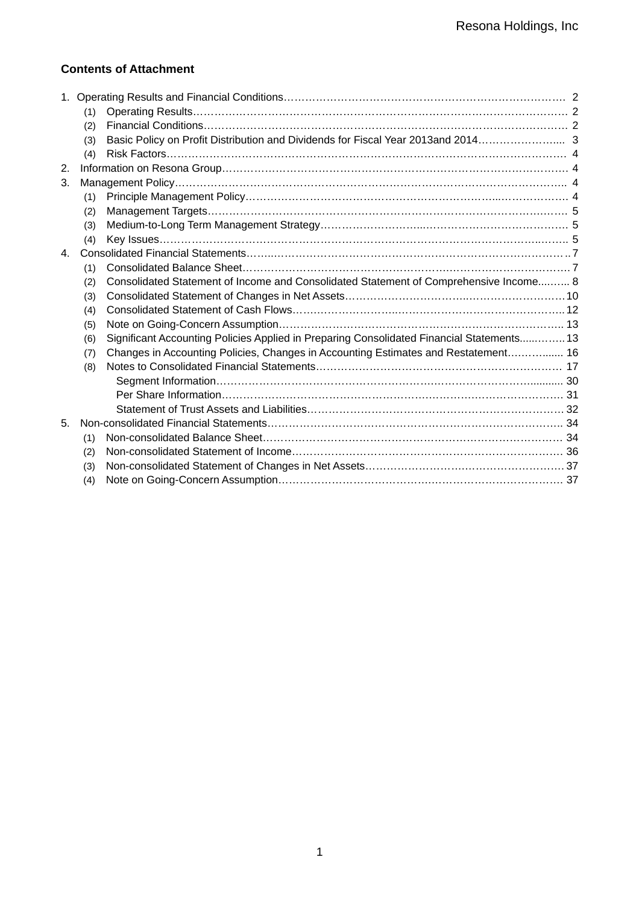## **Contents of Attachment**

|             | (1) |                                                                                           |  |
|-------------|-----|-------------------------------------------------------------------------------------------|--|
|             | (2) |                                                                                           |  |
|             | (3) | Basic Policy on Profit Distribution and Dividends for Fiscal Year 2013and 2014 3          |  |
|             | (4) |                                                                                           |  |
| 2.          |     |                                                                                           |  |
| 3.          |     |                                                                                           |  |
|             | (1) |                                                                                           |  |
|             | (2) |                                                                                           |  |
|             | (3) |                                                                                           |  |
|             | (4) |                                                                                           |  |
| $4_{\cdot}$ |     |                                                                                           |  |
|             | (1) |                                                                                           |  |
|             | (2) | Consolidated Statement of Income and Consolidated Statement of Comprehensive Income 8     |  |
|             | (3) |                                                                                           |  |
|             | (4) |                                                                                           |  |
|             | (5) |                                                                                           |  |
|             | (6) | Significant Accounting Policies Applied in Preparing Consolidated Financial Statements 13 |  |
|             | (7) | Changes in Accounting Policies, Changes in Accounting Estimates and Restatement 16        |  |
|             | (8) |                                                                                           |  |
|             |     |                                                                                           |  |
|             |     |                                                                                           |  |
|             |     |                                                                                           |  |
| 5.          |     |                                                                                           |  |
|             | (1) |                                                                                           |  |
|             | (2) |                                                                                           |  |
|             | (3) |                                                                                           |  |
|             | (4) |                                                                                           |  |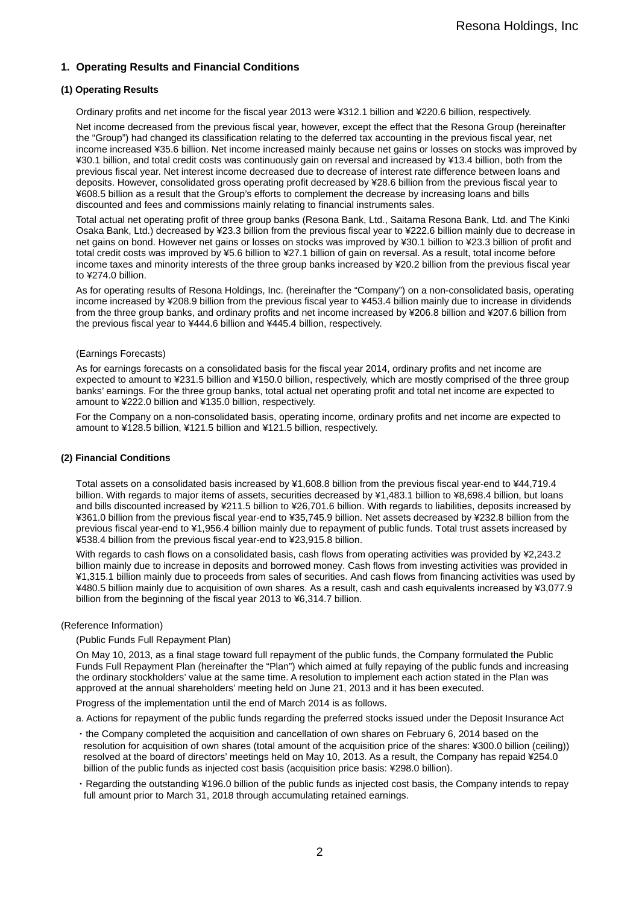## **1. Operating Results and Financial Conditions**

### **(1) Operating Results**

Ordinary profits and net income for the fiscal year 2013 were ¥312.1 billion and ¥220.6 billion, respectively.

Net income decreased from the previous fiscal year, however, except the effect that the Resona Group (hereinafter the "Group") had changed its classification relating to the deferred tax accounting in the previous fiscal year, net income increased ¥35.6 billion. Net income increased mainly because net gains or losses on stocks was improved by ¥30.1 billion, and total credit costs was continuously gain on reversal and increased by ¥13.4 billion, both from the previous fiscal year. Net interest income decreased due to decrease of interest rate difference between loans and deposits. However, consolidated gross operating profit decreased by ¥28.6 billion from the previous fiscal year to ¥608.5 billion as a result that the Group's efforts to complement the decrease by increasing loans and bills discounted and fees and commissions mainly relating to financial instruments sales.

Total actual net operating profit of three group banks (Resona Bank, Ltd., Saitama Resona Bank, Ltd. and The Kinki Osaka Bank, Ltd.) decreased by ¥23.3 billion from the previous fiscal year to ¥222.6 billion mainly due to decrease in net gains on bond. However net gains or losses on stocks was improved by ¥30.1 billion to ¥23.3 billion of profit and total credit costs was improved by ¥5.6 billion to ¥27.1 billion of gain on reversal. As a result, total income before income taxes and minority interests of the three group banks increased by ¥20.2 billion from the previous fiscal year to ¥274.0 billion.

As for operating results of Resona Holdings, Inc. (hereinafter the "Company") on a non-consolidated basis, operating income increased by ¥208.9 billion from the previous fiscal year to ¥453.4 billion mainly due to increase in dividends from the three group banks, and ordinary profits and net income increased by ¥206.8 billion and ¥207.6 billion from the previous fiscal year to ¥444.6 billion and ¥445.4 billion, respectively.

#### (Earnings Forecasts)

As for earnings forecasts on a consolidated basis for the fiscal year 2014, ordinary profits and net income are expected to amount to ¥231.5 billion and ¥150.0 billion, respectively, which are mostly comprised of the three group banks' earnings. For the three group banks, total actual net operating profit and total net income are expected to amount to ¥222.0 billion and ¥135.0 billion, respectively.

For the Company on a non-consolidated basis, operating income, ordinary profits and net income are expected to amount to ¥128.5 billion, ¥121.5 billion and ¥121.5 billion, respectively.

#### **(2) Financial Conditions**

Total assets on a consolidated basis increased by ¥1,608.8 billion from the previous fiscal year-end to ¥44,719.4 billion. With regards to major items of assets, securities decreased by ¥1,483.1 billion to ¥8,698.4 billion, but loans and bills discounted increased by ¥211.5 billion to ¥26,701.6 billion. With regards to liabilities, deposits increased by ¥361.0 billion from the previous fiscal year-end to ¥35,745.9 billion. Net assets decreased by ¥232.8 billion from the previous fiscal year-end to ¥1,956.4 billion mainly due to repayment of public funds. Total trust assets increased by ¥538.4 billion from the previous fiscal year-end to ¥23,915.8 billion.

With regards to cash flows on a consolidated basis, cash flows from operating activities was provided by ¥2,243.2 billion mainly due to increase in deposits and borrowed money. Cash flows from investing activities was provided in ¥1,315.1 billion mainly due to proceeds from sales of securities. And cash flows from financing activities was used by ¥480.5 billion mainly due to acquisition of own shares. As a result, cash and cash equivalents increased by ¥3,077.9 billion from the beginning of the fiscal year 2013 to ¥6,314.7 billion.

#### (Reference Information)

#### (Public Funds Full Repayment Plan)

On May 10, 2013, as a final stage toward full repayment of the public funds, the Company formulated the Public Funds Full Repayment Plan (hereinafter the "Plan") which aimed at fully repaying of the public funds and increasing the ordinary stockholders' value at the same time. A resolution to implement each action stated in the Plan was approved at the annual shareholders' meeting held on June 21, 2013 and it has been executed.

Progress of the implementation until the end of March 2014 is as follows.

- a. Actions for repayment of the public funds regarding the preferred stocks issued under the Deposit Insurance Act
- ・the Company completed the acquisition and cancellation of own shares on February 6, 2014 based on the resolution for acquisition of own shares (total amount of the acquisition price of the shares: ¥300.0 billion (ceiling)) resolved at the board of directors' meetings held on May 10, 2013. As a result, the Company has repaid ¥254.0 billion of the public funds as injected cost basis (acquisition price basis: ¥298.0 billion).
- ・Regarding the outstanding ¥196.0 billion of the public funds as injected cost basis, the Company intends to repay full amount prior to March 31, 2018 through accumulating retained earnings.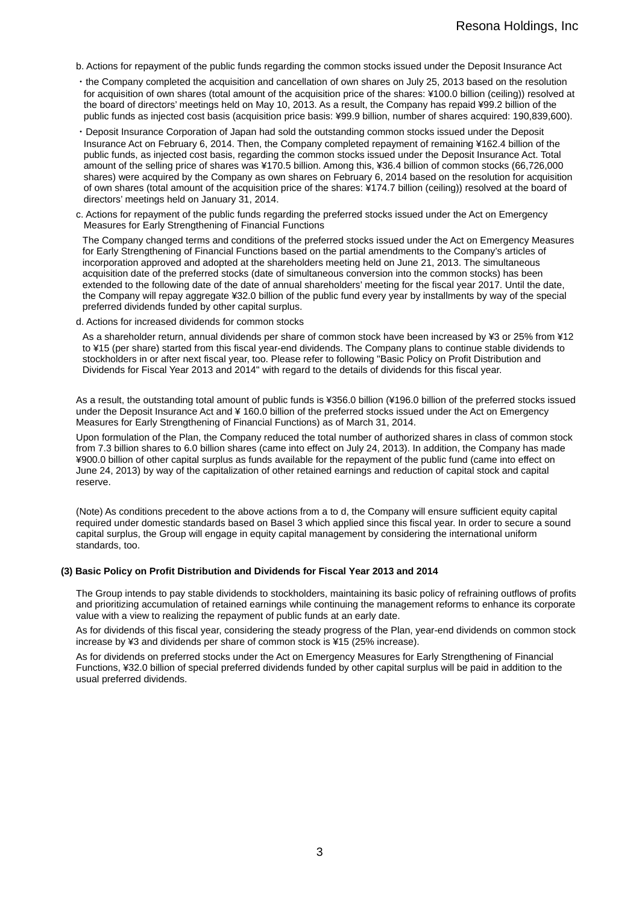- b. Actions for repayment of the public funds regarding the common stocks issued under the Deposit Insurance Act
- ・the Company completed the acquisition and cancellation of own shares on July 25, 2013 based on the resolution for acquisition of own shares (total amount of the acquisition price of the shares: ¥100.0 billion (ceiling)) resolved at the board of directors' meetings held on May 10, 2013. As a result, the Company has repaid ¥99.2 billion of the public funds as injected cost basis (acquisition price basis: ¥99.9 billion, number of shares acquired: 190,839,600).
- ・Deposit Insurance Corporation of Japan had sold the outstanding common stocks issued under the Deposit Insurance Act on February 6, 2014. Then, the Company completed repayment of remaining ¥162.4 billion of the public funds, as injected cost basis, regarding the common stocks issued under the Deposit Insurance Act. Total amount of the selling price of shares was ¥170.5 billion. Among this, ¥36.4 billion of common stocks (66,726,000 shares) were acquired by the Company as own shares on February 6, 2014 based on the resolution for acquisition of own shares (total amount of the acquisition price of the shares: ¥174.7 billion (ceiling)) resolved at the board of directors' meetings held on January 31, 2014.
- c. Actions for repayment of the public funds regarding the preferred stocks issued under the Act on Emergency Measures for Early Strengthening of Financial Functions

The Company changed terms and conditions of the preferred stocks issued under the Act on Emergency Measures for Early Strengthening of Financial Functions based on the partial amendments to the Company's articles of incorporation approved and adopted at the shareholders meeting held on June 21, 2013. The simultaneous acquisition date of the preferred stocks (date of simultaneous conversion into the common stocks) has been extended to the following date of the date of annual shareholders' meeting for the fiscal year 2017. Until the date, the Company will repay aggregate ¥32.0 billion of the public fund every year by installments by way of the special preferred dividends funded by other capital surplus.

d. Actions for increased dividends for common stocks

As a shareholder return, annual dividends per share of common stock have been increased by ¥3 or 25% from ¥12 to ¥15 (per share) started from this fiscal year-end dividends. The Company plans to continue stable dividends to stockholders in or after next fiscal year, too. Please refer to following "Basic Policy on Profit Distribution and Dividends for Fiscal Year 2013 and 2014" with regard to the details of dividends for this fiscal year.

As a result, the outstanding total amount of public funds is ¥356.0 billion (¥196.0 billion of the preferred stocks issued under the Deposit Insurance Act and ¥ 160.0 billion of the preferred stocks issued under the Act on Emergency Measures for Early Strengthening of Financial Functions) as of March 31, 2014.

Upon formulation of the Plan, the Company reduced the total number of authorized shares in class of common stock from 7.3 billion shares to 6.0 billion shares (came into effect on July 24, 2013). In addition, the Company has made ¥900.0 billion of other capital surplus as funds available for the repayment of the public fund (came into effect on June 24, 2013) by way of the capitalization of other retained earnings and reduction of capital stock and capital reserve.

(Note) As conditions precedent to the above actions from a to d, the Company will ensure sufficient equity capital required under domestic standards based on Basel 3 which applied since this fiscal year. In order to secure a sound capital surplus, the Group will engage in equity capital management by considering the international uniform standards, too.

#### **(3) Basic Policy on Profit Distribution and Dividends for Fiscal Year 2013 and 2014**

The Group intends to pay stable dividends to stockholders, maintaining its basic policy of refraining outflows of profits and prioritizing accumulation of retained earnings while continuing the management reforms to enhance its corporate value with a view to realizing the repayment of public funds at an early date.

As for dividends of this fiscal year, considering the steady progress of the Plan, year-end dividends on common stock increase by ¥3 and dividends per share of common stock is ¥15 (25% increase).

As for dividends on preferred stocks under the Act on Emergency Measures for Early Strengthening of Financial Functions, ¥32.0 billion of special preferred dividends funded by other capital surplus will be paid in addition to the usual preferred dividends.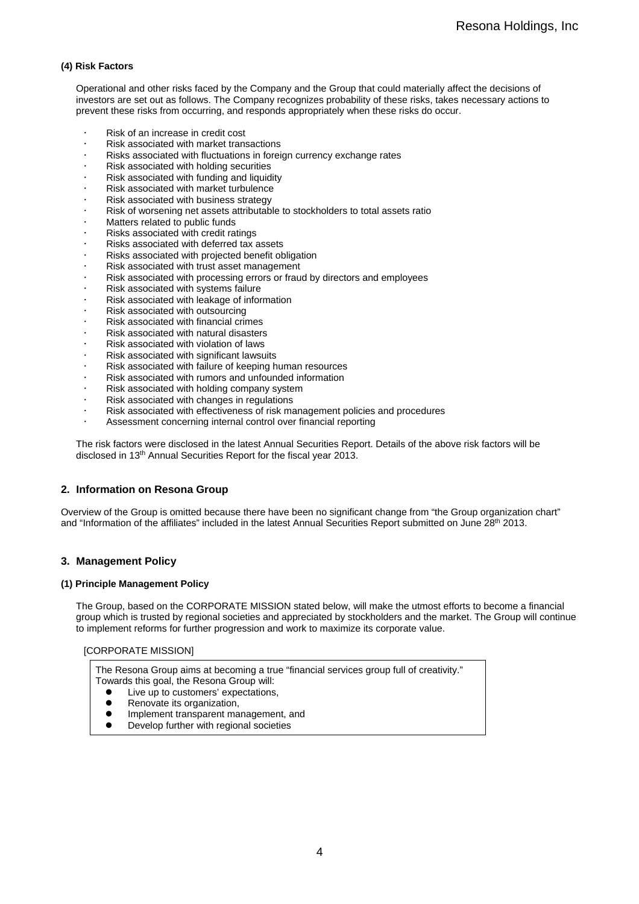### **(4) Risk Factors**

Operational and other risks faced by the Company and the Group that could materially affect the decisions of investors are set out as follows. The Company recognizes probability of these risks, takes necessary actions to prevent these risks from occurring, and responds appropriately when these risks do occur.

- Risk of an increase in credit cost
- Risk associated with market transactions
- Risks associated with fluctuations in foreign currency exchange rates
- Risk associated with holding securities
- Risk associated with funding and liquidity
- Risk associated with market turbulence
- Risk associated with business strategy
- Risk of worsening net assets attributable to stockholders to total assets ratio
- Matters related to public funds
- Risks associated with credit ratings
- Risks associated with deferred tax assets
- Risks associated with projected benefit obligation
- Risk associated with trust asset management
- Risk associated with processing errors or fraud by directors and employees
- Risk associated with systems failure
- Risk associated with leakage of information
- Risk associated with outsourcing
- Risk associated with financial crimes
- Risk associated with natural disasters
- Risk associated with violation of laws
- Risk associated with significant lawsuits
- Risk associated with failure of keeping human resources
- Risk associated with rumors and unfounded information
- Risk associated with holding company system
- Risk associated with changes in regulations
- Risk associated with effectiveness of risk management policies and procedures
- Assessment concerning internal control over financial reporting

The risk factors were disclosed in the latest Annual Securities Report. Details of the above risk factors will be disclosed in 13th Annual Securities Report for the fiscal year 2013.

### **2. Information on Resona Group**

Overview of the Group is omitted because there have been no significant change from "the Group organization chart" and "Information of the affiliates" included in the latest Annual Securities Report submitted on June 28th 2013.

## **3. Management Policy**

### **(1) Principle Management Policy**

The Group, based on the CORPORATE MISSION stated below, will make the utmost efforts to become a financial group which is trusted by regional societies and appreciated by stockholders and the market. The Group will continue to implement reforms for further progression and work to maximize its corporate value.

### [CORPORATE MISSION]

The Resona Group aims at becoming a true "financial services group full of creativity." Towards this goal, the Resona Group will:

- Live up to customers' expectations,<br>• Renovate its organization
- Renovate its organization,
- Implement transparent management, and<br>• Develop further with regional societies
- Develop further with regional societies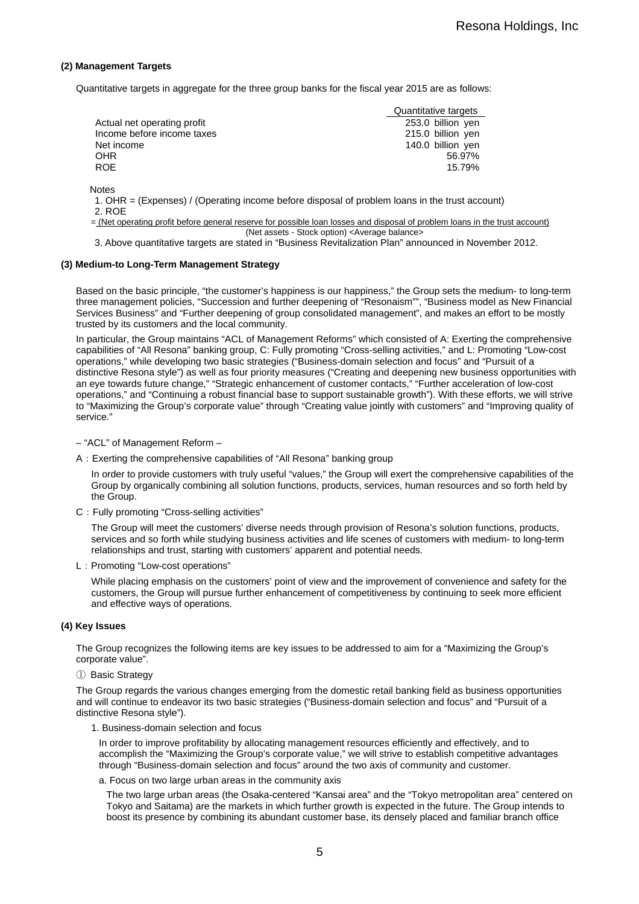#### **(2) Management Targets**

Quantitative targets in aggregate for the three group banks for the fiscal year 2015 are as follows:

|                             | Quantitative targets |
|-----------------------------|----------------------|
| Actual net operating profit | 253.0 billion yen    |
| Income before income taxes  | 215.0 billion yen    |
| Net income                  | 140.0 billion yen    |
| <b>OHR</b>                  | 56.97%               |
| <b>ROE</b>                  | 15.79%               |

**Notes** 

1. OHR = (Expenses) / (Operating income before disposal of problem loans in the trust account) 2. ROE

= (Net operating profit before general reserve for possible loan losses and disposal of problem loans in the trust account) (Net assets - Stock option) <Average balance>

3. Above quantitative targets are stated in "Business Revitalization Plan" announced in November 2012.

#### **(3) Medium-to Long-Term Management Strategy**

Based on the basic principle, "the customer's happiness is our happiness," the Group sets the medium- to long-term three management policies, "Succession and further deepening of "Resonaism"", "Business model as New Financial Services Business" and "Further deepening of group consolidated management", and makes an effort to be mostly trusted by its customers and the local community.

In particular, the Group maintains "ACL of Management Reforms" which consisted of A: Exerting the comprehensive capabilities of "All Resona" banking group, C: Fully promoting "Cross-selling activities," and L: Promoting "Low-cost operations," while developing two basic strategies ("Business-domain selection and focus" and "Pursuit of a distinctive Resona style") as well as four priority measures ("Creating and deepening new business opportunities with an eye towards future change," "Strategic enhancement of customer contacts," "Further acceleration of low-cost operations," and "Continuing a robust financial base to support sustainable growth"). With these efforts, we will strive to "Maximizing the Group's corporate value" through "Creating value jointly with customers" and "Improving quality of service."

- "ACL" of Management Reform –
- A:Exerting the comprehensive capabilities of "All Resona" banking group

In order to provide customers with truly useful "values," the Group will exert the comprehensive capabilities of the Group by organically combining all solution functions, products, services, human resources and so forth held by the Group.

C: Fully promoting "Cross-selling activities"

The Group will meet the customers' diverse needs through provision of Resona's solution functions, products, services and so forth while studying business activities and life scenes of customers with medium- to long-term relationships and trust, starting with customers' apparent and potential needs.

L:Promoting "Low-cost operations"

While placing emphasis on the customers' point of view and the improvement of convenience and safety for the customers, the Group will pursue further enhancement of competitiveness by continuing to seek more efficient and effective ways of operations.

#### **(4) Key Issues**

The Group recognizes the following items are key issues to be addressed to aim for a "Maximizing the Group's corporate value".

① Basic Strategy

The Group regards the various changes emerging from the domestic retail banking field as business opportunities and will continue to endeavor its two basic strategies ("Business-domain selection and focus" and "Pursuit of a distinctive Resona style").

1. Business-domain selection and focus

In order to improve profitability by allocating management resources efficiently and effectively, and to accomplish the "Maximizing the Group's corporate value," we will strive to establish competitive advantages through "Business-domain selection and focus" around the two axis of community and customer.

a. Focus on two large urban areas in the community axis

The two large urban areas (the Osaka-centered "Kansai area" and the "Tokyo metropolitan area" centered on Tokyo and Saitama) are the markets in which further growth is expected in the future. The Group intends to boost its presence by combining its abundant customer base, its densely placed and familiar branch office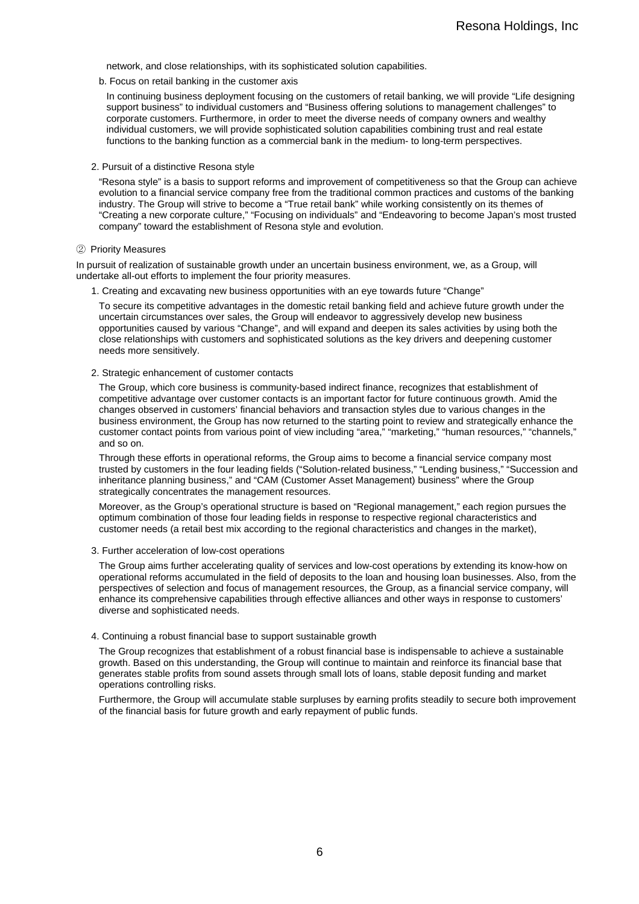network, and close relationships, with its sophisticated solution capabilities.

b. Focus on retail banking in the customer axis

In continuing business deployment focusing on the customers of retail banking, we will provide "Life designing support business" to individual customers and "Business offering solutions to management challenges" to corporate customers. Furthermore, in order to meet the diverse needs of company owners and wealthy individual customers, we will provide sophisticated solution capabilities combining trust and real estate functions to the banking function as a commercial bank in the medium- to long-term perspectives.

2. Pursuit of a distinctive Resona style

"Resona style" is a basis to support reforms and improvement of competitiveness so that the Group can achieve evolution to a financial service company free from the traditional common practices and customs of the banking industry. The Group will strive to become a "True retail bank" while working consistently on its themes of "Creating a new corporate culture," "Focusing on individuals" and "Endeavoring to become Japan's most trusted company" toward the establishment of Resona style and evolution.

#### ② Priority Measures

In pursuit of realization of sustainable growth under an uncertain business environment, we, as a Group, will undertake all-out efforts to implement the four priority measures.

1. Creating and excavating new business opportunities with an eye towards future "Change"

To secure its competitive advantages in the domestic retail banking field and achieve future growth under the uncertain circumstances over sales, the Group will endeavor to aggressively develop new business opportunities caused by various "Change", and will expand and deepen its sales activities by using both the close relationships with customers and sophisticated solutions as the key drivers and deepening customer needs more sensitively.

2. Strategic enhancement of customer contacts

The Group, which core business is community-based indirect finance, recognizes that establishment of competitive advantage over customer contacts is an important factor for future continuous growth. Amid the changes observed in customers' financial behaviors and transaction styles due to various changes in the business environment, the Group has now returned to the starting point to review and strategically enhance the customer contact points from various point of view including "area," "marketing," "human resources," "channels," and so on.

Through these efforts in operational reforms, the Group aims to become a financial service company most trusted by customers in the four leading fields ("Solution-related business," "Lending business," "Succession and inheritance planning business," and "CAM (Customer Asset Management) business" where the Group strategically concentrates the management resources.

Moreover, as the Group's operational structure is based on "Regional management," each region pursues the optimum combination of those four leading fields in response to respective regional characteristics and customer needs (a retail best mix according to the regional characteristics and changes in the market),

3. Further acceleration of low-cost operations

The Group aims further accelerating quality of services and low-cost operations by extending its know-how on operational reforms accumulated in the field of deposits to the loan and housing loan businesses. Also, from the perspectives of selection and focus of management resources, the Group, as a financial service company, will enhance its comprehensive capabilities through effective alliances and other ways in response to customers' diverse and sophisticated needs.

#### 4. Continuing a robust financial base to support sustainable growth

The Group recognizes that establishment of a robust financial base is indispensable to achieve a sustainable growth. Based on this understanding, the Group will continue to maintain and reinforce its financial base that generates stable profits from sound assets through small lots of loans, stable deposit funding and market operations controlling risks.

Furthermore, the Group will accumulate stable surpluses by earning profits steadily to secure both improvement of the financial basis for future growth and early repayment of public funds.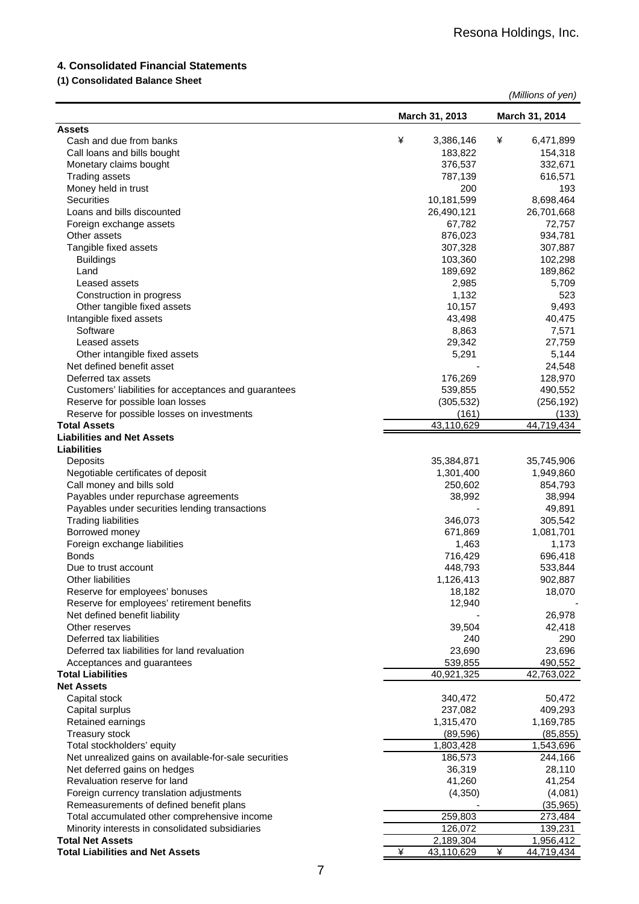## **4. Consolidated Financial Statements**

## **(1) Consolidated Balance Sheet**

|                                                          |                 | (Millions of yen) |
|----------------------------------------------------------|-----------------|-------------------|
|                                                          | March 31, 2013  | March 31, 2014    |
| <b>Assets</b>                                            |                 |                   |
| Cash and due from banks                                  | ¥<br>3,386,146  | ¥<br>6,471,899    |
| Call loans and bills bought                              | 183,822         | 154,318           |
| Monetary claims bought                                   | 376,537         | 332,671           |
| <b>Trading assets</b>                                    | 787,139         | 616,571           |
| Money held in trust                                      | 200             | 193               |
| <b>Securities</b>                                        | 10,181,599      | 8,698,464         |
| Loans and bills discounted                               | 26,490,121      | 26,701,668        |
| Foreign exchange assets                                  | 67,782          | 72,757            |
| Other assets                                             | 876,023         | 934,781           |
| Tangible fixed assets                                    | 307,328         | 307,887           |
| <b>Buildings</b>                                         | 103,360         | 102,298           |
| Land                                                     | 189,692         | 189,862           |
| Leased assets                                            | 2,985           | 5,709             |
| Construction in progress                                 | 1,132           | 523               |
| Other tangible fixed assets                              | 10,157          | 9,493             |
| Intangible fixed assets                                  | 43,498          | 40,475            |
| Software                                                 | 8,863           | 7,571             |
| Leased assets                                            | 29,342          | 27,759            |
| Other intangible fixed assets                            | 5,291           | 5,144             |
| Net defined benefit asset                                |                 | 24,548            |
| Deferred tax assets                                      | 176,269         | 128,970           |
| Customers' liabilities for acceptances and guarantees    | 539,855         | 490,552           |
| Reserve for possible loan losses                         | (305, 532)      | (256, 192)        |
| Reserve for possible losses on investments               | (161)           | (133)             |
| <b>Total Assets</b><br><b>Liabilities and Net Assets</b> | 43,110,629      | 44,719,434        |
| <b>Liabilities</b>                                       |                 |                   |
| Deposits                                                 | 35,384,871      | 35,745,906        |
| Negotiable certificates of deposit                       | 1,301,400       | 1,949,860         |
| Call money and bills sold                                | 250,602         | 854,793           |
| Payables under repurchase agreements                     | 38,992          | 38,994            |
| Payables under securities lending transactions           |                 | 49,891            |
| <b>Trading liabilities</b>                               | 346,073         | 305,542           |
| Borrowed money                                           | 671,869         | 1,081,701         |
| Foreign exchange liabilities                             | 1,463           | 1,173             |
| <b>Bonds</b>                                             | 716,429         | 696,418           |
| Due to trust account                                     | 448,793         | 533,844           |
| <b>Other liabilities</b>                                 | 1,126,413       | 902,887           |
| Reserve for employees' bonuses                           | 18,182          | 18,070            |
| Reserve for employees' retirement benefits               | 12,940          |                   |
| Net defined benefit liability                            |                 | 26,978            |
| Other reserves                                           | 39,504          | 42,418            |
| Deferred tax liabilities                                 | 240             | 290               |
| Deferred tax liabilities for land revaluation            | 23,690          | 23,696            |
| Acceptances and guarantees                               | 539,855         | 490,552           |
| <b>Total Liabilities</b>                                 | 40,921,325      | 42,763,022        |
| <b>Net Assets</b>                                        |                 |                   |
| Capital stock                                            | 340,472         | 50,472            |
| Capital surplus                                          | 237,082         | 409,293           |
| Retained earnings                                        | 1,315,470       | 1,169,785         |
| <b>Treasury stock</b>                                    | (89, 596)       | (85, 855)         |
| Total stockholders' equity                               | 1,803,428       | 1,543,696         |
| Net unrealized gains on available-for-sale securities    | 186,573         | 244,166           |
| Net deferred gains on hedges                             | 36,319          | 28,110            |
| Revaluation reserve for land                             | 41,260          | 41,254            |
| Foreign currency translation adjustments                 | (4,350)         | (4,081)           |
| Remeasurements of defined benefit plans                  |                 | (35, 965)         |
| Total accumulated other comprehensive income             | 259,803         | 273,484           |
| Minority interests in consolidated subsidiaries          | 126,072         | 139,231           |
| <b>Total Net Assets</b>                                  | 2,189,304       | 1,956,412         |
| <b>Total Liabilities and Net Assets</b>                  | ¥<br>43,110,629 | ¥<br>44,719,434   |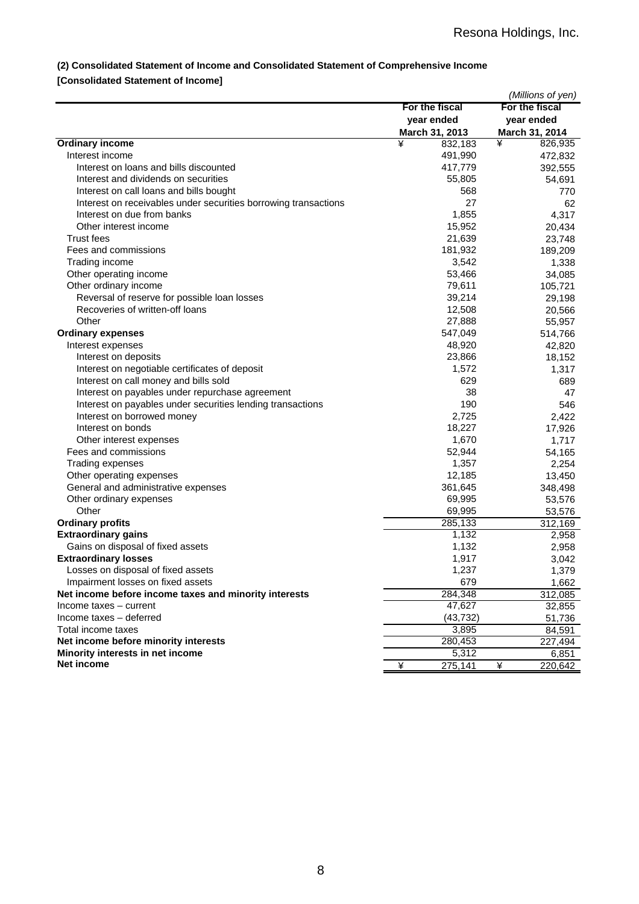## **(2) Consolidated Statement of Income and Consolidated Statement of Comprehensive Income**

## **[Consolidated Statement of Income]**

|                                                                         |                |   | (Millions of yen) |
|-------------------------------------------------------------------------|----------------|---|-------------------|
|                                                                         | For the fiscal |   | For the fiscal    |
|                                                                         | year ended     |   | year ended        |
|                                                                         | March 31, 2013 |   | March 31, 2014    |
| <b>Ordinary income</b>                                                  | ¥<br>832,183   | ¥ | 826,935           |
| Interest income                                                         | 491,990        |   | 472,832           |
| Interest on loans and bills discounted                                  | 417,779        |   | 392,555           |
| Interest and dividends on securities                                    | 55,805         |   | 54,691            |
| Interest on call loans and bills bought                                 | 568            |   | 770               |
| Interest on receivables under securities borrowing transactions         | 27             |   | 62                |
| Interest on due from banks                                              | 1,855          |   | 4,317             |
| Other interest income                                                   | 15,952         |   | 20,434            |
| Trust fees                                                              | 21,639         |   | 23,748            |
| Fees and commissions                                                    | 181,932        |   | 189,209           |
| Trading income                                                          | 3,542          |   | 1,338             |
| Other operating income                                                  | 53,466         |   | 34,085            |
| Other ordinary income                                                   | 79,611         |   | 105,721           |
| Reversal of reserve for possible loan losses                            | 39,214         |   | 29,198            |
| Recoveries of written-off loans                                         | 12,508         |   | 20,566            |
| Other                                                                   | 27,888         |   | 55,957            |
| <b>Ordinary expenses</b>                                                | 547,049        |   | 514,766           |
| Interest expenses                                                       | 48,920         |   | 42,820            |
| Interest on deposits                                                    | 23,866         |   | 18,152            |
| Interest on negotiable certificates of deposit                          | 1,572          |   | 1,317             |
| Interest on call money and bills sold                                   | 629            |   | 689               |
| Interest on payables under repurchase agreement                         | 38             |   | 47                |
| Interest on payables under securities lending transactions              | 190            |   | 546               |
| Interest on borrowed money                                              | 2,725          |   | 2,422             |
| Interest on bonds                                                       | 18,227         |   | 17,926            |
| Other interest expenses                                                 | 1,670          |   | 1,717             |
| Fees and commissions                                                    | 52,944         |   | 54,165            |
| Trading expenses                                                        | 1,357          |   | 2,254             |
| Other operating expenses                                                | 12,185         |   | 13,450            |
| General and administrative expenses                                     | 361,645        |   | 348,498           |
|                                                                         | 69,995         |   | 53,576            |
| Other ordinary expenses<br>Other                                        | 69,995         |   | 53,576            |
| <b>Ordinary profits</b>                                                 | 285,133        |   | 312,169           |
| <b>Extraordinary gains</b>                                              | 1,132          |   | 2,958             |
| Gains on disposal of fixed assets                                       | 1,132          |   | 2,958             |
| <b>Extraordinary losses</b>                                             | 1,917          |   | 3,042             |
|                                                                         |                |   |                   |
| Losses on disposal of fixed assets<br>Impairment losses on fixed assets | 1,237<br>679   |   | 1,379             |
| Net income before income taxes and minority interests                   | 284,348        |   | 1,662             |
|                                                                         |                |   | 312,085           |
| Income taxes – current                                                  | 47,627         |   | 32,855            |
| Income taxes - deferred                                                 | (43, 732)      |   | 51,736            |
| Total income taxes                                                      | 3,895          |   | 84,591            |
| Net income before minority interests                                    | 280,453        |   | 227,494           |
| Minority interests in net income<br>Net income                          | 5,312          |   | 6,851             |
|                                                                         | ¥<br>275,141   | ¥ | 220,642           |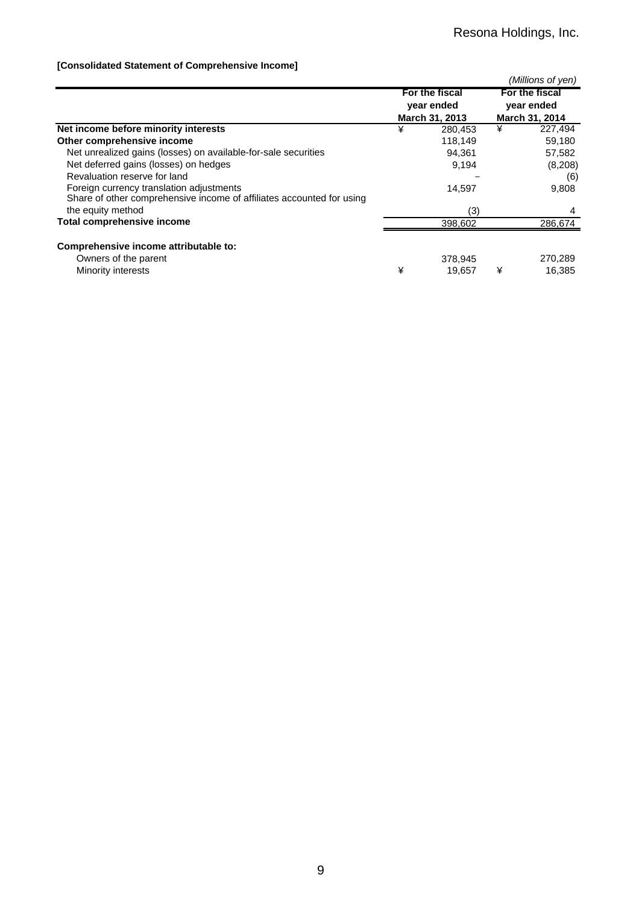## **[Consolidated Statement of Comprehensive Income]**

|                                                                       |   |                |   | (Millions of yen) |
|-----------------------------------------------------------------------|---|----------------|---|-------------------|
|                                                                       |   | For the fiscal |   | For the fiscal    |
|                                                                       |   | year ended     |   | year ended        |
|                                                                       |   | March 31, 2013 |   | March 31, 2014    |
| Net income before minority interests                                  | ¥ | 280,453        | ¥ | 227,494           |
| Other comprehensive income                                            |   | 118,149        |   | 59,180            |
| Net unrealized gains (losses) on available-for-sale securities        |   | 94.361         |   | 57,582            |
| Net deferred gains (losses) on hedges                                 |   | 9,194          |   | (8,208)           |
| Revaluation reserve for land                                          |   |                |   | (6)               |
| Foreign currency translation adjustments                              |   | 14,597         |   | 9,808             |
| Share of other comprehensive income of affiliates accounted for using |   |                |   |                   |
| the equity method                                                     |   | (3)            |   | 4                 |
| Total comprehensive income                                            |   | 398,602        |   | 286,674           |
|                                                                       |   |                |   |                   |
| Comprehensive income attributable to:                                 |   |                |   |                   |
| Owners of the parent                                                  |   | 378.945        |   | 270,289           |
| Minority interests                                                    | ¥ | 19.657         | ¥ | 16.385            |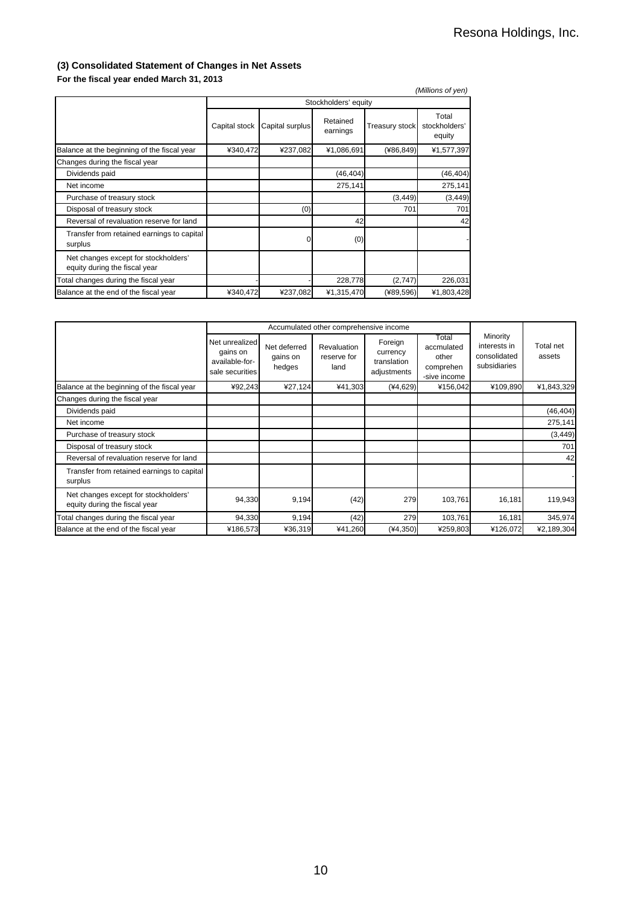## **(3) Consolidated Statement of Changes in Net Assets**

**For the fiscal year ended March 31, 2013**

| . U. 1.10 1190ai yuu unuu murul U., Lu IV                             |               |                      |                      |                       | (Millions of yen)                |  |  |
|-----------------------------------------------------------------------|---------------|----------------------|----------------------|-----------------------|----------------------------------|--|--|
|                                                                       |               | Stockholders' equity |                      |                       |                                  |  |  |
|                                                                       | Capital stock | Capital surplus      | Retained<br>earnings | <b>Treasury stock</b> | Total<br>stockholders'<br>equity |  |  |
| Balance at the beginning of the fiscal year                           | ¥340,472      | ¥237,082             | ¥1,086,691           | (486, 849)            | ¥1,577,397                       |  |  |
| Changes during the fiscal year                                        |               |                      |                      |                       |                                  |  |  |
| Dividends paid                                                        |               |                      | (46, 404)            |                       | (46, 404)                        |  |  |
| Net income                                                            |               |                      | 275,141              |                       | 275,141                          |  |  |
| Purchase of treasury stock                                            |               |                      |                      | (3, 449)              | (3, 449)                         |  |  |
| Disposal of treasury stock                                            |               | (0)                  |                      | 701                   | 701                              |  |  |
| Reversal of revaluation reserve for land                              |               |                      | 42                   |                       | 42                               |  |  |
| Transfer from retained earnings to capital<br>surplus                 |               | U                    | (0)                  |                       |                                  |  |  |
| Net changes except for stockholders'<br>equity during the fiscal year |               |                      |                      |                       |                                  |  |  |
| Total changes during the fiscal year                                  |               |                      | 228,778              | (2,747)               | 226,031                          |  |  |
| Balance at the end of the fiscal year                                 | ¥340,472      | ¥237,082             | ¥1,315,470           | (489, 596)            | ¥1,803,428                       |  |  |

|                                                                       |                                                                 | Accumulated other comprehensive income |                                    |                                                   |                                                           |                                                          |                     |
|-----------------------------------------------------------------------|-----------------------------------------------------------------|----------------------------------------|------------------------------------|---------------------------------------------------|-----------------------------------------------------------|----------------------------------------------------------|---------------------|
|                                                                       | Net unrealized<br>gains on<br>available-for-<br>sale securities | Net deferred<br>gains on<br>hedges     | Revaluation<br>reserve for<br>land | Foreign<br>currency<br>translation<br>adjustments | Total<br>accmulated<br>other<br>comprehen<br>-sive income | Minority<br>interests in<br>consolidated<br>subsidiaries | Total net<br>assets |
| Balance at the beginning of the fiscal year                           | ¥92,243                                                         | ¥27,124                                | ¥41,303                            | $(*4,629)$                                        | ¥156,042                                                  | ¥109,890                                                 | ¥1,843,329          |
| Changes during the fiscal year                                        |                                                                 |                                        |                                    |                                                   |                                                           |                                                          |                     |
| Dividends paid                                                        |                                                                 |                                        |                                    |                                                   |                                                           |                                                          | (46, 404)           |
| Net income                                                            |                                                                 |                                        |                                    |                                                   |                                                           |                                                          | 275,141             |
| Purchase of treasury stock                                            |                                                                 |                                        |                                    |                                                   |                                                           |                                                          | (3, 449)            |
| Disposal of treasury stock                                            |                                                                 |                                        |                                    |                                                   |                                                           |                                                          | 701                 |
| Reversal of revaluation reserve for land                              |                                                                 |                                        |                                    |                                                   |                                                           |                                                          | 42                  |
| Transfer from retained earnings to capital<br>surplus                 |                                                                 |                                        |                                    |                                                   |                                                           |                                                          |                     |
| Net changes except for stockholders'<br>equity during the fiscal year | 94,330                                                          | 9,194                                  | (42)                               | 279                                               | 103,761                                                   | 16,181                                                   | 119,943             |
| Total changes during the fiscal year                                  | 94,330                                                          | 9,194                                  | (42)                               | 279                                               | 103,761                                                   | 16,181                                                   | 345,974             |
| Balance at the end of the fiscal year                                 | ¥186,573                                                        | ¥36,319                                | ¥41,260                            | $(*4,350)$                                        | ¥259,803                                                  | ¥126,072                                                 | ¥2,189,304          |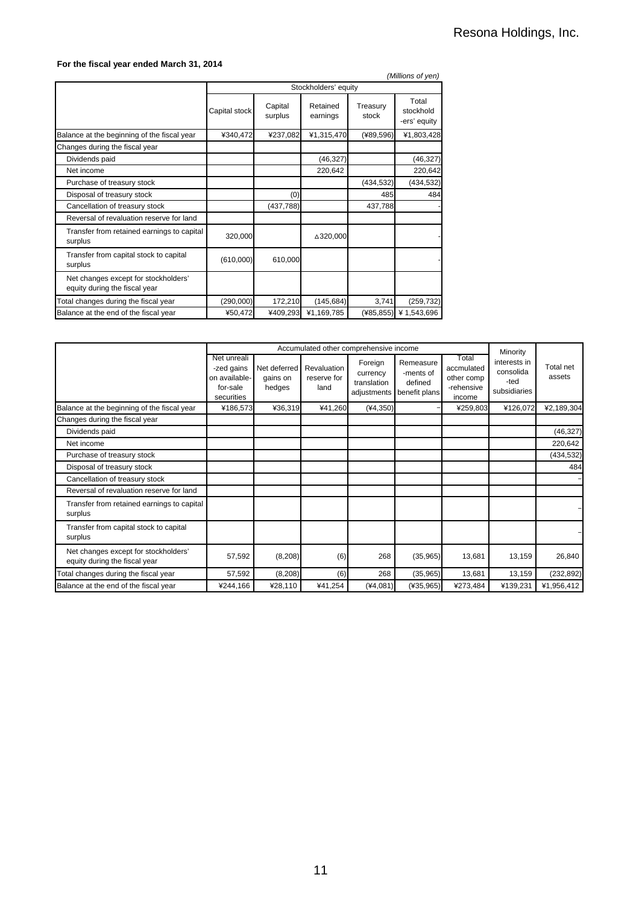### **For the fiscal year ended March 31, 2014**

|                                                                       |               |                      |                      |                   | (Millions of yen)                  |  |  |
|-----------------------------------------------------------------------|---------------|----------------------|----------------------|-------------------|------------------------------------|--|--|
|                                                                       |               | Stockholders' equity |                      |                   |                                    |  |  |
|                                                                       | Capital stock | Capital<br>surplus   | Retained<br>earnings | Treasury<br>stock | Total<br>stockhold<br>-ers' equity |  |  |
| Balance at the beginning of the fiscal year                           | ¥340,472      | ¥237,082             | ¥1,315,470           | (¥89,596)         | ¥1,803,428                         |  |  |
| Changes during the fiscal year                                        |               |                      |                      |                   |                                    |  |  |
| Dividends paid                                                        |               |                      | (46, 327)            |                   | (46, 327)                          |  |  |
| Net income                                                            |               |                      | 220,642              |                   | 220,642                            |  |  |
| Purchase of treasury stock                                            |               |                      |                      | (434, 532)        | (434, 532)                         |  |  |
| Disposal of treasury stock                                            |               | (0)                  |                      | 485               | 484                                |  |  |
| Cancellation of treasury stock                                        |               | (437, 788)           |                      | 437,788           |                                    |  |  |
| Reversal of revaluation reserve for land                              |               |                      |                      |                   |                                    |  |  |
| Transfer from retained earnings to capital<br>surplus                 | 320,000       |                      | △320,000             |                   |                                    |  |  |
| Transfer from capital stock to capital<br>surplus                     | (610,000)     | 610,000              |                      |                   |                                    |  |  |
| Net changes except for stockholders'<br>equity during the fiscal year |               |                      |                      |                   |                                    |  |  |
| Total changes during the fiscal year                                  | (290,000)     | 172,210              | (145, 684)           | 3,741             | (259, 732)                         |  |  |
| Balance at the end of the fiscal year                                 | ¥50,472       | ¥409,293             | ¥1,169,785           | (485, 855)        | ¥1,543,696                         |  |  |

|                                                                       |                                                                      | Accumulated other comprehensive income |                                    | Minority                                          |                                                    |                                                           |                                                   |                     |
|-----------------------------------------------------------------------|----------------------------------------------------------------------|----------------------------------------|------------------------------------|---------------------------------------------------|----------------------------------------------------|-----------------------------------------------------------|---------------------------------------------------|---------------------|
|                                                                       | Net unreali<br>-zed gains<br>on available-<br>for-sale<br>securities | Net deferred<br>gains on<br>hedges     | Revaluation<br>reserve for<br>land | Foreign<br>currency<br>translation<br>adjustments | Remeasure<br>-ments of<br>defined<br>benefit plans | Total<br>accmulated<br>other comp<br>-rehensive<br>income | interests in<br>consolida<br>-ted<br>subsidiaries | Total net<br>assets |
| Balance at the beginning of the fiscal year                           | ¥186,573                                                             | ¥36,319                                | ¥41,260                            | $(*4,350)$                                        |                                                    | ¥259,803                                                  | ¥126,072                                          | ¥2,189,304          |
| Changes during the fiscal year                                        |                                                                      |                                        |                                    |                                                   |                                                    |                                                           |                                                   |                     |
| Dividends paid                                                        |                                                                      |                                        |                                    |                                                   |                                                    |                                                           |                                                   | (46, 327)           |
| Net income                                                            |                                                                      |                                        |                                    |                                                   |                                                    |                                                           |                                                   | 220,642             |
| Purchase of treasury stock                                            |                                                                      |                                        |                                    |                                                   |                                                    |                                                           |                                                   | (434, 532)          |
| Disposal of treasury stock                                            |                                                                      |                                        |                                    |                                                   |                                                    |                                                           |                                                   | 484                 |
| Cancellation of treasury stock                                        |                                                                      |                                        |                                    |                                                   |                                                    |                                                           |                                                   |                     |
| Reversal of revaluation reserve for land                              |                                                                      |                                        |                                    |                                                   |                                                    |                                                           |                                                   |                     |
| Transfer from retained earnings to capital<br>surplus                 |                                                                      |                                        |                                    |                                                   |                                                    |                                                           |                                                   |                     |
| Transfer from capital stock to capital<br>surplus                     |                                                                      |                                        |                                    |                                                   |                                                    |                                                           |                                                   |                     |
| Net changes except for stockholders'<br>equity during the fiscal year | 57,592                                                               | (8, 208)                               | (6)                                | 268                                               | (35,965)                                           | 13,681                                                    | 13,159                                            | 26,840              |
| Total changes during the fiscal year                                  | 57,592                                                               | (8, 208)                               | (6)                                | 268                                               | (35, 965)                                          | 13,681                                                    | 13,159                                            | (232, 892)          |
| Balance at the end of the fiscal year                                 | ¥244,166                                                             | ¥28,110                                | ¥41,254                            | $(*4,081)$                                        | $(*35,965)$                                        | ¥273,484                                                  | ¥139,231                                          | ¥1,956,412          |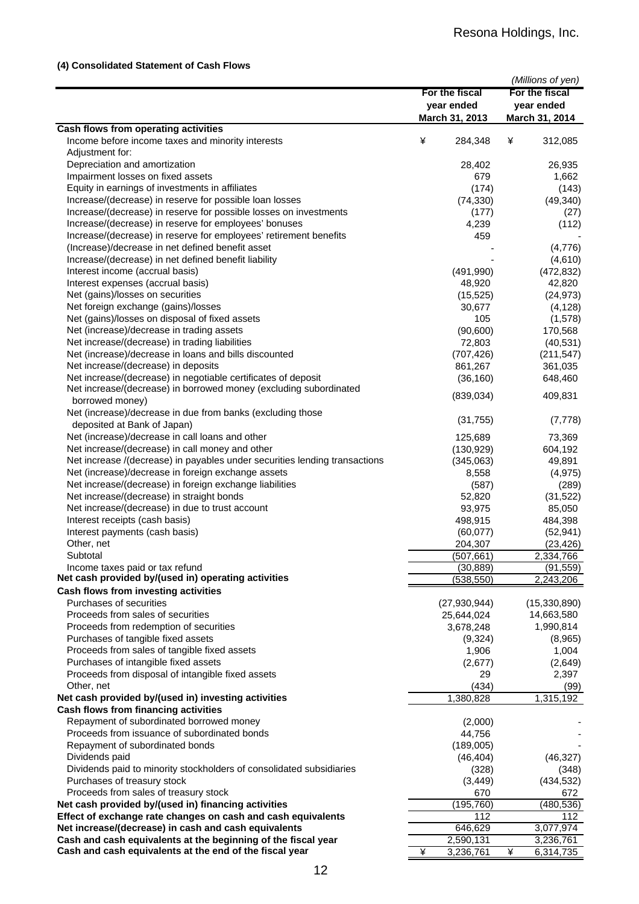## **(4) Consolidated Statement of Cash Flows**

|                                                                                                                       | For the fiscal<br>year ended |                      |   | (Millions of yen)<br>For the fiscal<br>year ended |
|-----------------------------------------------------------------------------------------------------------------------|------------------------------|----------------------|---|---------------------------------------------------|
|                                                                                                                       |                              | March 31, 2013       |   | March 31, 2014                                    |
| Cash flows from operating activities<br>Income before income taxes and minority interests                             | ¥                            | 284,348              | ¥ | 312,085                                           |
| Adjustment for:                                                                                                       |                              |                      |   |                                                   |
| Depreciation and amortization                                                                                         |                              | 28,402               |   | 26,935                                            |
| Impairment losses on fixed assets                                                                                     |                              | 679                  |   | 1,662                                             |
| Equity in earnings of investments in affiliates                                                                       |                              | (174)                |   | (143)                                             |
| Increase/(decrease) in reserve for possible loan losses                                                               |                              | (74, 330)            |   | (49, 340)                                         |
| Increase/(decrease) in reserve for possible losses on investments                                                     |                              | (177)                |   | (27)                                              |
| Increase/(decrease) in reserve for employees' bonuses                                                                 |                              | 4,239                |   | (112)                                             |
| Increase/(decrease) in reserve for employees' retirement benefits                                                     |                              | 459                  |   |                                                   |
| (Increase)/decrease in net defined benefit asset                                                                      |                              |                      |   | (4,776)                                           |
| Increase/(decrease) in net defined benefit liability                                                                  |                              |                      |   | (4,610)                                           |
| Interest income (accrual basis)                                                                                       |                              | (491,990)            |   | (472, 832)                                        |
| Interest expenses (accrual basis)                                                                                     |                              | 48,920               |   | 42,820                                            |
| Net (gains)/losses on securities                                                                                      |                              | (15, 525)            |   | (24, 973)                                         |
| Net foreign exchange (gains)/losses                                                                                   |                              | 30,677               |   | (4, 128)                                          |
| Net (gains)/losses on disposal of fixed assets                                                                        |                              | 105                  |   | (1,578)                                           |
| Net (increase)/decrease in trading assets                                                                             |                              | (90,600)             |   | 170,568                                           |
| Net increase/(decrease) in trading liabilities                                                                        |                              | 72,803               |   | (40, 531)                                         |
| Net (increase)/decrease in loans and bills discounted                                                                 |                              | (707, 426)           |   | (211, 547)                                        |
| Net increase/(decrease) in deposits                                                                                   |                              | 861,267              |   | 361,035                                           |
| Net increase/(decrease) in negotiable certificates of deposit                                                         |                              | (36, 160)            |   | 648,460                                           |
| Net increase/(decrease) in borrowed money (excluding subordinated                                                     |                              |                      |   |                                                   |
| borrowed money)                                                                                                       |                              | (839, 034)           |   | 409,831                                           |
| Net (increase)/decrease in due from banks (excluding those                                                            |                              |                      |   |                                                   |
| deposited at Bank of Japan)                                                                                           |                              | (31, 755)            |   | (7, 778)                                          |
| Net (increase)/decrease in call loans and other                                                                       |                              | 125,689              |   | 73,369                                            |
| Net increase/(decrease) in call money and other                                                                       |                              | (130, 929)           |   | 604,192                                           |
| Net increase /(decrease) in payables under securities lending transactions                                            |                              | (345,063)            |   | 49,891                                            |
| Net (increase)/decrease in foreign exchange assets                                                                    |                              | 8,558                |   | (4, 975)                                          |
| Net increase/(decrease) in foreign exchange liabilities                                                               |                              | (587)                |   | (289)                                             |
| Net increase/(decrease) in straight bonds                                                                             |                              | 52,820               |   | (31, 522)                                         |
| Net increase/(decrease) in due to trust account                                                                       |                              | 93,975               |   | 85,050                                            |
| Interest receipts (cash basis)                                                                                        |                              | 498,915              |   | 484,398                                           |
| Interest payments (cash basis)                                                                                        |                              | (60,077)             |   | (52, 941)                                         |
| Other, net                                                                                                            |                              | 204,307              |   | (23, 426)                                         |
| Subtotal                                                                                                              |                              | (507, 661)           |   | 2,334,766                                         |
| Income taxes paid or tax refund                                                                                       |                              | (30, 889)            |   | (91, 559)                                         |
| Net cash provided by/(used in) operating activities                                                                   |                              | (538, 550)           |   | 2,243,206                                         |
| Cash flows from investing activities                                                                                  |                              |                      |   |                                                   |
| Purchases of securities                                                                                               |                              | (27, 930, 944)       |   | (15, 330, 890)                                    |
| Proceeds from sales of securities                                                                                     |                              | 25,644,024           |   | 14,663,580                                        |
| Proceeds from redemption of securities                                                                                |                              | 3,678,248            |   | 1,990,814                                         |
| Purchases of tangible fixed assets                                                                                    |                              | (9,324)              |   | (8,965)                                           |
| Proceeds from sales of tangible fixed assets                                                                          |                              | 1,906                |   | 1,004                                             |
| Purchases of intangible fixed assets                                                                                  |                              | (2,677)              |   | (2,649)                                           |
| Proceeds from disposal of intangible fixed assets                                                                     |                              | 29                   |   | 2,397                                             |
| Other, net                                                                                                            |                              | (434)                |   | (99)                                              |
| Net cash provided by/(used in) investing activities                                                                   |                              | 1,380,828            |   | 1,315,192                                         |
| Cash flows from financing activities                                                                                  |                              |                      |   |                                                   |
| Repayment of subordinated borrowed money                                                                              |                              | (2,000)              |   |                                                   |
| Proceeds from issuance of subordinated bonds                                                                          |                              | 44,756               |   |                                                   |
| Repayment of subordinated bonds                                                                                       |                              | (189,005)            |   |                                                   |
| Dividends paid                                                                                                        |                              | (46, 404)            |   | (46, 327)                                         |
| Dividends paid to minority stockholders of consolidated subsidiaries                                                  |                              | (328)                |   | (348)                                             |
| Purchases of treasury stock                                                                                           |                              | (3, 449)             |   | (434, 532)                                        |
| Proceeds from sales of treasury stock                                                                                 |                              | 670                  |   | 672                                               |
| Net cash provided by/(used in) financing activities                                                                   |                              | (195, 760)           |   | (480, 536)                                        |
| Effect of exchange rate changes on cash and cash equivalents                                                          |                              | 112                  |   | 112                                               |
| Net increase/(decrease) in cash and cash equivalents<br>Cash and cash equivalents at the beginning of the fiscal year |                              | 646,629<br>2,590,131 |   | 3,077,974<br>3,236,761                            |
| Cash and cash equivalents at the end of the fiscal year                                                               | ¥                            | 3,236,761            | ¥ | 6,314,735                                         |
|                                                                                                                       |                              |                      |   |                                                   |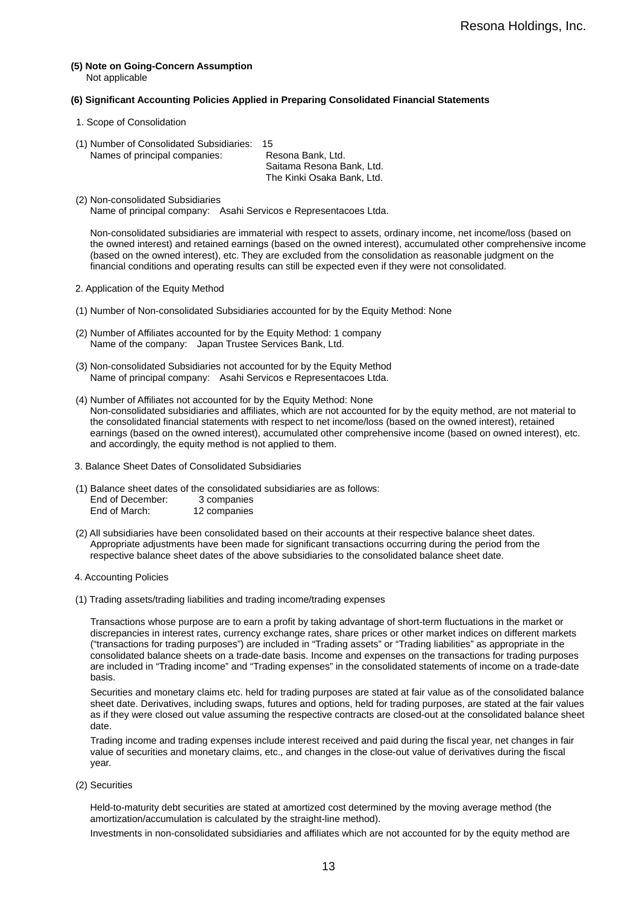**(5) Note on Going-Concern Assumption**  Not applicable

#### **(6) Significant Accounting Policies Applied in Preparing Consolidated Financial Statements**

- 1. Scope of Consolidation
- (1) Number of Consolidated Subsidiaries: 15

Names of principal companies: Resona Bank, Ltd. Saitama Resona Bank, Ltd. The Kinki Osaka Bank, Ltd.

(2) Non-consolidated Subsidiaries Name of principal company: Asahi Servicos e Representacoes Ltda.

Non-consolidated subsidiaries are immaterial with respect to assets, ordinary income, net income/loss (based on the owned interest) and retained earnings (based on the owned interest), accumulated other comprehensive income (based on the owned interest), etc. They are excluded from the consolidation as reasonable judgment on the financial conditions and operating results can still be expected even if they were not consolidated.

- 2. Application of the Equity Method
- (1) Number of Non-consolidated Subsidiaries accounted for by the Equity Method: None
- (2) Number of Affiliates accounted for by the Equity Method: 1 company Name of the company: Japan Trustee Services Bank, Ltd.
- (3) Non-consolidated Subsidiaries not accounted for by the Equity Method Name of principal company: Asahi Servicos e Representacoes Ltda.
- (4) Number of Affiliates not accounted for by the Equity Method: None Non-consolidated subsidiaries and affiliates, which are not accounted for by the equity method, are not material to the consolidated financial statements with respect to net income/loss (based on the owned interest), retained earnings (based on the owned interest), accumulated other comprehensive income (based on owned interest), etc. and accordingly, the equity method is not applied to them.
- 3. Balance Sheet Dates of Consolidated Subsidiaries
- (1) Balance sheet dates of the consolidated subsidiaries are as follows: End of December: 3 companies<br>End of March: 12 companies 12 companies
- (2) All subsidiaries have been consolidated based on their accounts at their respective balance sheet dates. Appropriate adjustments have been made for significant transactions occurring during the period from the respective balance sheet dates of the above subsidiaries to the consolidated balance sheet date.
- 4. Accounting Policies
- (1) Trading assets/trading liabilities and trading income/trading expenses

Transactions whose purpose are to earn a profit by taking advantage of short-term fluctuations in the market or discrepancies in interest rates, currency exchange rates, share prices or other market indices on different markets ("transactions for trading purposes") are included in "Trading assets" or "Trading liabilities" as appropriate in the consolidated balance sheets on a trade-date basis. Income and expenses on the transactions for trading purposes are included in "Trading income" and "Trading expenses" in the consolidated statements of income on a trade-date basis.

Securities and monetary claims etc. held for trading purposes are stated at fair value as of the consolidated balance sheet date. Derivatives, including swaps, futures and options, held for trading purposes, are stated at the fair values as if they were closed out value assuming the respective contracts are closed-out at the consolidated balance sheet date.

Trading income and trading expenses include interest received and paid during the fiscal year, net changes in fair value of securities and monetary claims, etc., and changes in the close-out value of derivatives during the fiscal year.

(2) Securities

Held-to-maturity debt securities are stated at amortized cost determined by the moving average method (the amortization/accumulation is calculated by the straight-line method).

Investments in non-consolidated subsidiaries and affiliates which are not accounted for by the equity method are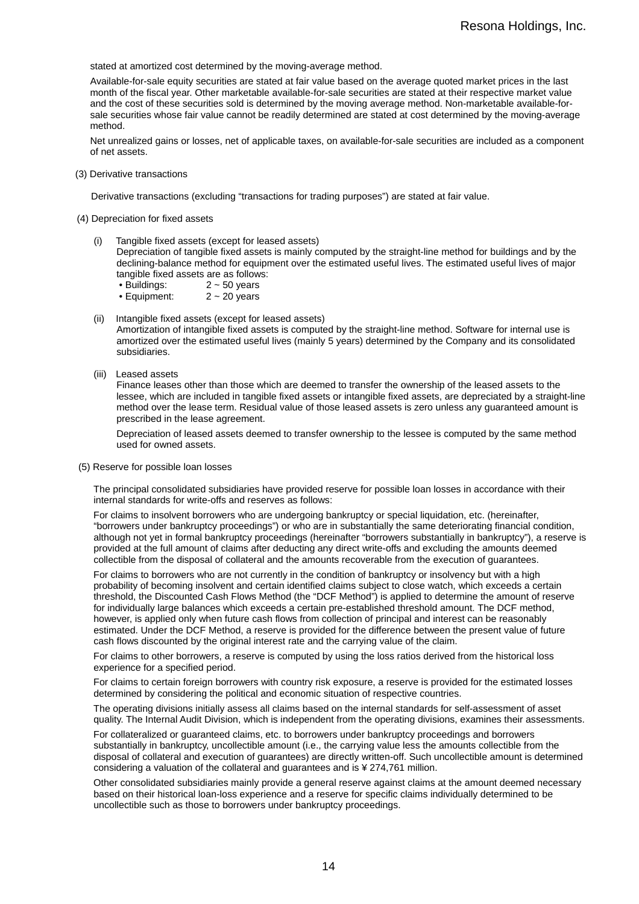stated at amortized cost determined by the moving-average method.

Available-for-sale equity securities are stated at fair value based on the average quoted market prices in the last month of the fiscal year. Other marketable available-for-sale securities are stated at their respective market value and the cost of these securities sold is determined by the moving average method. Non-marketable available-forsale securities whose fair value cannot be readily determined are stated at cost determined by the moving-average method.

Net unrealized gains or losses, net of applicable taxes, on available-for-sale securities are included as a component of net assets.

(3) Derivative transactions

Derivative transactions (excluding "transactions for trading purposes") are stated at fair value.

- (4) Depreciation for fixed assets
	- (i) Tangible fixed assets (except for leased assets)

Depreciation of tangible fixed assets is mainly computed by the straight-line method for buildings and by the declining-balance method for equipment over the estimated useful lives. The estimated useful lives of major tangible fixed assets are as follows:

- Buildings: 2 ~ 50 years
- Equipment: 2 ~ 20 years
- (ii) Intangible fixed assets (except for leased assets) Amortization of intangible fixed assets is computed by the straight-line method. Software for internal use is amortized over the estimated useful lives (mainly 5 years) determined by the Company and its consolidated subsidiaries.
- (iii) Leased assets

Finance leases other than those which are deemed to transfer the ownership of the leased assets to the lessee, which are included in tangible fixed assets or intangible fixed assets, are depreciated by a straight-line method over the lease term. Residual value of those leased assets is zero unless any guaranteed amount is prescribed in the lease agreement.

Depreciation of leased assets deemed to transfer ownership to the lessee is computed by the same method used for owned assets.

(5) Reserve for possible loan losses

The principal consolidated subsidiaries have provided reserve for possible loan losses in accordance with their internal standards for write-offs and reserves as follows:

For claims to insolvent borrowers who are undergoing bankruptcy or special liquidation, etc. (hereinafter, "borrowers under bankruptcy proceedings") or who are in substantially the same deteriorating financial condition, although not yet in formal bankruptcy proceedings (hereinafter "borrowers substantially in bankruptcy"), a reserve is provided at the full amount of claims after deducting any direct write-offs and excluding the amounts deemed collectible from the disposal of collateral and the amounts recoverable from the execution of guarantees.

For claims to borrowers who are not currently in the condition of bankruptcy or insolvency but with a high probability of becoming insolvent and certain identified claims subject to close watch, which exceeds a certain threshold, the Discounted Cash Flows Method (the "DCF Method") is applied to determine the amount of reserve for individually large balances which exceeds a certain pre-established threshold amount. The DCF method, however, is applied only when future cash flows from collection of principal and interest can be reasonably estimated. Under the DCF Method, a reserve is provided for the difference between the present value of future cash flows discounted by the original interest rate and the carrying value of the claim.

For claims to other borrowers, a reserve is computed by using the loss ratios derived from the historical loss experience for a specified period.

For claims to certain foreign borrowers with country risk exposure, a reserve is provided for the estimated losses determined by considering the political and economic situation of respective countries.

The operating divisions initially assess all claims based on the internal standards for self-assessment of asset quality. The Internal Audit Division, which is independent from the operating divisions, examines their assessments.

For collateralized or guaranteed claims, etc. to borrowers under bankruptcy proceedings and borrowers substantially in bankruptcy, uncollectible amount (i.e., the carrying value less the amounts collectible from the disposal of collateral and execution of guarantees) are directly written-off. Such uncollectible amount is determined considering a valuation of the collateral and guarantees and is ¥ 274,761 million.

Other consolidated subsidiaries mainly provide a general reserve against claims at the amount deemed necessary based on their historical loan-loss experience and a reserve for specific claims individually determined to be uncollectible such as those to borrowers under bankruptcy proceedings.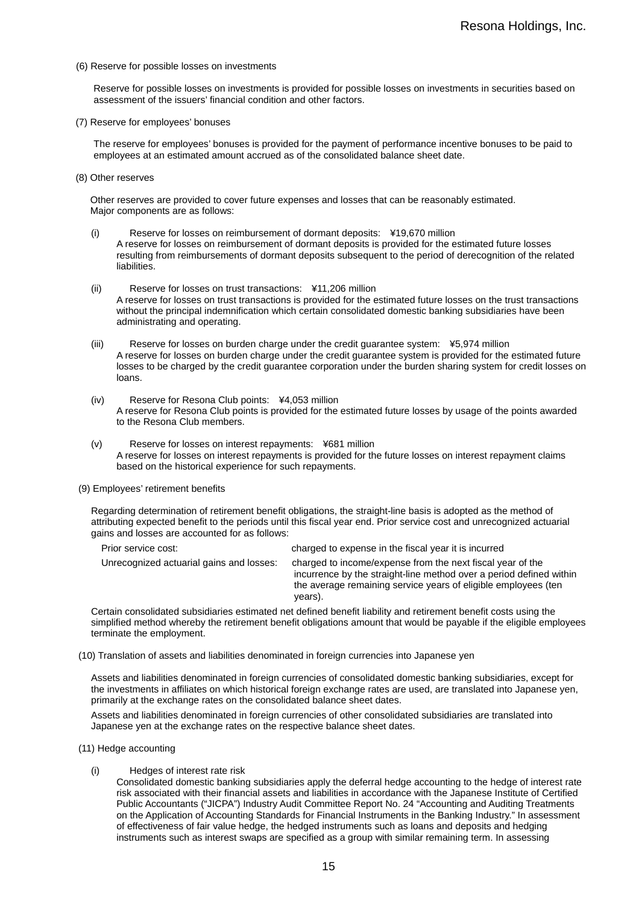(6) Reserve for possible losses on investments

Reserve for possible losses on investments is provided for possible losses on investments in securities based on assessment of the issuers' financial condition and other factors.

(7) Reserve for employees' bonuses

The reserve for employees' bonuses is provided for the payment of performance incentive bonuses to be paid to employees at an estimated amount accrued as of the consolidated balance sheet date.

(8) Other reserves

Other reserves are provided to cover future expenses and losses that can be reasonably estimated. Major components are as follows:

- (i) Reserve for losses on reimbursement of dormant deposits: ¥19,670 million A reserve for losses on reimbursement of dormant deposits is provided for the estimated future losses resulting from reimbursements of dormant deposits subsequent to the period of derecognition of the related liabilities.
- (ii) Reserve for losses on trust transactions: ¥11,206 million A reserve for losses on trust transactions is provided for the estimated future losses on the trust transactions without the principal indemnification which certain consolidated domestic banking subsidiaries have been administrating and operating.
- (iii) Reserve for losses on burden charge under the credit guarantee system: ¥5,974 million A reserve for losses on burden charge under the credit guarantee system is provided for the estimated future losses to be charged by the credit guarantee corporation under the burden sharing system for credit losses on loans.
- (iv) Reserve for Resona Club points: ¥4,053 million A reserve for Resona Club points is provided for the estimated future losses by usage of the points awarded to the Resona Club members.
- (v) Reserve for losses on interest repayments: ¥681 million A reserve for losses on interest repayments is provided for the future losses on interest repayment claims based on the historical experience for such repayments.
- (9) Employees' retirement benefits

Regarding determination of retirement benefit obligations, the straight-line basis is adopted as the method of attributing expected benefit to the periods until this fiscal year end. Prior service cost and unrecognized actuarial gains and losses are accounted for as follows:

| Prior service cost:                      | charged to expense in the fiscal year it is incurred                                                                                                                                                           |
|------------------------------------------|----------------------------------------------------------------------------------------------------------------------------------------------------------------------------------------------------------------|
| Unrecognized actuarial gains and losses: | charged to income/expense from the next fiscal year of the<br>incurrence by the straight-line method over a period defined within<br>the average remaining service years of eligible employees (ten<br>years). |

Certain consolidated subsidiaries estimated net defined benefit liability and retirement benefit costs using the simplified method whereby the retirement benefit obligations amount that would be payable if the eligible employees terminate the employment.

(10) Translation of assets and liabilities denominated in foreign currencies into Japanese yen

Assets and liabilities denominated in foreign currencies of consolidated domestic banking subsidiaries, except for the investments in affiliates on which historical foreign exchange rates are used, are translated into Japanese yen, primarily at the exchange rates on the consolidated balance sheet dates.

Assets and liabilities denominated in foreign currencies of other consolidated subsidiaries are translated into Japanese yen at the exchange rates on the respective balance sheet dates.

- (11) Hedge accounting
	- (i) Hedges of interest rate risk

Consolidated domestic banking subsidiaries apply the deferral hedge accounting to the hedge of interest rate risk associated with their financial assets and liabilities in accordance with the Japanese Institute of Certified Public Accountants ("JICPA") Industry Audit Committee Report No. 24 "Accounting and Auditing Treatments on the Application of Accounting Standards for Financial Instruments in the Banking Industry." In assessment of effectiveness of fair value hedge, the hedged instruments such as loans and deposits and hedging instruments such as interest swaps are specified as a group with similar remaining term. In assessing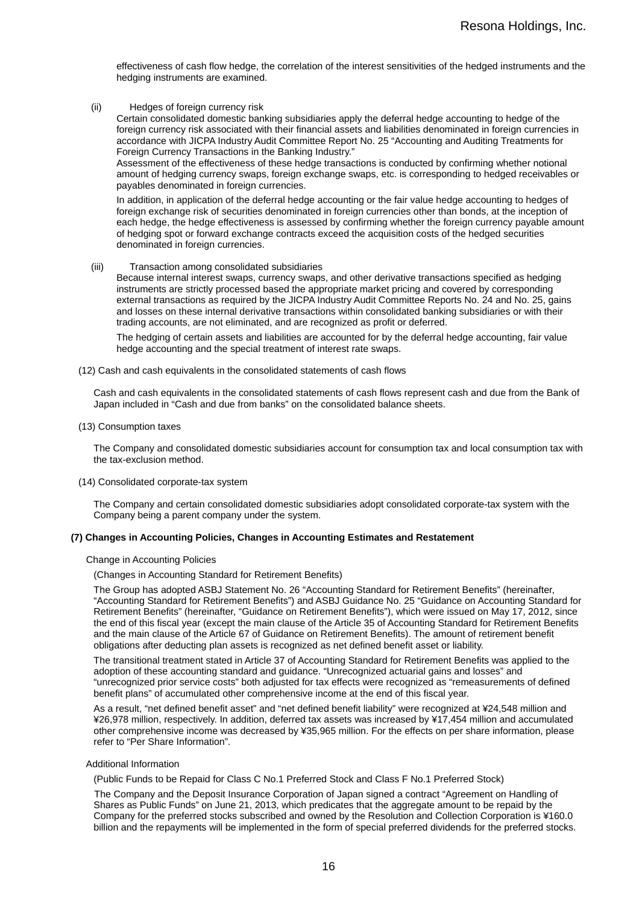effectiveness of cash flow hedge, the correlation of the interest sensitivities of the hedged instruments and the hedging instruments are examined.

(ii) Hedges of foreign currency risk

Certain consolidated domestic banking subsidiaries apply the deferral hedge accounting to hedge of the foreign currency risk associated with their financial assets and liabilities denominated in foreign currencies in accordance with JICPA Industry Audit Committee Report No. 25 "Accounting and Auditing Treatments for Foreign Currency Transactions in the Banking Industry."

Assessment of the effectiveness of these hedge transactions is conducted by confirming whether notional amount of hedging currency swaps, foreign exchange swaps, etc. is corresponding to hedged receivables or payables denominated in foreign currencies.

In addition, in application of the deferral hedge accounting or the fair value hedge accounting to hedges of foreign exchange risk of securities denominated in foreign currencies other than bonds, at the inception of each hedge, the hedge effectiveness is assessed by confirming whether the foreign currency payable amount of hedging spot or forward exchange contracts exceed the acquisition costs of the hedged securities denominated in foreign currencies.

#### (iii) Transaction among consolidated subsidiaries

Because internal interest swaps, currency swaps, and other derivative transactions specified as hedging instruments are strictly processed based the appropriate market pricing and covered by corresponding external transactions as required by the JICPA Industry Audit Committee Reports No. 24 and No. 25, gains and losses on these internal derivative transactions within consolidated banking subsidiaries or with their trading accounts, are not eliminated, and are recognized as profit or deferred.

The hedging of certain assets and liabilities are accounted for by the deferral hedge accounting, fair value hedge accounting and the special treatment of interest rate swaps.

(12) Cash and cash equivalents in the consolidated statements of cash flows

Cash and cash equivalents in the consolidated statements of cash flows represent cash and due from the Bank of Japan included in "Cash and due from banks" on the consolidated balance sheets.

(13) Consumption taxes

The Company and consolidated domestic subsidiaries account for consumption tax and local consumption tax with the tax-exclusion method.

(14) Consolidated corporate-tax system

The Company and certain consolidated domestic subsidiaries adopt consolidated corporate-tax system with the Company being a parent company under the system.

#### **(7) Changes in Accounting Policies, Changes in Accounting Estimates and Restatement**

#### Change in Accounting Policies

(Changes in Accounting Standard for Retirement Benefits)

The Group has adopted ASBJ Statement No. 26 "Accounting Standard for Retirement Benefits" (hereinafter, "Accounting Standard for Retirement Benefits") and ASBJ Guidance No. 25 "Guidance on Accounting Standard for Retirement Benefits" (hereinafter, "Guidance on Retirement Benefits"), which were issued on May 17, 2012, since the end of this fiscal year (except the main clause of the Article 35 of Accounting Standard for Retirement Benefits and the main clause of the Article 67 of Guidance on Retirement Benefits). The amount of retirement benefit obligations after deducting plan assets is recognized as net defined benefit asset or liability.

The transitional treatment stated in Article 37 of Accounting Standard for Retirement Benefits was applied to the adoption of these accounting standard and guidance. "Unrecognized actuarial gains and losses" and "unrecognized prior service costs" both adjusted for tax effects were recognized as "remeasurements of defined benefit plans" of accumulated other comprehensive income at the end of this fiscal year.

As a result, "net defined benefit asset" and "net defined benefit liability" were recognized at ¥24,548 million and ¥26,978 million, respectively. In addition, deferred tax assets was increased by ¥17,454 million and accumulated other comprehensive income was decreased by ¥35,965 million. For the effects on per share information, please refer to "Per Share Information".

#### Additional Information

(Public Funds to be Repaid for Class C No.1 Preferred Stock and Class F No.1 Preferred Stock)

The Company and the Deposit Insurance Corporation of Japan signed a contract "Agreement on Handling of Shares as Public Funds" on June 21, 2013, which predicates that the aggregate amount to be repaid by the Company for the preferred stocks subscribed and owned by the Resolution and Collection Corporation is ¥160.0 billion and the repayments will be implemented in the form of special preferred dividends for the preferred stocks.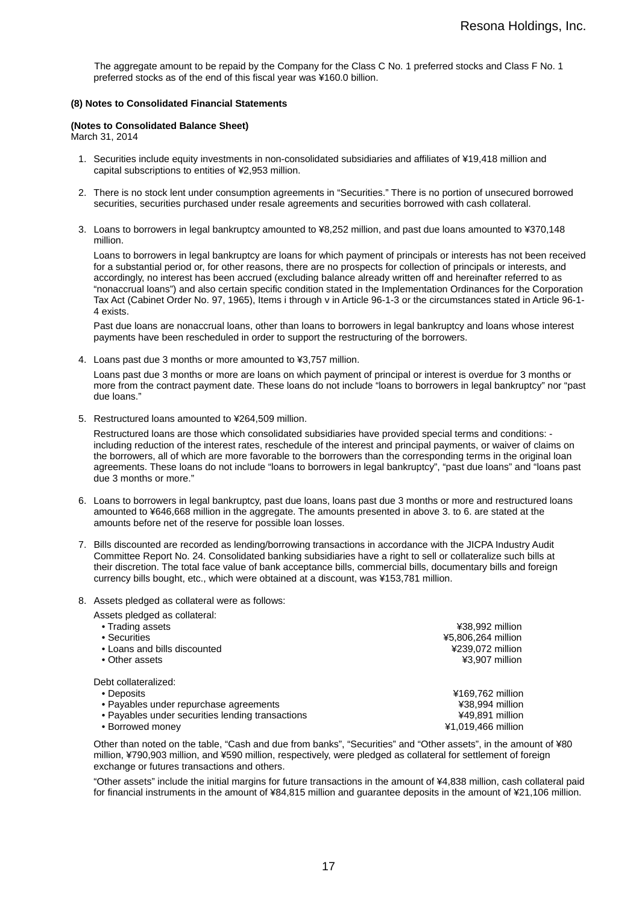The aggregate amount to be repaid by the Company for the Class C No. 1 preferred stocks and Class F No. 1 preferred stocks as of the end of this fiscal year was ¥160.0 billion.

#### **(8) Notes to Consolidated Financial Statements**

### **(Notes to Consolidated Balance Sheet)**

March 31, 2014

- 1. Securities include equity investments in non-consolidated subsidiaries and affiliates of ¥19,418 million and capital subscriptions to entities of ¥2,953 million.
- 2. There is no stock lent under consumption agreements in "Securities." There is no portion of unsecured borrowed securities, securities purchased under resale agreements and securities borrowed with cash collateral.
- 3. Loans to borrowers in legal bankruptcy amounted to ¥8,252 million, and past due loans amounted to ¥370,148 million.

Loans to borrowers in legal bankruptcy are loans for which payment of principals or interests has not been received for a substantial period or, for other reasons, there are no prospects for collection of principals or interests, and accordingly, no interest has been accrued (excluding balance already written off and hereinafter referred to as "nonaccrual loans") and also certain specific condition stated in the Implementation Ordinances for the Corporation Tax Act (Cabinet Order No. 97, 1965), Items i through v in Article 96-1-3 or the circumstances stated in Article 96-1- 4 exists.

Past due loans are nonaccrual loans, other than loans to borrowers in legal bankruptcy and loans whose interest payments have been rescheduled in order to support the restructuring of the borrowers.

4. Loans past due 3 months or more amounted to ¥3,757 million.

Loans past due 3 months or more are loans on which payment of principal or interest is overdue for 3 months or more from the contract payment date. These loans do not include "loans to borrowers in legal bankruptcy" nor "past due loans."

5. Restructured loans amounted to ¥264,509 million.

Restructured loans are those which consolidated subsidiaries have provided special terms and conditions: including reduction of the interest rates, reschedule of the interest and principal payments, or waiver of claims on the borrowers, all of which are more favorable to the borrowers than the corresponding terms in the original loan agreements. These loans do not include "loans to borrowers in legal bankruptcy", "past due loans" and "loans past due 3 months or more."

- 6. Loans to borrowers in legal bankruptcy, past due loans, loans past due 3 months or more and restructured loans amounted to ¥646,668 million in the aggregate. The amounts presented in above 3. to 6. are stated at the amounts before net of the reserve for possible loan losses.
- 7. Bills discounted are recorded as lending/borrowing transactions in accordance with the JICPA Industry Audit Committee Report No. 24. Consolidated banking subsidiaries have a right to sell or collateralize such bills at their discretion. The total face value of bank acceptance bills, commercial bills, documentary bills and foreign currency bills bought, etc., which were obtained at a discount, was ¥153,781 million.
- 8. Assets pledged as collateral were as follows:

| Assets pledged as collateral:                    |                    |
|--------------------------------------------------|--------------------|
| • Trading assets                                 | ¥38,992 million    |
| • Securities                                     | ¥5,806,264 million |
| • Loans and bills discounted                     | ¥239.072 million   |
| • Other assets                                   | ¥3,907 million     |
| Debt collateralized:                             |                    |
| • Deposits                                       | ¥169,762 million   |
| • Payables under repurchase agreements           | ¥38,994 million    |
| • Payables under securities lending transactions | ¥49,891 million    |
| • Borrowed money                                 | ¥1.019.466 million |

Other than noted on the table, "Cash and due from banks", "Securities" and "Other assets", in the amount of ¥80 million, ¥790,903 million, and ¥590 million, respectively, were pledged as collateral for settlement of foreign exchange or futures transactions and others.

"Other assets" include the initial margins for future transactions in the amount of ¥4,838 million, cash collateral paid for financial instruments in the amount of ¥84,815 million and guarantee deposits in the amount of ¥21,106 million.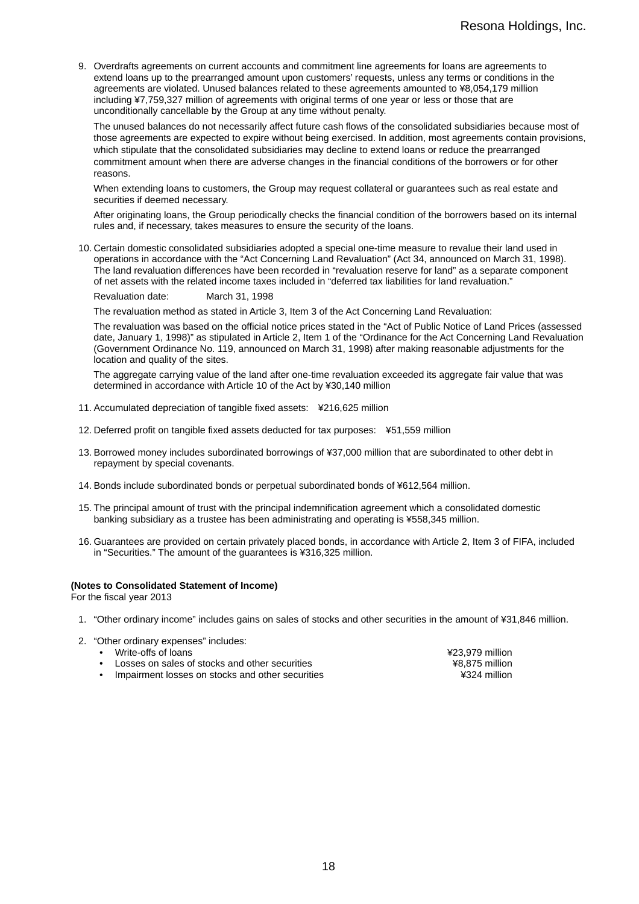9. Overdrafts agreements on current accounts and commitment line agreements for loans are agreements to extend loans up to the prearranged amount upon customers' requests, unless any terms or conditions in the agreements are violated. Unused balances related to these agreements amounted to ¥8,054,179 million including ¥7,759,327 million of agreements with original terms of one year or less or those that are unconditionally cancellable by the Group at any time without penalty.

The unused balances do not necessarily affect future cash flows of the consolidated subsidiaries because most of those agreements are expected to expire without being exercised. In addition, most agreements contain provisions, which stipulate that the consolidated subsidiaries may decline to extend loans or reduce the prearranged commitment amount when there are adverse changes in the financial conditions of the borrowers or for other reasons.

When extending loans to customers, the Group may request collateral or guarantees such as real estate and securities if deemed necessary.

After originating loans, the Group periodically checks the financial condition of the borrowers based on its internal rules and, if necessary, takes measures to ensure the security of the loans.

10. Certain domestic consolidated subsidiaries adopted a special one-time measure to revalue their land used in operations in accordance with the "Act Concerning Land Revaluation" (Act 34, announced on March 31, 1998). The land revaluation differences have been recorded in "revaluation reserve for land" as a separate component of net assets with the related income taxes included in "deferred tax liabilities for land revaluation."

Revaluation date: March 31, 1998

The revaluation method as stated in Article 3, Item 3 of the Act Concerning Land Revaluation:

The revaluation was based on the official notice prices stated in the "Act of Public Notice of Land Prices (assessed date, January 1, 1998)" as stipulated in Article 2, Item 1 of the "Ordinance for the Act Concerning Land Revaluation (Government Ordinance No. 119, announced on March 31, 1998) after making reasonable adjustments for the location and quality of the sites.

The aggregate carrying value of the land after one-time revaluation exceeded its aggregate fair value that was determined in accordance with Article 10 of the Act by ¥30,140 million

- 11. Accumulated depreciation of tangible fixed assets: ¥216,625 million
- 12. Deferred profit on tangible fixed assets deducted for tax purposes: ¥51,559 million
- 13. Borrowed money includes subordinated borrowings of ¥37,000 million that are subordinated to other debt in repayment by special covenants.
- 14. Bonds include subordinated bonds or perpetual subordinated bonds of ¥612,564 million.
- 15. The principal amount of trust with the principal indemnification agreement which a consolidated domestic banking subsidiary as a trustee has been administrating and operating is ¥558,345 million.
- 16. Guarantees are provided on certain privately placed bonds, in accordance with Article 2, Item 3 of FIFA, included in "Securities." The amount of the guarantees is ¥316,325 million.

#### **(Notes to Consolidated Statement of Income)**

For the fiscal year 2013

- 1. "Other ordinary income" includes gains on sales of stocks and other securities in the amount of ¥31,846 million.
- 2. "Other ordinary expenses" includes:
	-
	- Write-offs of loans<br>
	Losses on sales of stocks and other securities<br>  $\begin{array}{ccc}\n 423,979 \text{ million} \\
	\hline\n 48.875 \text{ million}\n\end{array}$ • Losses on sales of stocks and other securities
	- Impairment losses on stocks and other securities ¥324 million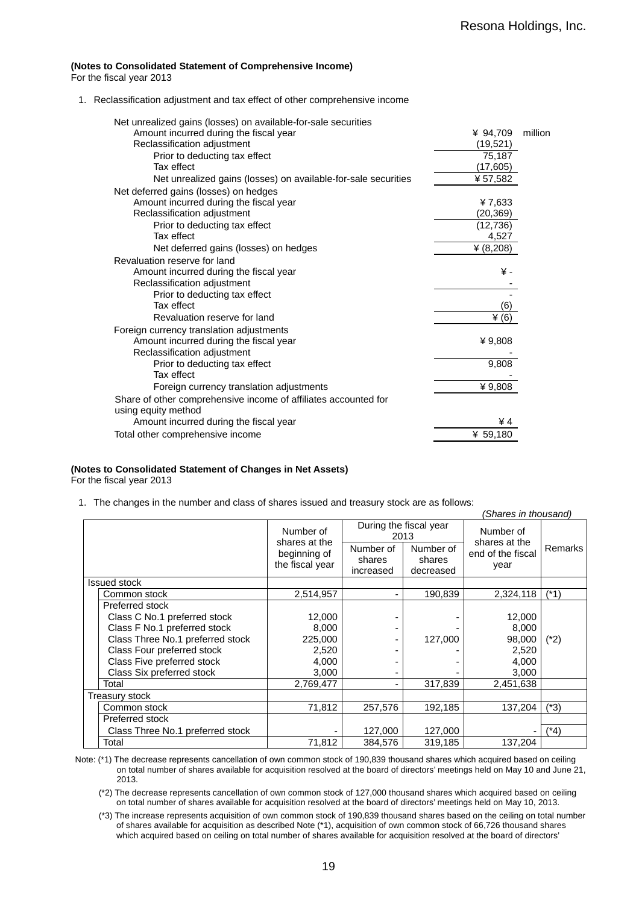#### **(Notes to Consolidated Statement of Comprehensive Income)**

For the fiscal year 2013

1. Reclassification adjustment and tax effect of other comprehensive income

| Net unrealized gains (losses) on available-for-sale securities  |              |         |
|-----------------------------------------------------------------|--------------|---------|
| Amount incurred during the fiscal year                          | ¥ 94,709     | million |
| Reclassification adjustment                                     | (19,521)     |         |
| Prior to deducting tax effect                                   | 75,187       |         |
| Tax effect                                                      | (17,605)     |         |
| Net unrealized gains (losses) on available-for-sale securities  | ¥57,582      |         |
| Net deferred gains (losses) on hedges                           |              |         |
| Amount incurred during the fiscal year                          | ¥7,633       |         |
| Reclassification adjustment                                     | (20,369)     |         |
| Prior to deducting tax effect                                   | (12, 736)    |         |
| Tax effect                                                      | 4,527        |         |
| Net deferred gains (losses) on hedges                           | ¥ $(8, 208)$ |         |
| Revaluation reserve for land                                    |              |         |
| Amount incurred during the fiscal year                          | ¥-           |         |
| Reclassification adjustment                                     |              |         |
| Prior to deducting tax effect                                   |              |         |
| Tax effect                                                      | (6)          |         |
| Revaluation reserve for land                                    | $\angle$ (6) |         |
| Foreign currency translation adjustments                        |              |         |
| Amount incurred during the fiscal year                          | ¥9,808       |         |
| Reclassification adjustment                                     |              |         |
| Prior to deducting tax effect                                   | 9,808        |         |
| Tax effect                                                      |              |         |
| Foreign currency translation adjustments                        | ¥9,808       |         |
| Share of other comprehensive income of affiliates accounted for |              |         |
| using equity method                                             |              |         |
| Amount incurred during the fiscal year                          | ¥4           |         |
| Total other comprehensive income                                | ¥ 59,180     |         |
|                                                                 |              |         |

### **(Notes to Consolidated Statement of Changes in Net Assets)**

For the fiscal year 2013

1. The changes in the number and class of shares issued and treasury stock are as follows:

|                                  |                                 |                                  |                                  | (Shares in thousand)                       |                |
|----------------------------------|---------------------------------|----------------------------------|----------------------------------|--------------------------------------------|----------------|
|                                  | Number of<br>shares at the      | During the fiscal year<br>2013   |                                  | Number of                                  |                |
|                                  | beginning of<br>the fiscal year | Number of<br>shares<br>increased | Number of<br>shares<br>decreased | shares at the<br>end of the fiscal<br>year | <b>Remarks</b> |
| <b>Issued stock</b>              |                                 |                                  |                                  |                                            |                |
| Common stock                     | 2,514,957                       | ۰                                | 190,839                          | 2,324,118                                  | (*1)           |
| Preferred stock                  |                                 |                                  |                                  |                                            |                |
| Class C No.1 preferred stock     | 12,000                          | $\overline{\phantom{0}}$         |                                  | 12,000                                     |                |
| Class F No.1 preferred stock     | 8,000                           | ۰                                |                                  | 8,000                                      |                |
| Class Three No.1 preferred stock | 225,000                         | ٠                                | 127,000                          | 98,000                                     | $(*2)$         |
| Class Four preferred stock       | 2,520                           | ۰                                |                                  | 2,520                                      |                |
| Class Five preferred stock       | 4,000                           | ٠                                |                                  | 4,000                                      |                |
| Class Six preferred stock        | 3,000                           | ۰                                |                                  | 3,000                                      |                |
| Total                            | 2,769,477                       | ۰                                | 317,839                          | 2,451,638                                  |                |
| Treasury stock                   |                                 |                                  |                                  |                                            |                |
| Common stock                     | 71,812                          | 257,576                          | 192,185                          | 137,204                                    | (*3)           |
| Preferred stock                  |                                 |                                  |                                  |                                            |                |
| Class Three No.1 preferred stock |                                 | 127,000                          | 127,000                          |                                            | (*4)           |
| Total                            | 71,812                          | 384,576                          | 319,185                          | 137,204                                    |                |

 Note: (\*1) The decrease represents cancellation of own common stock of 190,839 thousand shares which acquired based on ceiling on total number of shares available for acquisition resolved at the board of directors' meetings held on May 10 and June 21, 2013.

(\*2) The decrease represents cancellation of own common stock of 127,000 thousand shares which acquired based on ceiling on total number of shares available for acquisition resolved at the board of directors' meetings held on May 10, 2013.

(\*3) The increase represents acquisition of own common stock of 190,839 thousand shares based on the ceiling on total number of shares available for acquisition as described Note (\*1), acquisition of own common stock of 66,726 thousand shares which acquired based on ceiling on total number of shares available for acquisition resolved at the board of directors'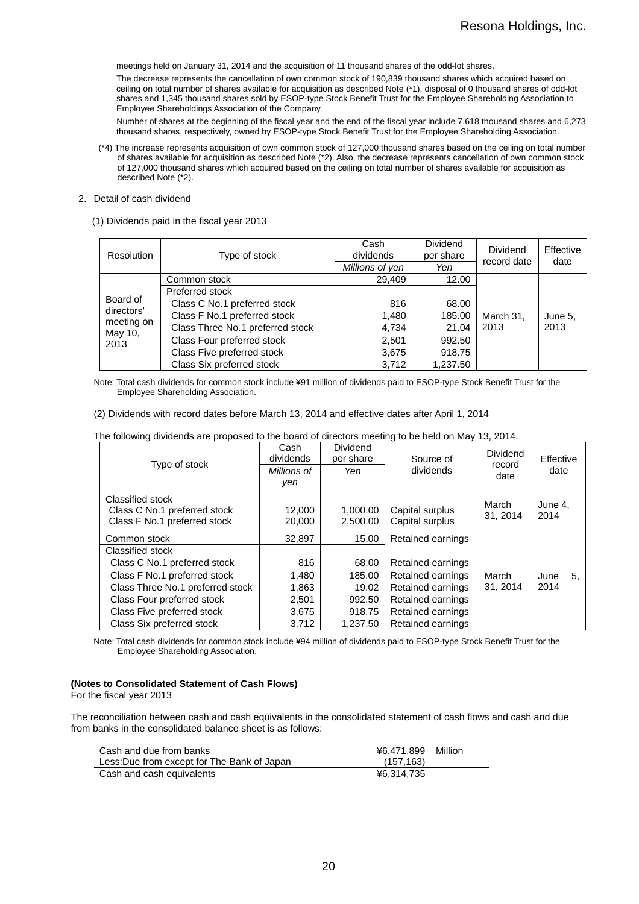meetings held on January 31, 2014 and the acquisition of 11 thousand shares of the odd-lot shares.

The decrease represents the cancellation of own common stock of 190,839 thousand shares which acquired based on ceiling on total number of shares available for acquisition as described Note (\*1), disposal of 0 thousand shares of odd-lot shares and 1,345 thousand shares sold by ESOP-type Stock Benefit Trust for the Employee Shareholding Association to Employee Shareholdings Association of the Company.

Number of shares at the beginning of the fiscal year and the end of the fiscal year include 7,618 thousand shares and 6,273 thousand shares, respectively, owned by ESOP-type Stock Benefit Trust for the Employee Shareholding Association.

(\*4) The increase represents acquisition of own common stock of 127,000 thousand shares based on the ceiling on total number of shares available for acquisition as described Note (\*2). Also, the decrease represents cancellation of own common stock of 127,000 thousand shares which acquired based on the ceiling on total number of shares available for acquisition as described Note (\*2).

#### 2. Detail of cash dividend

(1) Dividends paid in the fiscal year 2013

| Resolution            | Type of stock                    | Cash<br>dividends | <b>Dividend</b><br>per share | <b>Dividend</b><br>record date | Effective<br>date |
|-----------------------|----------------------------------|-------------------|------------------------------|--------------------------------|-------------------|
|                       |                                  | Millions of yen   | Yen                          |                                |                   |
|                       | Common stock                     | 29,409            | 12.00                        |                                |                   |
|                       | Preferred stock                  |                   |                              |                                |                   |
| Board of              | Class C No.1 preferred stock     | 816               | 68.00                        |                                |                   |
| directors'            | Class F No.1 preferred stock     | 1,480             | 185.00                       | March 31,                      | June 5.           |
| meeting on<br>May 10, | Class Three No.1 preferred stock | 4,734             | 21.04                        | 2013                           | 2013              |
| 2013                  | Class Four preferred stock       | 2,501             | 992.50                       |                                |                   |
|                       | Class Five preferred stock       | 3,675             | 918.75                       |                                |                   |
|                       | Class Six preferred stock        | 3,712             | 1,237.50                     |                                |                   |

Note: Total cash dividends for common stock include ¥91 million of dividends paid to ESOP-type Stock Benefit Trust for the Employee Shareholding Association.

(2) Dividends with record dates before March 13, 2014 and effective dates after April 1, 2014

| Type of stock                                                                    | Cash<br>dividends<br>Millions of<br>ven | <b>Dividend</b><br>per share<br>Yen | Source of<br>dividends             | <b>Dividend</b><br>record<br>date | Effective<br>date |
|----------------------------------------------------------------------------------|-----------------------------------------|-------------------------------------|------------------------------------|-----------------------------------|-------------------|
| Classified stock<br>Class C No.1 preferred stock<br>Class F No.1 preferred stock | 12,000<br>20,000                        | 1,000.00<br>2.500.00                | Capital surplus<br>Capital surplus | March<br>31, 2014                 | June 4,<br>2014   |
| Common stock                                                                     | 32.897                                  | 15.00                               | Retained earnings                  |                                   |                   |
| Classified stock                                                                 |                                         |                                     |                                    |                                   |                   |
| Class C No.1 preferred stock                                                     | 816                                     | 68.00                               | Retained earnings                  |                                   |                   |
| Class F No.1 preferred stock                                                     | 1,480                                   | 185.00                              | Retained earnings                  | March                             | June<br>5.        |
| Class Three No.1 preferred stock                                                 | 1,863                                   | 19.02                               | Retained earnings                  | 31, 2014                          | 2014              |
| Class Four preferred stock                                                       | 2,501                                   | 992.50                              | Retained earnings                  |                                   |                   |
| Class Five preferred stock                                                       | 3,675                                   | 918.75                              | Retained earnings                  |                                   |                   |
| Class Six preferred stock                                                        | 3,712                                   | 1.237.50                            | Retained earnings                  |                                   |                   |

The following dividends are proposed to the board of directors meeting to be held on May 13, 2014.

Note: Total cash dividends for common stock include ¥94 million of dividends paid to ESOP-type Stock Benefit Trust for the Employee Shareholding Association.

#### **(Notes to Consolidated Statement of Cash Flows)**

For the fiscal year 2013

j.

The reconciliation between cash and cash equivalents in the consolidated statement of cash flows and cash and due from banks in the consolidated balance sheet is as follows:

| Cash and due from banks                     | ¥6.471.899 | Million |
|---------------------------------------------|------------|---------|
| Less: Due from except for The Bank of Japan | (157.163)  |         |
| Cash and cash equivalents                   | ¥6.314.735 |         |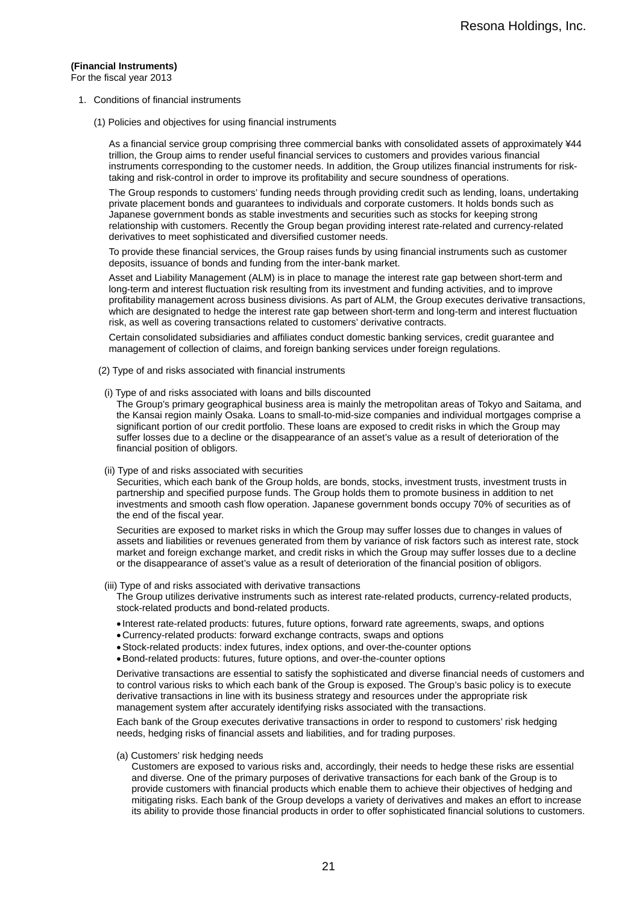## **(Financial Instruments)**

For the fiscal year 2013

- 1. Conditions of financial instruments
	- (1) Policies and objectives for using financial instruments

As a financial service group comprising three commercial banks with consolidated assets of approximately ¥44 trillion, the Group aims to render useful financial services to customers and provides various financial instruments corresponding to the customer needs. In addition, the Group utilizes financial instruments for risktaking and risk-control in order to improve its profitability and secure soundness of operations.

The Group responds to customers' funding needs through providing credit such as lending, loans, undertaking private placement bonds and guarantees to individuals and corporate customers. It holds bonds such as Japanese government bonds as stable investments and securities such as stocks for keeping strong relationship with customers. Recently the Group began providing interest rate-related and currency-related derivatives to meet sophisticated and diversified customer needs.

To provide these financial services, the Group raises funds by using financial instruments such as customer deposits, issuance of bonds and funding from the inter-bank market.

Asset and Liability Management (ALM) is in place to manage the interest rate gap between short-term and long-term and interest fluctuation risk resulting from its investment and funding activities, and to improve profitability management across business divisions. As part of ALM, the Group executes derivative transactions, which are designated to hedge the interest rate gap between short-term and long-term and interest fluctuation risk, as well as covering transactions related to customers' derivative contracts.

Certain consolidated subsidiaries and affiliates conduct domestic banking services, credit guarantee and management of collection of claims, and foreign banking services under foreign regulations.

- (2) Type of and risks associated with financial instruments
- (i) Type of and risks associated with loans and bills discounted

The Group's primary geographical business area is mainly the metropolitan areas of Tokyo and Saitama, and the Kansai region mainly Osaka. Loans to small-to-mid-size companies and individual mortgages comprise a significant portion of our credit portfolio. These loans are exposed to credit risks in which the Group may suffer losses due to a decline or the disappearance of an asset's value as a result of deterioration of the financial position of obligors.

(ii) Type of and risks associated with securities

Securities, which each bank of the Group holds, are bonds, stocks, investment trusts, investment trusts in partnership and specified purpose funds. The Group holds them to promote business in addition to net investments and smooth cash flow operation. Japanese government bonds occupy 70% of securities as of the end of the fiscal year.

Securities are exposed to market risks in which the Group may suffer losses due to changes in values of assets and liabilities or revenues generated from them by variance of risk factors such as interest rate, stock market and foreign exchange market, and credit risks in which the Group may suffer losses due to a decline or the disappearance of asset's value as a result of deterioration of the financial position of obligors.

#### (iii) Type of and risks associated with derivative transactions

The Group utilizes derivative instruments such as interest rate-related products, currency-related products, stock-related products and bond-related products.

- Interest rate-related products: futures, future options, forward rate agreements, swaps, and options
- Currency-related products: forward exchange contracts, swaps and options
- Stock-related products: index futures, index options, and over-the-counter options
- Bond-related products: futures, future options, and over-the-counter options

Derivative transactions are essential to satisfy the sophisticated and diverse financial needs of customers and to control various risks to which each bank of the Group is exposed. The Group's basic policy is to execute derivative transactions in line with its business strategy and resources under the appropriate risk management system after accurately identifying risks associated with the transactions.

Each bank of the Group executes derivative transactions in order to respond to customers' risk hedging needs, hedging risks of financial assets and liabilities, and for trading purposes.

(a) Customers' risk hedging needs

Customers are exposed to various risks and, accordingly, their needs to hedge these risks are essential and diverse. One of the primary purposes of derivative transactions for each bank of the Group is to provide customers with financial products which enable them to achieve their objectives of hedging and mitigating risks. Each bank of the Group develops a variety of derivatives and makes an effort to increase its ability to provide those financial products in order to offer sophisticated financial solutions to customers.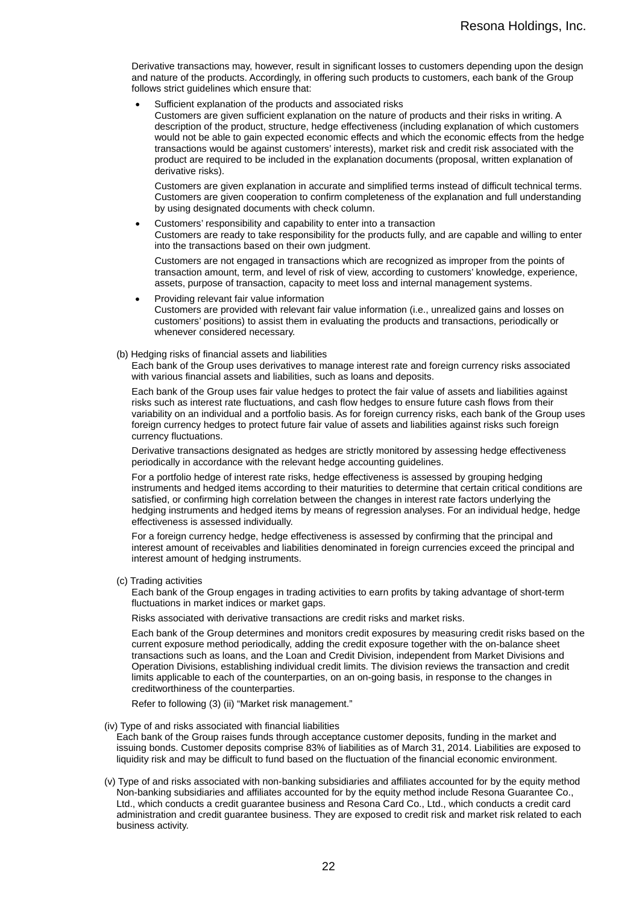Derivative transactions may, however, result in significant losses to customers depending upon the design and nature of the products. Accordingly, in offering such products to customers, each bank of the Group follows strict quidelines which ensure that:

Sufficient explanation of the products and associated risks

Customers are given sufficient explanation on the nature of products and their risks in writing. A description of the product, structure, hedge effectiveness (including explanation of which customers would not be able to gain expected economic effects and which the economic effects from the hedge transactions would be against customers' interests), market risk and credit risk associated with the product are required to be included in the explanation documents (proposal, written explanation of derivative risks).

Customers are given explanation in accurate and simplified terms instead of difficult technical terms. Customers are given cooperation to confirm completeness of the explanation and full understanding by using designated documents with check column.

Customers' responsibility and capability to enter into a transaction

Customers are ready to take responsibility for the products fully, and are capable and willing to enter into the transactions based on their own judgment.

Customers are not engaged in transactions which are recognized as improper from the points of transaction amount, term, and level of risk of view, according to customers' knowledge, experience, assets, purpose of transaction, capacity to meet loss and internal management systems.

- Providing relevant fair value information Customers are provided with relevant fair value information (i.e., unrealized gains and losses on customers' positions) to assist them in evaluating the products and transactions, periodically or whenever considered necessary.
- (b) Hedging risks of financial assets and liabilities

Each bank of the Group uses derivatives to manage interest rate and foreign currency risks associated with various financial assets and liabilities, such as loans and deposits.

Each bank of the Group uses fair value hedges to protect the fair value of assets and liabilities against risks such as interest rate fluctuations, and cash flow hedges to ensure future cash flows from their variability on an individual and a portfolio basis. As for foreign currency risks, each bank of the Group uses foreign currency hedges to protect future fair value of assets and liabilities against risks such foreign currency fluctuations.

Derivative transactions designated as hedges are strictly monitored by assessing hedge effectiveness periodically in accordance with the relevant hedge accounting guidelines.

For a portfolio hedge of interest rate risks, hedge effectiveness is assessed by grouping hedging instruments and hedged items according to their maturities to determine that certain critical conditions are satisfied, or confirming high correlation between the changes in interest rate factors underlying the hedging instruments and hedged items by means of regression analyses. For an individual hedge, hedge effectiveness is assessed individually.

For a foreign currency hedge, hedge effectiveness is assessed by confirming that the principal and interest amount of receivables and liabilities denominated in foreign currencies exceed the principal and interest amount of hedging instruments.

(c) Trading activities

Each bank of the Group engages in trading activities to earn profits by taking advantage of short-term fluctuations in market indices or market gaps.

Risks associated with derivative transactions are credit risks and market risks.

Each bank of the Group determines and monitors credit exposures by measuring credit risks based on the current exposure method periodically, adding the credit exposure together with the on-balance sheet transactions such as loans, and the Loan and Credit Division, independent from Market Divisions and Operation Divisions, establishing individual credit limits. The division reviews the transaction and credit limits applicable to each of the counterparties, on an on-going basis, in response to the changes in creditworthiness of the counterparties.

Refer to following (3) (ii) "Market risk management."

(iv) Type of and risks associated with financial liabilities

Each bank of the Group raises funds through acceptance customer deposits, funding in the market and issuing bonds. Customer deposits comprise 83% of liabilities as of March 31, 2014. Liabilities are exposed to liquidity risk and may be difficult to fund based on the fluctuation of the financial economic environment.

 (v) Type of and risks associated with non-banking subsidiaries and affiliates accounted for by the equity method Non-banking subsidiaries and affiliates accounted for by the equity method include Resona Guarantee Co., Ltd., which conducts a credit guarantee business and Resona Card Co., Ltd., which conducts a credit card administration and credit guarantee business. They are exposed to credit risk and market risk related to each business activity.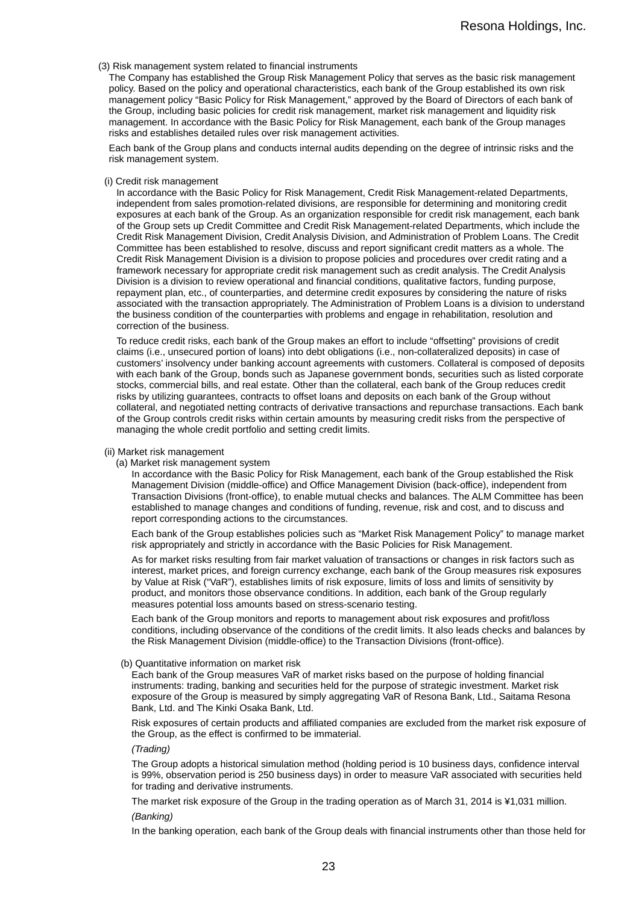#### (3) Risk management system related to financial instruments

The Company has established the Group Risk Management Policy that serves as the basic risk management policy. Based on the policy and operational characteristics, each bank of the Group established its own risk management policy "Basic Policy for Risk Management," approved by the Board of Directors of each bank of the Group, including basic policies for credit risk management, market risk management and liquidity risk management. In accordance with the Basic Policy for Risk Management, each bank of the Group manages risks and establishes detailed rules over risk management activities.

Each bank of the Group plans and conducts internal audits depending on the degree of intrinsic risks and the risk management system.

#### (i) Credit risk management

In accordance with the Basic Policy for Risk Management, Credit Risk Management-related Departments, independent from sales promotion-related divisions, are responsible for determining and monitoring credit exposures at each bank of the Group. As an organization responsible for credit risk management, each bank of the Group sets up Credit Committee and Credit Risk Management-related Departments, which include the Credit Risk Management Division, Credit Analysis Division, and Administration of Problem Loans. The Credit Committee has been established to resolve, discuss and report significant credit matters as a whole. The Credit Risk Management Division is a division to propose policies and procedures over credit rating and a framework necessary for appropriate credit risk management such as credit analysis. The Credit Analysis Division is a division to review operational and financial conditions, qualitative factors, funding purpose, repayment plan, etc., of counterparties, and determine credit exposures by considering the nature of risks associated with the transaction appropriately. The Administration of Problem Loans is a division to understand the business condition of the counterparties with problems and engage in rehabilitation, resolution and correction of the business.

To reduce credit risks, each bank of the Group makes an effort to include "offsetting" provisions of credit claims (i.e., unsecured portion of loans) into debt obligations (i.e., non-collateralized deposits) in case of customers' insolvency under banking account agreements with customers. Collateral is composed of deposits with each bank of the Group, bonds such as Japanese government bonds, securities such as listed corporate stocks, commercial bills, and real estate. Other than the collateral, each bank of the Group reduces credit risks by utilizing guarantees, contracts to offset loans and deposits on each bank of the Group without collateral, and negotiated netting contracts of derivative transactions and repurchase transactions. Each bank of the Group controls credit risks within certain amounts by measuring credit risks from the perspective of managing the whole credit portfolio and setting credit limits.

#### (ii) Market risk management

(a) Market risk management system

In accordance with the Basic Policy for Risk Management, each bank of the Group established the Risk Management Division (middle-office) and Office Management Division (back-office), independent from Transaction Divisions (front-office), to enable mutual checks and balances. The ALM Committee has been established to manage changes and conditions of funding, revenue, risk and cost, and to discuss and report corresponding actions to the circumstances.

Each bank of the Group establishes policies such as "Market Risk Management Policy" to manage market risk appropriately and strictly in accordance with the Basic Policies for Risk Management.

As for market risks resulting from fair market valuation of transactions or changes in risk factors such as interest, market prices, and foreign currency exchange, each bank of the Group measures risk exposures by Value at Risk ("VaR"), establishes limits of risk exposure, limits of loss and limits of sensitivity by product, and monitors those observance conditions. In addition, each bank of the Group regularly measures potential loss amounts based on stress-scenario testing.

Each bank of the Group monitors and reports to management about risk exposures and profit/loss conditions, including observance of the conditions of the credit limits. It also leads checks and balances by the Risk Management Division (middle-office) to the Transaction Divisions (front-office).

#### (b) Quantitative information on market risk

Each bank of the Group measures VaR of market risks based on the purpose of holding financial instruments: trading, banking and securities held for the purpose of strategic investment. Market risk exposure of the Group is measured by simply aggregating VaR of Resona Bank, Ltd., Saitama Resona Bank, Ltd. and The Kinki Osaka Bank, Ltd.

Risk exposures of certain products and affiliated companies are excluded from the market risk exposure of the Group, as the effect is confirmed to be immaterial.

*(Trading)* 

The Group adopts a historical simulation method (holding period is 10 business days, confidence interval is 99%, observation period is 250 business days) in order to measure VaR associated with securities held for trading and derivative instruments.

The market risk exposure of the Group in the trading operation as of March 31, 2014 is ¥1,031 million. *(Banking)*

In the banking operation, each bank of the Group deals with financial instruments other than those held for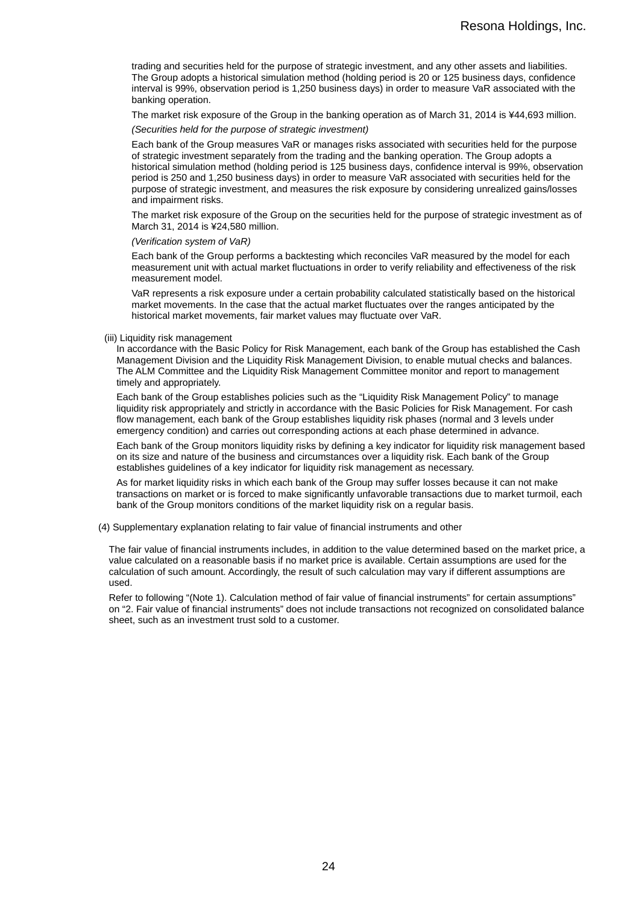trading and securities held for the purpose of strategic investment, and any other assets and liabilities. The Group adopts a historical simulation method (holding period is 20 or 125 business days, confidence interval is 99%, observation period is 1,250 business days) in order to measure VaR associated with the banking operation.

The market risk exposure of the Group in the banking operation as of March 31, 2014 is ¥44,693 million.

*(Securities held for the purpose of strategic investment)*

Each bank of the Group measures VaR or manages risks associated with securities held for the purpose of strategic investment separately from the trading and the banking operation. The Group adopts a historical simulation method (holding period is 125 business days, confidence interval is 99%, observation period is 250 and 1,250 business days) in order to measure VaR associated with securities held for the purpose of strategic investment, and measures the risk exposure by considering unrealized gains/losses and impairment risks.

The market risk exposure of the Group on the securities held for the purpose of strategic investment as of March 31, 2014 is ¥24,580 million.

*(Verification system of VaR)*

Each bank of the Group performs a backtesting which reconciles VaR measured by the model for each measurement unit with actual market fluctuations in order to verify reliability and effectiveness of the risk measurement model.

VaR represents a risk exposure under a certain probability calculated statistically based on the historical market movements. In the case that the actual market fluctuates over the ranges anticipated by the historical market movements, fair market values may fluctuate over VaR.

(iii) Liquidity risk management

In accordance with the Basic Policy for Risk Management, each bank of the Group has established the Cash Management Division and the Liquidity Risk Management Division, to enable mutual checks and balances. The ALM Committee and the Liquidity Risk Management Committee monitor and report to management timely and appropriately.

Each bank of the Group establishes policies such as the "Liquidity Risk Management Policy" to manage liquidity risk appropriately and strictly in accordance with the Basic Policies for Risk Management. For cash flow management, each bank of the Group establishes liquidity risk phases (normal and 3 levels under emergency condition) and carries out corresponding actions at each phase determined in advance.

Each bank of the Group monitors liquidity risks by defining a key indicator for liquidity risk management based on its size and nature of the business and circumstances over a liquidity risk. Each bank of the Group establishes guidelines of a key indicator for liquidity risk management as necessary.

As for market liquidity risks in which each bank of the Group may suffer losses because it can not make transactions on market or is forced to make significantly unfavorable transactions due to market turmoil, each bank of the Group monitors conditions of the market liquidity risk on a regular basis.

(4) Supplementary explanation relating to fair value of financial instruments and other

The fair value of financial instruments includes, in addition to the value determined based on the market price, a value calculated on a reasonable basis if no market price is available. Certain assumptions are used for the calculation of such amount. Accordingly, the result of such calculation may vary if different assumptions are used.

Refer to following "(Note 1). Calculation method of fair value of financial instruments" for certain assumptions" on "2. Fair value of financial instruments" does not include transactions not recognized on consolidated balance sheet, such as an investment trust sold to a customer.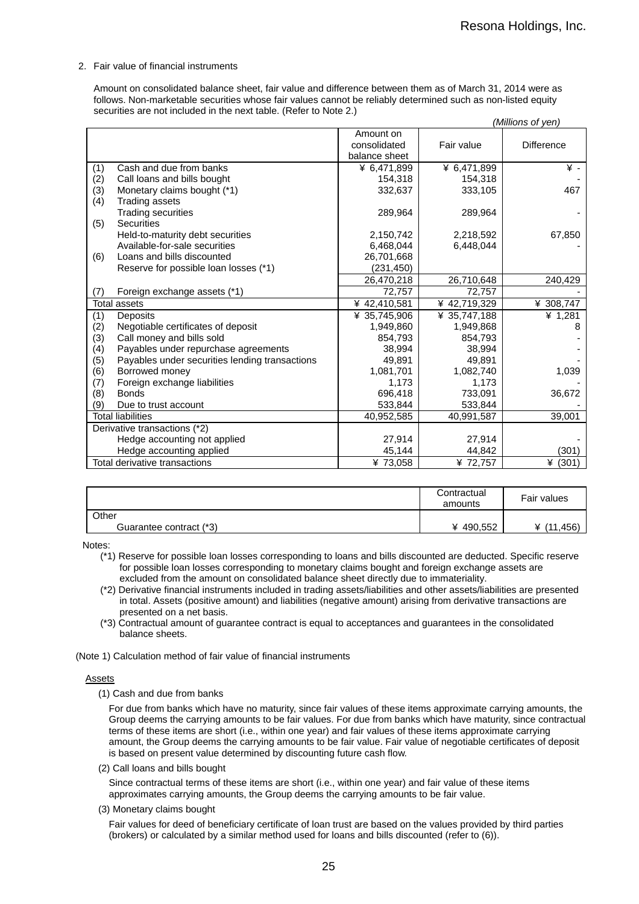2. Fair value of financial instruments

Amount on consolidated balance sheet, fair value and difference between them as of March 31, 2014 were as follows. Non-marketable securities whose fair values cannot be reliably determined such as non-listed equity securities are not included in the next table. (Refer to Note 2.)

|     |                                                |               |              | (Millions of yen) |
|-----|------------------------------------------------|---------------|--------------|-------------------|
|     |                                                | Amount on     |              |                   |
|     |                                                | consolidated  | Fair value   | <b>Difference</b> |
|     |                                                | balance sheet |              |                   |
| (1) | Cash and due from banks                        | ¥ 6,471,899   | ¥ 6,471,899  | ¥ -               |
| (2) | Call loans and bills bought                    | 154,318       | 154,318      |                   |
| (3) | Monetary claims bought (*1)                    | 332,637       | 333,105      | 467               |
| (4) | <b>Trading assets</b>                          |               |              |                   |
|     | <b>Trading securities</b>                      | 289,964       | 289,964      |                   |
| (5) | <b>Securities</b>                              |               |              |                   |
|     | Held-to-maturity debt securities               | 2,150,742     | 2,218,592    | 67,850            |
|     | Available-for-sale securities                  | 6,468,044     | 6,448,044    |                   |
| (6) | Loans and bills discounted                     | 26,701,668    |              |                   |
|     | Reserve for possible loan losses (*1)          | (231, 450)    |              |                   |
|     |                                                | 26,470,218    | 26,710,648   | 240,429           |
| (7) | Foreign exchange assets (*1)                   | 72,757        | 72,757       |                   |
|     | <b>Total assets</b>                            | ¥ 42,410,581  | ¥42,719,329  | ¥ 308,747         |
| (1) | Deposits                                       | ¥ 35,745,906  | ¥ 35,747,188 | ¥ 1,281           |
| (2) | Negotiable certificates of deposit             | 1,949,860     | 1,949,868    | 8                 |
| (3) | Call money and bills sold                      | 854,793       | 854,793      |                   |
| (4) | Payables under repurchase agreements           | 38,994        | 38,994       |                   |
| (5) | Payables under securities lending transactions | 49,891        | 49,891       |                   |
| (6) | Borrowed money                                 | 1,081,701     | 1,082,740    | 1,039             |
| (7) | Foreign exchange liabilities                   | 1,173         | 1,173        |                   |
| (8) | <b>Bonds</b>                                   | 696,418       | 733,091      | 36,672            |
| (9) | Due to trust account                           | 533,844       | 533,844      |                   |
|     | <b>Total liabilities</b>                       | 40,952,585    | 40,991,587   | 39,001            |
|     | Derivative transactions (*2)                   |               |              |                   |
|     | Hedge accounting not applied                   | 27,914        | 27,914       |                   |
|     | Hedge accounting applied                       | 45,144        | 44,842       | (301)             |
|     | Total derivative transactions                  | ¥73,058       | ¥ 72,757     | ¥ $(301)$         |

|                         | Contractual<br>amounts | Fair values |
|-------------------------|------------------------|-------------|
| Other                   |                        |             |
| Guarantee contract (*3) | ¥ 490,552              | .456        |

Notes:

- (\*1) Reserve for possible loan losses corresponding to loans and bills discounted are deducted. Specific reserve for possible loan losses corresponding to monetary claims bought and foreign exchange assets are excluded from the amount on consolidated balance sheet directly due to immateriality.
- (\*2) Derivative financial instruments included in trading assets/liabilities and other assets/liabilities are presented in total. Assets (positive amount) and liabilities (negative amount) arising from derivative transactions are presented on a net basis.
- (\*3) Contractual amount of guarantee contract is equal to acceptances and guarantees in the consolidated balance sheets.

(Note 1) Calculation method of fair value of financial instruments

#### Assets

(1) Cash and due from banks

For due from banks which have no maturity, since fair values of these items approximate carrying amounts, the Group deems the carrying amounts to be fair values. For due from banks which have maturity, since contractual terms of these items are short (i.e., within one year) and fair values of these items approximate carrying amount, the Group deems the carrying amounts to be fair value. Fair value of negotiable certificates of deposit is based on present value determined by discounting future cash flow.

(2) Call loans and bills bought

Since contractual terms of these items are short (i.e., within one year) and fair value of these items approximates carrying amounts, the Group deems the carrying amounts to be fair value.

(3) Monetary claims bought

Fair values for deed of beneficiary certificate of loan trust are based on the values provided by third parties (brokers) or calculated by a similar method used for loans and bills discounted (refer to (6)).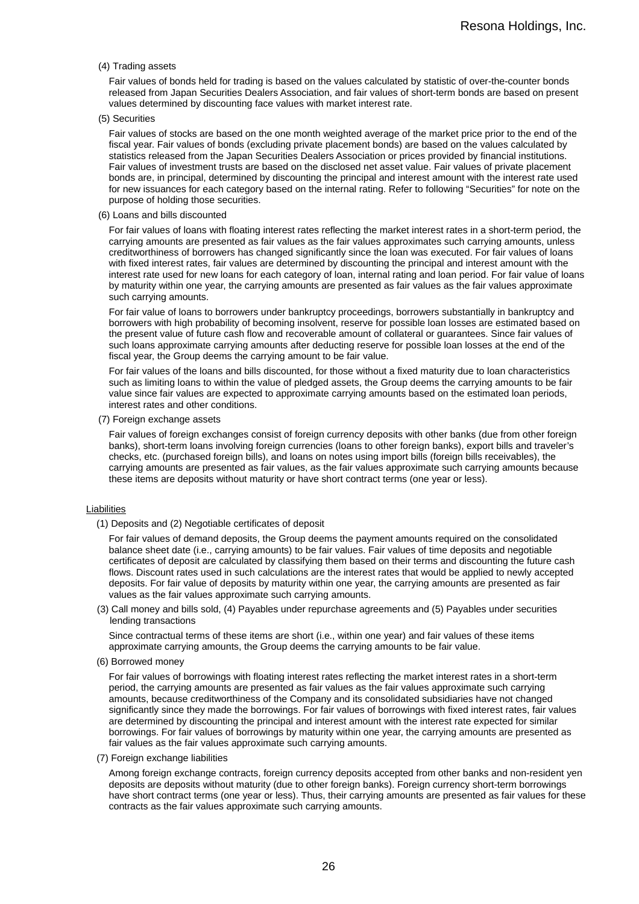#### (4) Trading assets

Fair values of bonds held for trading is based on the values calculated by statistic of over-the-counter bonds released from Japan Securities Dealers Association, and fair values of short-term bonds are based on present values determined by discounting face values with market interest rate.

(5) Securities

Fair values of stocks are based on the one month weighted average of the market price prior to the end of the fiscal year. Fair values of bonds (excluding private placement bonds) are based on the values calculated by statistics released from the Japan Securities Dealers Association or prices provided by financial institutions. Fair values of investment trusts are based on the disclosed net asset value. Fair values of private placement bonds are, in principal, determined by discounting the principal and interest amount with the interest rate used for new issuances for each category based on the internal rating. Refer to following "Securities" for note on the purpose of holding those securities.

(6) Loans and bills discounted

For fair values of loans with floating interest rates reflecting the market interest rates in a short-term period, the carrying amounts are presented as fair values as the fair values approximates such carrying amounts, unless creditworthiness of borrowers has changed significantly since the loan was executed. For fair values of loans with fixed interest rates, fair values are determined by discounting the principal and interest amount with the interest rate used for new loans for each category of loan, internal rating and loan period. For fair value of loans by maturity within one year, the carrying amounts are presented as fair values as the fair values approximate such carrying amounts.

For fair value of loans to borrowers under bankruptcy proceedings, borrowers substantially in bankruptcy and borrowers with high probability of becoming insolvent, reserve for possible loan losses are estimated based on the present value of future cash flow and recoverable amount of collateral or guarantees. Since fair values of such loans approximate carrying amounts after deducting reserve for possible loan losses at the end of the fiscal year, the Group deems the carrying amount to be fair value.

For fair values of the loans and bills discounted, for those without a fixed maturity due to loan characteristics such as limiting loans to within the value of pledged assets, the Group deems the carrying amounts to be fair value since fair values are expected to approximate carrying amounts based on the estimated loan periods, interest rates and other conditions.

(7) Foreign exchange assets

Fair values of foreign exchanges consist of foreign currency deposits with other banks (due from other foreign banks), short-term loans involving foreign currencies (loans to other foreign banks), export bills and traveler's checks, etc. (purchased foreign bills), and loans on notes using import bills (foreign bills receivables), the carrying amounts are presented as fair values, as the fair values approximate such carrying amounts because these items are deposits without maturity or have short contract terms (one year or less).

#### Liabilities

(1) Deposits and (2) Negotiable certificates of deposit

For fair values of demand deposits, the Group deems the payment amounts required on the consolidated balance sheet date (i.e., carrying amounts) to be fair values. Fair values of time deposits and negotiable certificates of deposit are calculated by classifying them based on their terms and discounting the future cash flows. Discount rates used in such calculations are the interest rates that would be applied to newly accepted deposits. For fair value of deposits by maturity within one year, the carrying amounts are presented as fair values as the fair values approximate such carrying amounts.

(3) Call money and bills sold, (4) Payables under repurchase agreements and (5) Payables under securities lending transactions

Since contractual terms of these items are short (i.e., within one year) and fair values of these items approximate carrying amounts, the Group deems the carrying amounts to be fair value.

(6) Borrowed money

For fair values of borrowings with floating interest rates reflecting the market interest rates in a short-term period, the carrying amounts are presented as fair values as the fair values approximate such carrying amounts, because creditworthiness of the Company and its consolidated subsidiaries have not changed significantly since they made the borrowings. For fair values of borrowings with fixed interest rates, fair values are determined by discounting the principal and interest amount with the interest rate expected for similar borrowings. For fair values of borrowings by maturity within one year, the carrying amounts are presented as fair values as the fair values approximate such carrying amounts.

(7) Foreign exchange liabilities

Among foreign exchange contracts, foreign currency deposits accepted from other banks and non-resident yen deposits are deposits without maturity (due to other foreign banks). Foreign currency short-term borrowings have short contract terms (one year or less). Thus, their carrying amounts are presented as fair values for these contracts as the fair values approximate such carrying amounts.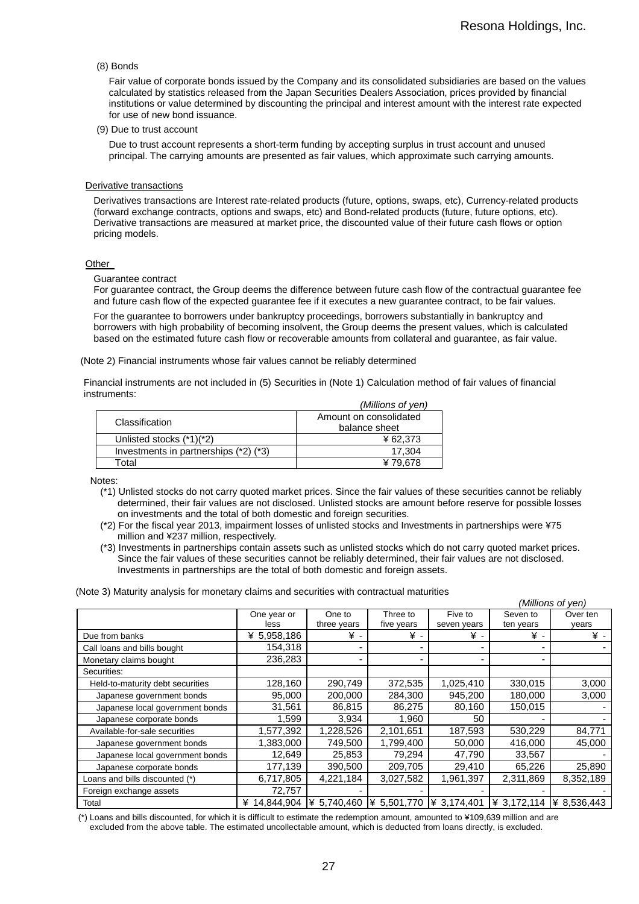#### (8) Bonds

Fair value of corporate bonds issued by the Company and its consolidated subsidiaries are based on the values calculated by statistics released from the Japan Securities Dealers Association, prices provided by financial institutions or value determined by discounting the principal and interest amount with the interest rate expected for use of new bond issuance.

(9) Due to trust account

Due to trust account represents a short-term funding by accepting surplus in trust account and unused principal. The carrying amounts are presented as fair values, which approximate such carrying amounts.

#### Derivative transactions

Derivatives transactions are Interest rate-related products (future, options, swaps, etc), Currency-related products (forward exchange contracts, options and swaps, etc) and Bond-related products (future, future options, etc). Derivative transactions are measured at market price, the discounted value of their future cash flows or option pricing models.

#### **Other**

#### Guarantee contract

For guarantee contract, the Group deems the difference between future cash flow of the contractual guarantee fee and future cash flow of the expected guarantee fee if it executes a new guarantee contract, to be fair values.

For the guarantee to borrowers under bankruptcy proceedings, borrowers substantially in bankruptcy and borrowers with high probability of becoming insolvent, the Group deems the present values, which is calculated based on the estimated future cash flow or recoverable amounts from collateral and guarantee, as fair value.

(Note 2) Financial instruments whose fair values cannot be reliably determined

Financial instruments are not included in (5) Securities in (Note 1) Calculation method of fair values of financial instruments:

|                                       | (Millions of yen)                       |
|---------------------------------------|-----------------------------------------|
| Classification                        | Amount on consolidated<br>balance sheet |
| Unlisted stocks (*1)(*2)              | ¥62.373                                 |
| Investments in partnerships (*2) (*3) | 17.304                                  |
| Total                                 | ¥79.678                                 |

Notes:

- (\*1) Unlisted stocks do not carry quoted market prices. Since the fair values of these securities cannot be reliably determined, their fair values are not disclosed. Unlisted stocks are amount before reserve for possible losses on investments and the total of both domestic and foreign securities.
- (\*2) For the fiscal year 2013, impairment losses of unlisted stocks and Investments in partnerships were ¥75 million and ¥237 million, respectively.
- (\*3) Investments in partnerships contain assets such as unlisted stocks which do not carry quoted market prices. Since the fair values of these securities cannot be reliably determined, their fair values are not disclosed. Investments in partnerships are the total of both domestic and foreign assets.

(Note 3) Maturity analysis for monetary claims and securities with contractual maturities

|                                  |              |             |             |             |             | (Millions of yen) |
|----------------------------------|--------------|-------------|-------------|-------------|-------------|-------------------|
|                                  | One year or  | One to      | Three to    | Five to     | Seven to    | Over ten          |
|                                  | less         | three years | five years  | seven years | ten years   | years             |
| Due from banks                   | ¥ 5,958,186  | ¥ -         | ¥ -         | ¥ -         | ¥ -         | ¥ -               |
| Call loans and bills bought      | 154,318      |             |             |             |             |                   |
| Monetary claims bought           | 236.283      |             | -           |             |             |                   |
| Securities:                      |              |             |             |             |             |                   |
| Held-to-maturity debt securities | 128,160      | 290,749     | 372,535     | 1,025,410   | 330,015     | 3,000             |
| Japanese government bonds        | 95,000       | 200,000     | 284,300     | 945,200     | 180,000     | 3,000             |
| Japanese local government bonds  | 31,561       | 86,815      | 86,275      | 80,160      | 150,015     |                   |
| Japanese corporate bonds         | 1,599        | 3,934       | 1.960       | 50          |             |                   |
| Available-for-sale securities    | 1,577,392    | 1,228,526   | 2,101,651   | 187,593     | 530,229     | 84,771            |
| Japanese government bonds        | 1,383,000    | 749,500     | 1,799,400   | 50,000      | 416,000     | 45,000            |
| Japanese local government bonds  | 12.649       | 25.853      | 79.294      | 47.790      | 33,567      |                   |
| Japanese corporate bonds         | 177,139      | 390,500     | 209,705     | 29,410      | 65,226      | 25,890            |
| Loans and bills discounted (*)   | 6,717,805    | 4,221,184   | 3,027,582   | 1,961,397   | 2,311,869   | 8,352,189         |
| Foreign exchange assets          | 72,757       |             |             |             |             |                   |
| Total                            | ¥ 14,844,904 | ¥ 5,740,460 | ¥ 5,501,770 | ¥ 3,174,401 | ¥ 3,172,114 | ¥ 8,536,443       |

(\*) Loans and bills discounted, for which it is difficult to estimate the redemption amount, amounted to ¥109,639 million and are excluded from the above table. The estimated uncollectable amount, which is deducted from loans directly, is excluded.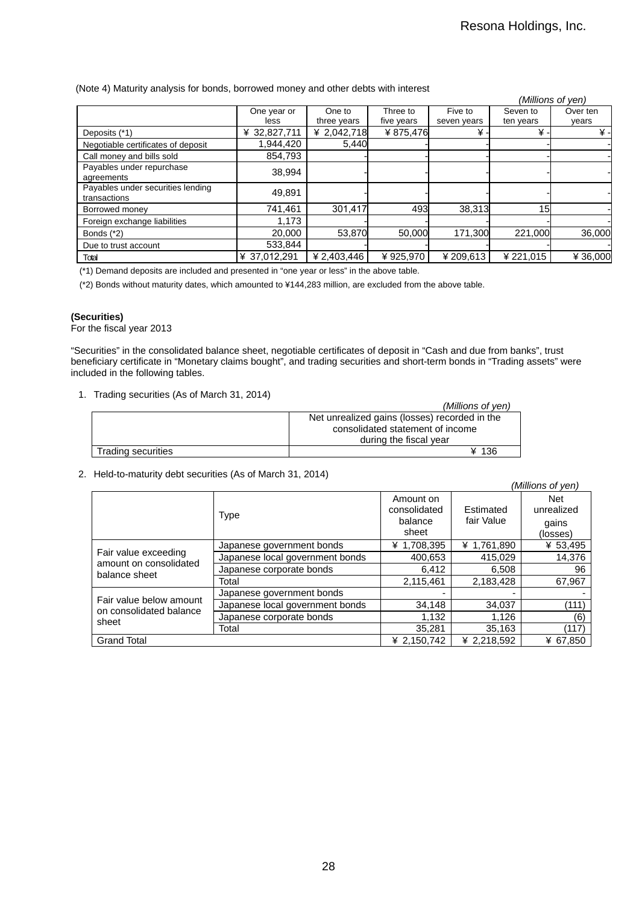#### (Note 4) Maturity analysis for bonds, borrowed money and other debts with interest

|                                    |              |             |            |             |           | (Millions of yen) |
|------------------------------------|--------------|-------------|------------|-------------|-----------|-------------------|
|                                    | One year or  | One to      | Three to   | Five to     | Seven to  | Over ten          |
|                                    | less         | three years | five years | seven years | ten years | years             |
| Deposits (*1)                      | ¥ 32,827,711 | ¥ 2,042,718 | ¥875,476   | ¥           | ¥.        | ¥.                |
| Negotiable certificates of deposit | 1.944.420    | 5,440       |            |             |           |                   |
| Call money and bills sold          | 854.793      |             |            |             |           |                   |
| Payables under repurchase          | 38.994       |             |            |             |           |                   |
| agreements                         |              |             |            |             |           |                   |
| Payables under securities lending  | 49,891       |             |            |             |           |                   |
| transactions                       |              |             |            |             |           |                   |
| Borrowed money                     | 741.461      | 301,417     | 493        | 38,313      | 15        |                   |
| Foreign exchange liabilities       | 1,173        |             |            |             |           |                   |
| Bonds $(*2)$                       | 20,000       | 53,870      | 50,000     | 171.300     | 221.000   | 36,000            |
| Due to trust account               | 533.844      |             |            |             |           |                   |
| Total                              | ¥ 37.012.291 | ¥ 2,403,446 | ¥925.970   | ¥ 209.613   | ¥221.015  | ¥ 36,000          |

(\*1) Demand deposits are included and presented in "one year or less" in the above table.

(\*2) Bonds without maturity dates, which amounted to ¥144,283 million, are excluded from the above table.

### **(Securities)**

For the fiscal year 2013

"Securities" in the consolidated balance sheet, negotiable certificates of deposit in "Cash and due from banks", trust beneficiary certificate in "Monetary claims bought", and trading securities and short-term bonds in "Trading assets" were included in the following tables.

1. Trading securities (As of March 31, 2014)

| $\frac{1}{2}$ . The contract of $\frac{1}{2}$ is the contract of $\frac{1}{2}$ . The contract of $\frac{1}{2}$ |                                               |
|----------------------------------------------------------------------------------------------------------------|-----------------------------------------------|
|                                                                                                                | (Millions of yen)                             |
|                                                                                                                | Net unrealized gains (losses) recorded in the |
|                                                                                                                | consolidated statement of income              |
|                                                                                                                | during the fiscal year                        |
| Trading securities                                                                                             | ¥ 136                                         |

### 2. Held-to-maturity debt securities (As of March 31, 2014)

|                                                                 |                                 |                                               |                         | (Millions of yen)                             |
|-----------------------------------------------------------------|---------------------------------|-----------------------------------------------|-------------------------|-----------------------------------------------|
|                                                                 | <b>Type</b>                     | Amount on<br>consolidated<br>balance<br>sheet | Estimated<br>fair Value | <b>Net</b><br>unrealized<br>gains<br>(losses) |
|                                                                 | Japanese government bonds       | ¥ 1,708,395                                   | ¥ 1,761,890             | ¥ 53,495                                      |
| Fair value exceeding<br>amount on consolidated<br>balance sheet | Japanese local government bonds | 400,653                                       | 415.029                 | 14,376                                        |
|                                                                 | Japanese corporate bonds        | 6,412                                         | 6,508                   | 96                                            |
|                                                                 | Total                           | 2,115,461                                     | 2.183.428               | 67,967                                        |
|                                                                 | Japanese government bonds       |                                               |                         |                                               |
| Fair value below amount<br>on consolidated balance<br>sheet     | Japanese local government bonds | 34,148                                        | 34,037                  | (111)                                         |
|                                                                 | Japanese corporate bonds        | 1.132                                         | 1.126                   | (6)                                           |
|                                                                 | Total                           | 35.281                                        | 35.163                  | (117)                                         |
| <b>Grand Total</b>                                              |                                 | ¥ 2.150.742                                   | ¥ 2.218.592             | ¥ 67.850                                      |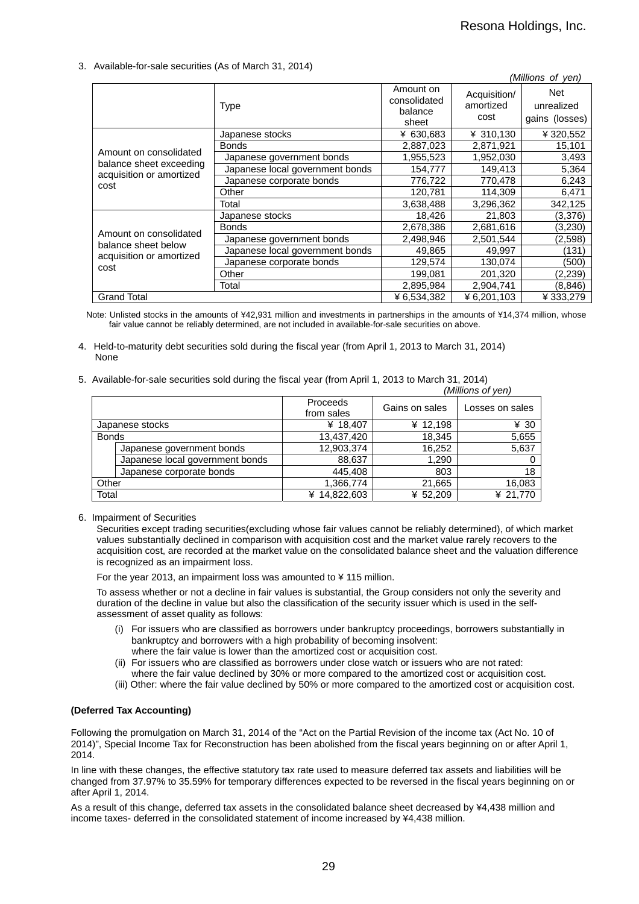#### 3. Available-for-sale securities (As of March 31, 2014)

|                                                   |                                 |                                               |                                   | (Millions of yen)                          |
|---------------------------------------------------|---------------------------------|-----------------------------------------------|-----------------------------------|--------------------------------------------|
|                                                   | <b>Type</b>                     | Amount on<br>consolidated<br>balance<br>sheet | Acquisition/<br>amortized<br>cost | <b>Net</b><br>unrealized<br>gains (losses) |
|                                                   | Japanese stocks                 | ¥ 630,683                                     | ¥ 310,130                         | ¥ 320,552                                  |
|                                                   | <b>Bonds</b>                    | 2,887,023                                     | 2,871,921                         | 15,101                                     |
| Amount on consolidated<br>balance sheet exceeding | Japanese government bonds       | 1,955,523                                     | 1,952,030                         | 3,493                                      |
| acquisition or amortized                          | Japanese local government bonds | 154,777                                       | 149,413                           | 5,364                                      |
| cost                                              | Japanese corporate bonds        | 776,722                                       | 770,478                           | 6,243                                      |
|                                                   | Other                           | 120,781                                       | 114,309                           | 6,471                                      |
|                                                   | Total                           | 3,638,488                                     | 3,296,362                         | 342,125                                    |
|                                                   | Japanese stocks                 | 18,426                                        | 21,803                            | (3,376)                                    |
|                                                   | <b>Bonds</b>                    | 2,678,386                                     | 2,681,616                         | (3,230)                                    |
| Amount on consolidated<br>balance sheet below     | Japanese government bonds       | 2,498,946                                     | 2,501,544                         | (2,598)                                    |
|                                                   | Japanese local government bonds | 49,865                                        | 49,997                            | (131)                                      |
| acquisition or amortized<br>cost                  | Japanese corporate bonds        | 129,574                                       | 130,074                           | (500)                                      |
|                                                   | Other                           | 199,081                                       | 201,320                           | (2,239)                                    |
|                                                   | Total                           | 2,895,984                                     | 2,904,741                         | (8, 846)                                   |
| <b>Grand Total</b>                                |                                 | ¥ 6,534,382                                   | ¥6,201,103                        | ¥ 333,279                                  |

Note: Unlisted stocks in the amounts of ¥42,931 million and investments in partnerships in the amounts of ¥14,374 million, whose fair value cannot be reliably determined, are not included in available-for-sale securities on above.

- 4. Held-to-maturity debt securities sold during the fiscal year (from April 1, 2013 to March 31, 2014) None
- 5. Available-for-sale securities sold during the fiscal year (from April 1, 2013 to March 31, 2014)

|              |                                 |                        |                | (Millions of yen) |
|--------------|---------------------------------|------------------------|----------------|-------------------|
|              |                                 | Proceeds<br>from sales | Gains on sales | Losses on sales   |
|              | Japanese stocks                 | ¥ 18,407               | ¥ 12,198       | ¥ 30              |
| <b>Bonds</b> |                                 | 13,437,420             | 18,345         | 5,655             |
|              | Japanese government bonds       | 12,903,374             | 16,252         | 5,637             |
|              | Japanese local government bonds | 88,637                 | 1,290          |                   |
|              | Japanese corporate bonds        | 445,408                | 803            | 18                |
| Other        |                                 | 1,366,774              | 21,665         | 16,083            |
| Total        |                                 | ¥ 14,822,603           | ¥ 52,209       | ¥ 21,770          |

6. Impairment of Securities

Securities except trading securities(excluding whose fair values cannot be reliably determined), of which market values substantially declined in comparison with acquisition cost and the market value rarely recovers to the acquisition cost, are recorded at the market value on the consolidated balance sheet and the valuation difference is recognized as an impairment loss.

For the year 2013, an impairment loss was amounted to ¥ 115 million.

To assess whether or not a decline in fair values is substantial, the Group considers not only the severity and duration of the decline in value but also the classification of the security issuer which is used in the selfassessment of asset quality as follows:

- (i) For issuers who are classified as borrowers under bankruptcy proceedings, borrowers substantially in bankruptcy and borrowers with a high probability of becoming insolvent: where the fair value is lower than the amortized cost or acquisition cost.
- (ii) For issuers who are classified as borrowers under close watch or issuers who are not rated:
- where the fair value declined by 30% or more compared to the amortized cost or acquisition cost.
- (iii) Other: where the fair value declined by 50% or more compared to the amortized cost or acquisition cost.

#### **(Deferred Tax Accounting)**

Following the promulgation on March 31, 2014 of the "Act on the Partial Revision of the income tax (Act No. 10 of 2014)", Special Income Tax for Reconstruction has been abolished from the fiscal years beginning on or after April 1, 2014.

In line with these changes, the effective statutory tax rate used to measure deferred tax assets and liabilities will be changed from 37.97% to 35.59% for temporary differences expected to be reversed in the fiscal years beginning on or after April 1, 2014.

As a result of this change, deferred tax assets in the consolidated balance sheet decreased by ¥4,438 million and income taxes- deferred in the consolidated statement of income increased by ¥4,438 million.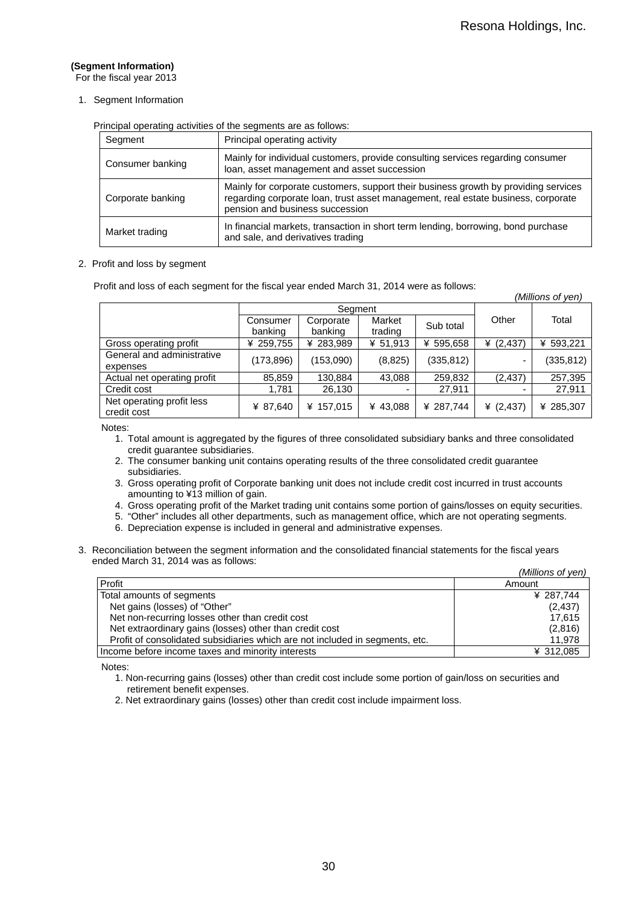## **(Segment Information)**

For the fiscal year 2013

1. Segment Information

Principal operating activities of the segments are as follows:

| Segment           | Principal operating activity                                                                                                                                                                                |
|-------------------|-------------------------------------------------------------------------------------------------------------------------------------------------------------------------------------------------------------|
| Consumer banking  | Mainly for individual customers, provide consulting services regarding consumer<br>loan, asset management and asset succession                                                                              |
| Corporate banking | Mainly for corporate customers, support their business growth by providing services<br>regarding corporate loan, trust asset management, real estate business, corporate<br>pension and business succession |
| Market trading    | In financial markets, transaction in short term lending, borrowing, bond purchase<br>and sale, and derivatives trading                                                                                      |

#### 2. Profit and loss by segment

Profit and loss of each segment for the fiscal year ended March 31, 2014 were as follows:

|                                          |                     |                      |                   |            |             | (Millions of yen) |
|------------------------------------------|---------------------|----------------------|-------------------|------------|-------------|-------------------|
|                                          |                     | Segment              |                   |            |             |                   |
|                                          | Consumer<br>banking | Corporate<br>banking | Market<br>trading | Sub total  | Other       | Total             |
| Gross operating profit                   | ¥ 259,755           | ¥ 283,989            | ¥ 51,913          | ¥ 595,658  | ¥ $(2,437)$ | ¥ 593,221         |
| General and administrative<br>expenses   | (173,896)           | (153,090)            | (8,825)           | (335, 812) |             | (335, 812)        |
| Actual net operating profit              | 85,859              | 130,884              | 43,088            | 259,832    | (2, 437)    | 257,395           |
| Credit cost                              | 1,781               | 26,130               |                   | 27,911     |             | 27,911            |
| Net operating profit less<br>credit cost | ¥ 87,640            | ¥ 157.015            | ¥ 43,088          | ¥ 287,744  | ¥ $(2,437)$ | ¥ 285,307         |

Notes:

- 1. Total amount is aggregated by the figures of three consolidated subsidiary banks and three consolidated credit guarantee subsidiaries.
- 2. The consumer banking unit contains operating results of the three consolidated credit guarantee subsidiaries.
- 3. Gross operating profit of Corporate banking unit does not include credit cost incurred in trust accounts amounting to ¥13 million of gain.
- 4. Gross operating profit of the Market trading unit contains some portion of gains/losses on equity securities.
- 5. "Other" includes all other departments, such as management office, which are not operating segments.
- 6. Depreciation expense is included in general and administrative expenses.
- 3. Reconciliation between the segment information and the consolidated financial statements for the fiscal years ended March 31, 2014 was as follows:

|                                                                              | (Millions of yen) |
|------------------------------------------------------------------------------|-------------------|
| Profit                                                                       | Amount            |
| Total amounts of segments                                                    | ¥ 287,744         |
| Net gains (losses) of "Other"                                                | (2, 437)          |
| Net non-recurring losses other than credit cost                              | 17.615            |
| Net extraordinary gains (losses) other than credit cost                      | (2,816)           |
| Profit of consolidated subsidiaries which are not included in segments, etc. | 11,978            |
| Income before income taxes and minority interests                            | ¥ 312,085         |

Notes:

- 1. Non-recurring gains (losses) other than credit cost include some portion of gain/loss on securities and retirement benefit expenses.
- 2. Net extraordinary gains (losses) other than credit cost include impairment loss.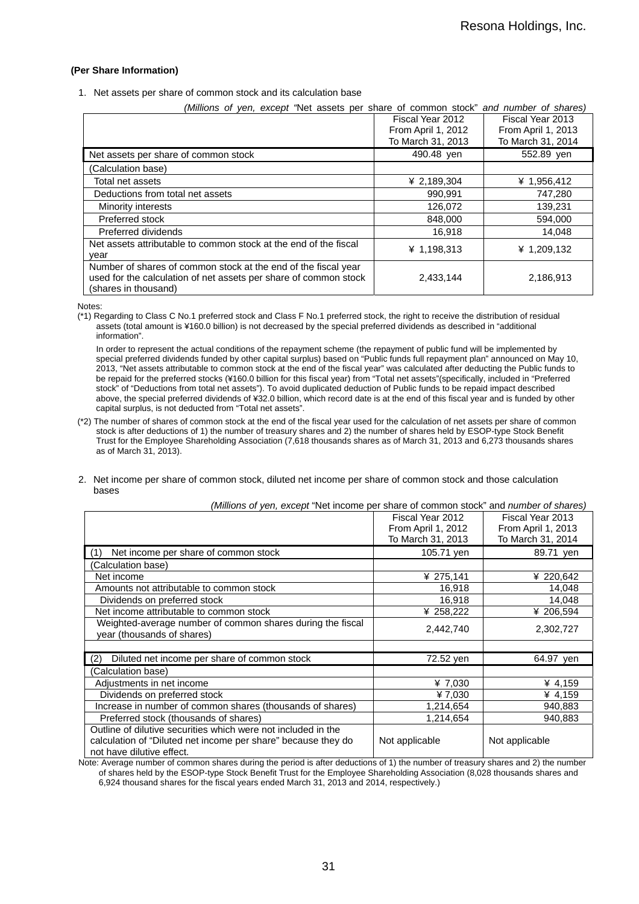#### **(Per Share Information)**

1. Net assets per share of common stock and its calculation base

| (Millions of yen, except 'Net assets per share of common stock" and number of shares)                                                                      |                    |                    |
|------------------------------------------------------------------------------------------------------------------------------------------------------------|--------------------|--------------------|
|                                                                                                                                                            | Fiscal Year 2012   | Fiscal Year 2013   |
|                                                                                                                                                            | From April 1, 2012 | From April 1, 2013 |
|                                                                                                                                                            | To March 31, 2013  | To March 31, 2014  |
| Net assets per share of common stock                                                                                                                       | 490.48 yen         | 552.89 yen         |
| (Calculation base)                                                                                                                                         |                    |                    |
| Total net assets                                                                                                                                           | ¥ 2,189,304        | ¥ 1,956,412        |
| Deductions from total net assets                                                                                                                           | 990.991            | 747,280            |
| Minority interests                                                                                                                                         | 126,072            | 139,231            |
| Preferred stock                                                                                                                                            | 848,000            | 594,000            |
| Preferred dividends                                                                                                                                        | 16,918             | 14,048             |
| Net assets attributable to common stock at the end of the fiscal<br>vear                                                                                   | ¥ 1,198,313        | ¥ 1,209,132        |
| Number of shares of common stock at the end of the fiscal year<br>used for the calculation of net assets per share of common stock<br>(shares in thousand) | 2,433,144          | 2,186,913          |

Notes:

(\*1) Regarding to Class C No.1 preferred stock and Class F No.1 preferred stock, the right to receive the distribution of residual assets (total amount is ¥160.0 billion) is not decreased by the special preferred dividends as described in "additional information".

In order to represent the actual conditions of the repayment scheme (the repayment of public fund will be implemented by special preferred dividends funded by other capital surplus) based on "Public funds full repayment plan" announced on May 10, 2013, "Net assets attributable to common stock at the end of the fiscal year" was calculated after deducting the Public funds to be repaid for the preferred stocks (¥160.0 billion for this fiscal year) from "Total net assets"(specifically, included in "Preferred stock" of "Deductions from total net assets"). To avoid duplicated deduction of Public funds to be repaid impact described above, the special preferred dividends of ¥32.0 billion, which record date is at the end of this fiscal year and is funded by other capital surplus, is not deducted from "Total net assets".

(\*2) The number of shares of common stock at the end of the fiscal year used for the calculation of net assets per share of common stock is after deductions of 1) the number of treasury shares and 2) the number of shares held by ESOP-type Stock Benefit Trust for the Employee Shareholding Association (7,618 thousands shares as of March 31, 2013 and 6,273 thousands shares as of March 31, 2013).

#### 2. Net income per share of common stock, diluted net income per share of common stock and those calculation bases

|                                                                                          | Fiscal Year 2012                        | Fiscal Year 2013                        |
|------------------------------------------------------------------------------------------|-----------------------------------------|-----------------------------------------|
|                                                                                          | From April 1, 2012<br>To March 31, 2013 | From April 1, 2013<br>To March 31, 2014 |
|                                                                                          |                                         |                                         |
| Net income per share of common stock<br>(1)                                              | 105.71 yen                              | 89.71 yen                               |
| (Calculation base)                                                                       |                                         |                                         |
| Net income                                                                               | ¥ 275,141                               | ¥ 220,642                               |
| Amounts not attributable to common stock                                                 | 16,918                                  | 14,048                                  |
| Dividends on preferred stock                                                             | 16,918                                  | 14,048                                  |
| Net income attributable to common stock                                                  | ¥ 258,222                               | ¥ 206.594                               |
| Weighted-average number of common shares during the fiscal<br>year (thousands of shares) | 2,442,740                               | 2,302,727                               |
|                                                                                          |                                         |                                         |
| Diluted net income per share of common stock<br>(2)                                      | 72.52 yen                               | 64.97 yen                               |
| (Calculation base)                                                                       |                                         |                                         |
| Adjustments in net income                                                                | ¥ 7,030                                 | ¥ 4,159                                 |
| Dividends on preferred stock                                                             | ¥7,030                                  | ¥ 4,159                                 |
| Increase in number of common shares (thousands of shares)                                | 1,214,654                               | 940,883                                 |
| Preferred stock (thousands of shares)                                                    | 1.214.654                               | 940.883                                 |
| Outline of dilutive securities which were not included in the                            |                                         |                                         |
| calculation of "Diluted net income per share" because they do                            | Not applicable                          | Not applicable                          |
| not have dilutive effect.                                                                |                                         |                                         |

*(Millions of yen, except* "Net income per share of common stock" and *number of shares)* 

Note: Average number of common shares during the period is after deductions of 1) the number of treasury shares and 2) the number of shares held by the ESOP-type Stock Benefit Trust for the Employee Shareholding Association (8,028 thousands shares and 6,924 thousand shares for the fiscal years ended March 31, 2013 and 2014, respectively.)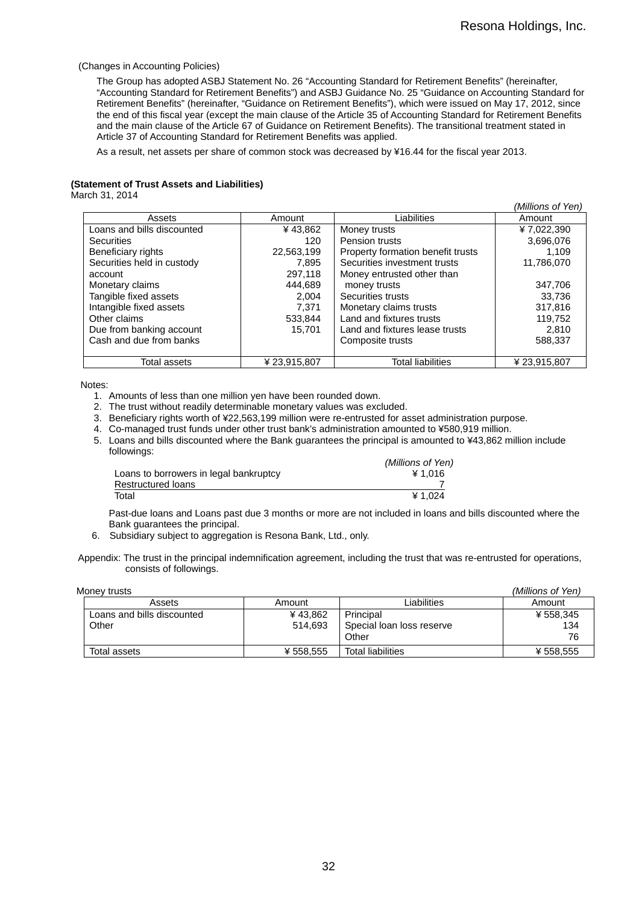#### (Changes in Accounting Policies)

The Group has adopted ASBJ Statement No. 26 "Accounting Standard for Retirement Benefits" (hereinafter, "Accounting Standard for Retirement Benefits") and ASBJ Guidance No. 25 "Guidance on Accounting Standard for Retirement Benefits" (hereinafter, "Guidance on Retirement Benefits"), which were issued on May 17, 2012, since the end of this fiscal year (except the main clause of the Article 35 of Accounting Standard for Retirement Benefits and the main clause of the Article 67 of Guidance on Retirement Benefits). The transitional treatment stated in Article 37 of Accounting Standard for Retirement Benefits was applied.

As a result, net assets per share of common stock was decreased by ¥16.44 for the fiscal year 2013.

#### **(Statement of Trust Assets and Liabilities)**

March 31, 2014

|                            |              |                                   | (Millions of Yen) |
|----------------------------|--------------|-----------------------------------|-------------------|
| Assets                     | Amount       | Liabilities                       | Amount            |
| Loans and bills discounted | ¥43,862      | Money trusts                      | ¥7,022,390        |
| <b>Securities</b>          | 120          | Pension trusts                    | 3,696,076         |
| Beneficiary rights         | 22,563,199   | Property formation benefit trusts | 1.109             |
| Securities held in custody | 7.895        | Securities investment trusts      | 11,786,070        |
| account                    | 297.118      | Money entrusted other than        |                   |
| Monetary claims            | 444.689      | money trusts                      | 347,706           |
| Tangible fixed assets      | 2.004        | Securities trusts                 | 33.736            |
| Intangible fixed assets    | 7,371        | Monetary claims trusts            | 317,816           |
| Other claims               | 533,844      | Land and fixtures trusts          | 119.752           |
| Due from banking account   | 15.701       | Land and fixtures lease trusts    | 2.810             |
| Cash and due from banks    |              | Composite trusts                  | 588,337           |
|                            |              |                                   |                   |
| Total assets               | ¥ 23,915,807 | <b>Total liabilities</b>          | ¥23,915,807       |

Notes:

- 1. Amounts of less than one million yen have been rounded down.
- 2. The trust without readily determinable monetary values was excluded.
- 3. Beneficiary rights worth of ¥22,563,199 million were re-entrusted for asset administration purpose.
- 4. Co-managed trust funds under other trust bank's administration amounted to ¥580,919 million.
- 5. Loans and bills discounted where the Bank guarantees the principal is amounted to ¥43,862 million include followings:

|                                        | (Millions of Yen) |
|----------------------------------------|-------------------|
| Loans to borrowers in legal bankruptcy | ¥ 1.016           |
| Restructured loans                     |                   |
| Total                                  | ¥ 1.024           |

Past-due loans and Loans past due 3 months or more are not included in loans and bills discounted where the Bank guarantees the principal.

6. Subsidiary subject to aggregation is Resona Bank, Ltd., only.

Appendix: The trust in the principal indemnification agreement, including the trust that was re-entrusted for operations, consists of followings.

| Monev trusts                        |                    |                                                 | (Millions of Yen)      |
|-------------------------------------|--------------------|-------------------------------------------------|------------------------|
| Assets                              | Amount             | Liabilities                                     | Amount                 |
| Loans and bills discounted<br>Other | ¥43.862<br>514.693 | Principal<br>Special loan loss reserve<br>Other | ¥ 558,345<br>134<br>76 |
| Total assets                        | ¥ 558.555          | <b>Total liabilities</b>                        | ¥ 558.555              |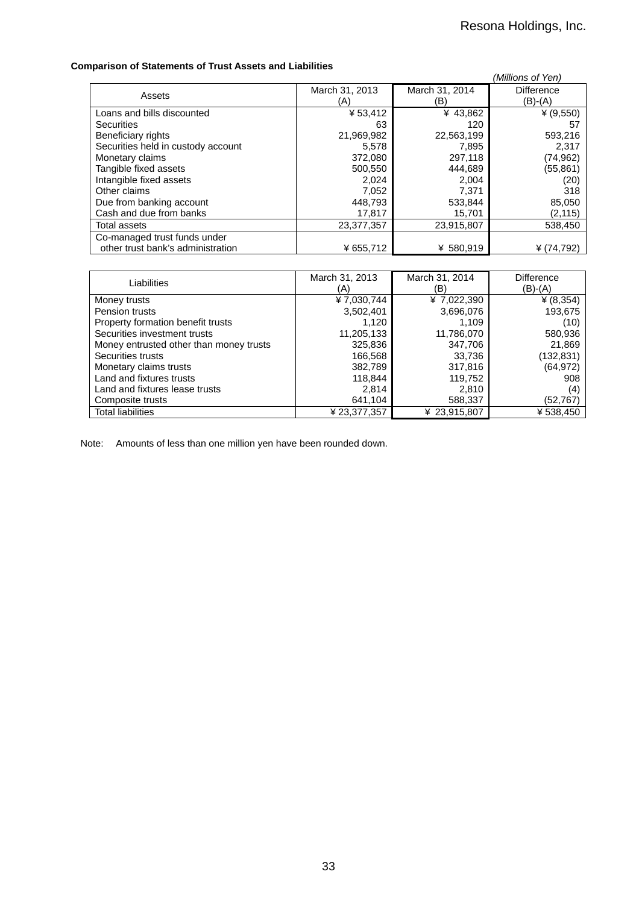### **Comparison of Statements of Trust Assets and Liabilities**

| ייטווועשום שוואס מאט ווי וס אוירוויטוווטשט וויס דוסטווויזט |                       |                       | (Millions of Yen)            |
|------------------------------------------------------------|-----------------------|-----------------------|------------------------------|
| Assets                                                     | March 31, 2013<br>(A) | March 31, 2014<br>(B) | <b>Difference</b><br>(B)-(A) |
| Loans and bills discounted                                 | ¥53,412               | ¥43,862               | ¥ $(9,550)$                  |
| <b>Securities</b>                                          | 63                    | 120                   | 57                           |
| Beneficiary rights                                         | 21,969,982            | 22,563,199            | 593,216                      |
| Securities held in custody account                         | 5,578                 | 7,895                 | 2,317                        |
| Monetary claims                                            | 372,080               | 297,118               | (74, 962)                    |
| Tangible fixed assets                                      | 500,550               | 444,689               | (55, 861)                    |
| Intangible fixed assets                                    | 2.024                 | 2,004                 | (20)                         |
| Other claims                                               | 7,052                 | 7,371                 | 318                          |
| Due from banking account                                   | 448,793               | 533.844               | 85,050                       |
| Cash and due from banks                                    | 17,817                | 15,701                | (2, 115)                     |
| Total assets                                               | 23,377,357            | 23,915,807            | 538,450                      |
| Co-managed trust funds under                               |                       |                       |                              |
| other trust bank's administration                          | ¥ 655,712             | ¥ 580,919             | ¥ $(74, 792)$                |

| Liabilities                             | March 31, 2013<br>(A) | March 31, 2014<br>(B) | Difference<br>(B)-(A) |
|-----------------------------------------|-----------------------|-----------------------|-----------------------|
| Money trusts                            | ¥7,030,744            | ¥ 7,022,390           | ¥ $(8, 354)$          |
| Pension trusts                          | 3,502,401             | 3,696,076             | 193,675               |
| Property formation benefit trusts       | 1,120                 | 1,109                 | (10)                  |
| Securities investment trusts            | 11,205,133            | 11,786,070            | 580,936               |
| Money entrusted other than money trusts | 325,836               | 347,706               | 21,869                |
| Securities trusts                       | 166,568               | 33,736                | (132,831)             |
| Monetary claims trusts                  | 382,789               | 317,816               | (64, 972)             |
| Land and fixtures trusts                | 118,844               | 119,752               | 908                   |
| Land and fixtures lease trusts          | 2.814                 | 2.810                 | (4)                   |
| Composite trusts                        | 641,104               | 588,337               | (52,767)              |
| <b>Total liabilities</b>                | ¥ 23,377,357          | ¥ 23,915,807          | ¥538,450              |

Note: Amounts of less than one million yen have been rounded down.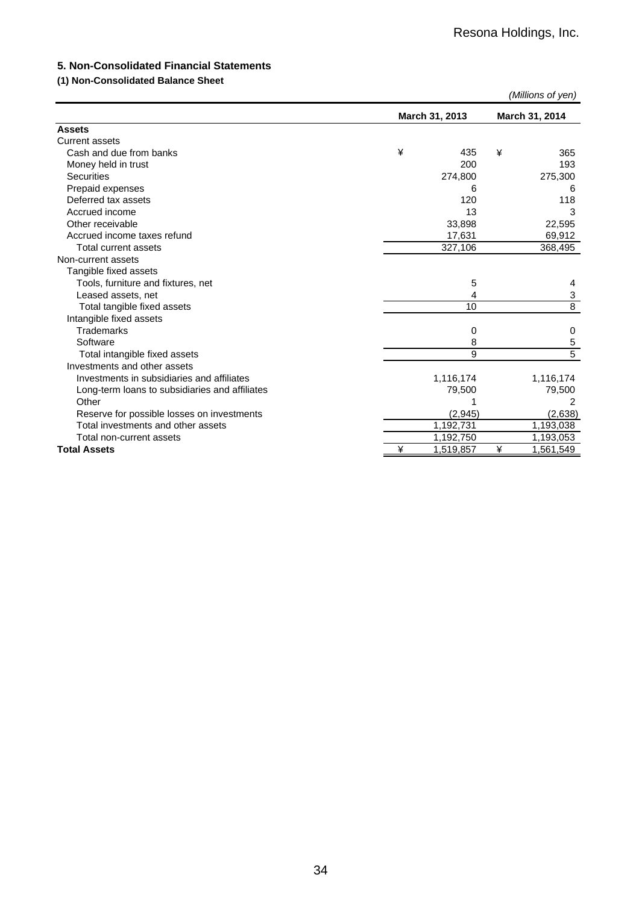## **5. Non-Consolidated Financial Statements**

## **(1) Non-Consolidated Balance Sheet**

|                                                |   |                |   | (Millions of yen) |  |
|------------------------------------------------|---|----------------|---|-------------------|--|
|                                                |   | March 31, 2013 |   | March 31, 2014    |  |
| <b>Assets</b>                                  |   |                |   |                   |  |
| <b>Current assets</b>                          |   |                |   |                   |  |
| Cash and due from banks                        | ¥ | 435            | ¥ | 365               |  |
| Money held in trust                            |   | 200            |   | 193               |  |
| <b>Securities</b>                              |   | 274,800        |   | 275,300           |  |
| Prepaid expenses                               |   | 6              |   | 6                 |  |
| Deferred tax assets                            |   | 120            |   | 118               |  |
| Accrued income                                 |   | 13             |   | 3                 |  |
| Other receivable                               |   | 33,898         |   | 22,595            |  |
| Accrued income taxes refund                    |   | 17,631         |   | 69,912            |  |
| Total current assets                           |   | 327,106        |   | 368,495           |  |
| Non-current assets                             |   |                |   |                   |  |
| Tangible fixed assets                          |   |                |   |                   |  |
| Tools, furniture and fixtures, net             |   | 5              |   | 4                 |  |
| Leased assets, net                             |   | 4              |   | 3                 |  |
| Total tangible fixed assets                    |   | 10             |   | $\overline{8}$    |  |
| Intangible fixed assets                        |   |                |   |                   |  |
| <b>Trademarks</b>                              |   | 0              |   | 0                 |  |
| Software                                       |   | 8              |   | 5                 |  |
| Total intangible fixed assets                  |   | 9              |   | $\overline{5}$    |  |
| Investments and other assets                   |   |                |   |                   |  |
| Investments in subsidiaries and affiliates     |   | 1,116,174      |   | 1,116,174         |  |
| Long-term loans to subsidiaries and affiliates |   | 79,500         |   | 79,500            |  |
| Other                                          |   |                |   | 2                 |  |
| Reserve for possible losses on investments     |   | (2,945)        |   | (2,638)           |  |
| Total investments and other assets             |   | 1,192,731      |   | 1,193,038         |  |
| Total non-current assets                       |   | 1,192,750      |   | 1,193,053         |  |
| <b>Total Assets</b>                            | ¥ | 1,519,857      | ¥ | 1,561,549         |  |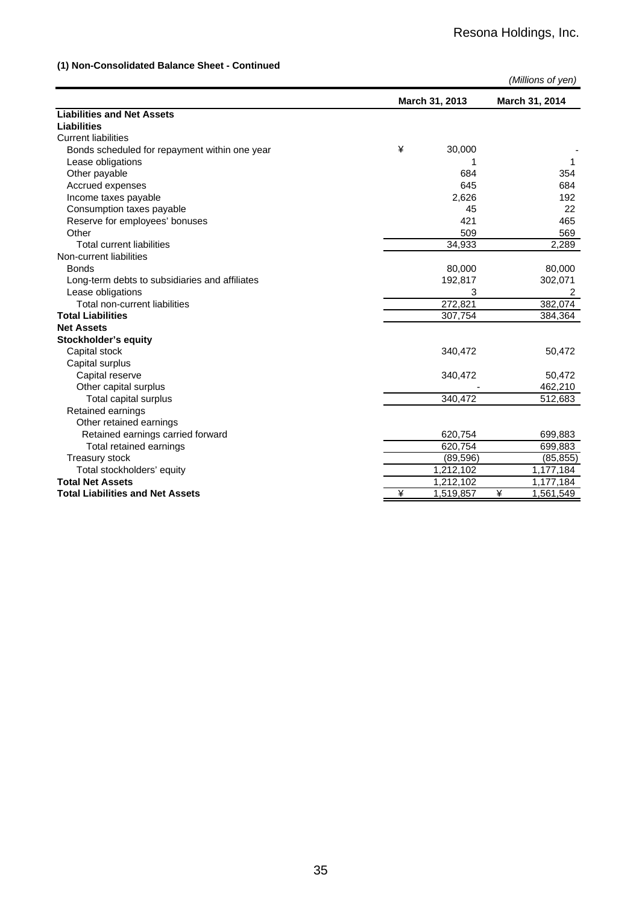## **(1) Non-Consolidated Balance Sheet - Continued**

|                                                |   |                | (Millions of yen) |  |
|------------------------------------------------|---|----------------|-------------------|--|
|                                                |   | March 31, 2013 | March 31, 2014    |  |
| <b>Liabilities and Net Assets</b>              |   |                |                   |  |
| <b>Liabilities</b>                             |   |                |                   |  |
| <b>Current liabilities</b>                     |   |                |                   |  |
| Bonds scheduled for repayment within one year  | ¥ | 30,000         |                   |  |
| Lease obligations                              |   |                | 1                 |  |
| Other payable                                  |   | 684            | 354               |  |
| Accrued expenses                               |   | 645            | 684               |  |
| Income taxes payable                           |   | 2,626          | 192               |  |
| Consumption taxes payable                      |   | 45             | 22                |  |
| Reserve for employees' bonuses                 |   | 421            | 465               |  |
| Other                                          |   | 509            | 569               |  |
| <b>Total current liabilities</b>               |   | 34,933         | 2,289             |  |
| Non-current liabilities                        |   |                |                   |  |
| <b>Bonds</b>                                   |   | 80,000         | 80,000            |  |
| Long-term debts to subsidiaries and affiliates |   | 192,817        | 302,071           |  |
| Lease obligations                              |   | 3              | 2                 |  |
| Total non-current liabilities                  |   | 272,821        | 382,074           |  |
| <b>Total Liabilities</b>                       |   | 307,754        | 384,364           |  |
| <b>Net Assets</b>                              |   |                |                   |  |
| Stockholder's equity                           |   |                |                   |  |
| Capital stock                                  |   | 340,472        | 50,472            |  |
| Capital surplus                                |   |                |                   |  |
| Capital reserve                                |   | 340,472        | 50,472            |  |
| Other capital surplus                          |   |                | 462,210           |  |
| Total capital surplus                          |   | 340,472        | 512,683           |  |
| Retained earnings                              |   |                |                   |  |
| Other retained earnings                        |   |                |                   |  |
| Retained earnings carried forward              |   | 620,754        | 699,883           |  |
| Total retained earnings                        |   | 620,754        | 699,883           |  |
| Treasury stock                                 |   | (89, 596)      | (85, 855)         |  |
| Total stockholders' equity                     |   | 1,212,102      | 1,177,184         |  |
| <b>Total Net Assets</b>                        |   | 1,212,102      | 1,177,184         |  |
| <b>Total Liabilities and Net Assets</b>        | ¥ | 1,519,857      | ¥<br>1,561,549    |  |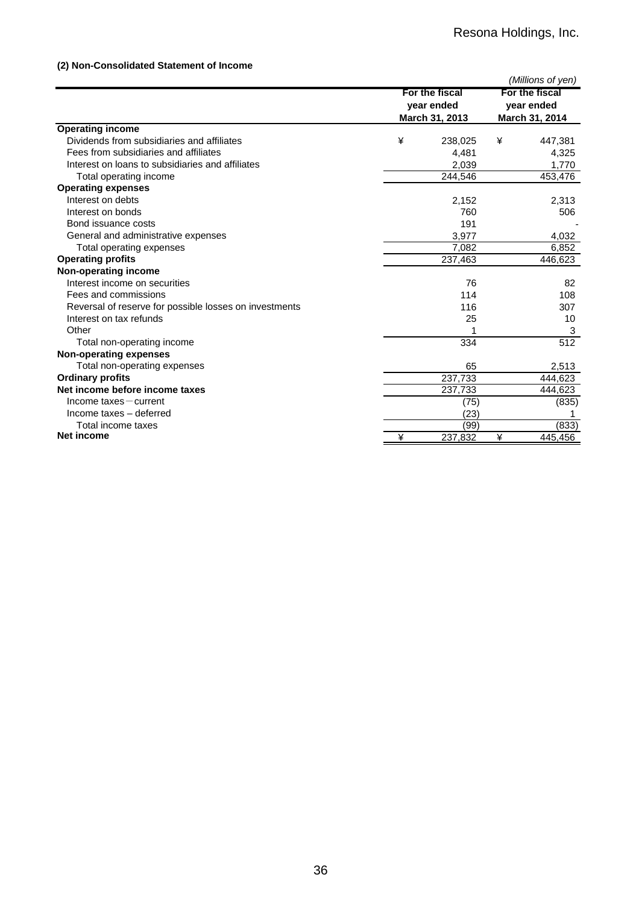## **(2) Non-Consolidated Statement of Income**

|                                                        |   |                                                |                                                | (Millions of yen) |
|--------------------------------------------------------|---|------------------------------------------------|------------------------------------------------|-------------------|
|                                                        |   | For the fiscal<br>year ended<br>March 31, 2013 | For the fiscal<br>year ended<br>March 31, 2014 |                   |
| <b>Operating income</b>                                |   |                                                |                                                |                   |
| Dividends from subsidiaries and affiliates             | ¥ | 238,025                                        | ¥                                              | 447,381           |
| Fees from subsidiaries and affiliates                  |   | 4,481                                          |                                                | 4,325             |
| Interest on loans to subsidiaries and affiliates       |   | 2,039                                          |                                                | 1,770             |
| Total operating income                                 |   | 244,546                                        |                                                | 453,476           |
| <b>Operating expenses</b>                              |   |                                                |                                                |                   |
| Interest on debts                                      |   | 2,152                                          |                                                | 2,313             |
| Interest on bonds                                      |   | 760                                            |                                                | 506               |
| Bond issuance costs                                    |   | 191                                            |                                                |                   |
| General and administrative expenses                    |   | 3,977                                          |                                                | 4,032             |
| Total operating expenses                               |   | 7,082                                          |                                                | 6,852             |
| <b>Operating profits</b>                               |   | 237,463                                        |                                                | 446,623           |
| Non-operating income                                   |   |                                                |                                                |                   |
| Interest income on securities                          |   | 76                                             |                                                | 82                |
| Fees and commissions                                   |   | 114                                            |                                                | 108               |
| Reversal of reserve for possible losses on investments |   | 116                                            |                                                | 307               |
| Interest on tax refunds                                |   | 25                                             |                                                | 10                |
| Other                                                  |   |                                                |                                                | 3                 |
| Total non-operating income                             |   | 334                                            |                                                | 512               |
| <b>Non-operating expenses</b>                          |   |                                                |                                                |                   |
| Total non-operating expenses                           |   | 65                                             |                                                | 2,513             |
| <b>Ordinary profits</b>                                |   | 237,733                                        |                                                | 444,623           |
| Net income before income taxes                         |   | 237,733                                        |                                                | 444,623           |
| $Income$ taxes $-$ current                             |   | (75)                                           |                                                | (835)             |
| Income taxes - deferred                                |   | (23)                                           |                                                |                   |
| Total income taxes                                     |   | (99)                                           |                                                | (833)             |
| Net income                                             | ¥ | 237,832                                        | ¥                                              | 445,456           |